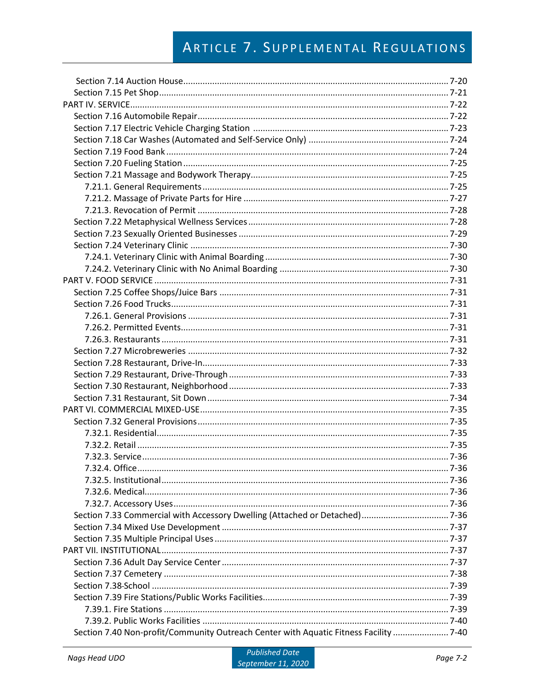| Section 7.40 Non-profit/Community Outreach Center with Aquatic Fitness Facility  7-40 |  |
|---------------------------------------------------------------------------------------|--|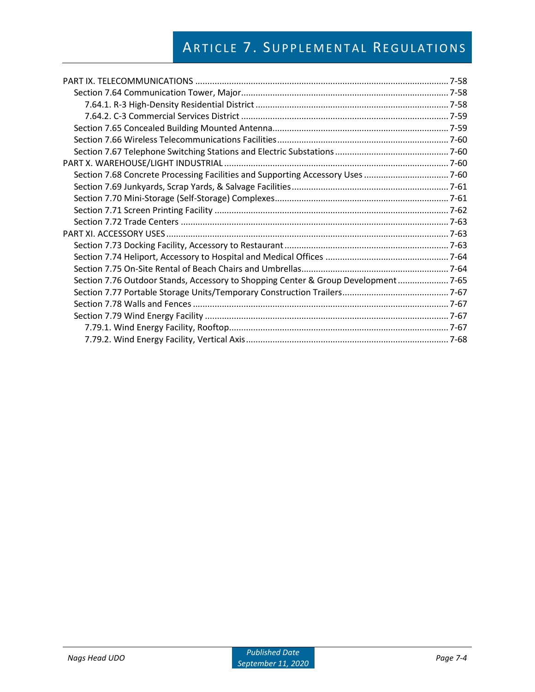| Section 7.68 Concrete Processing Facilities and Supporting Accessory Uses  7-60    |  |
|------------------------------------------------------------------------------------|--|
|                                                                                    |  |
|                                                                                    |  |
|                                                                                    |  |
|                                                                                    |  |
|                                                                                    |  |
|                                                                                    |  |
|                                                                                    |  |
|                                                                                    |  |
| Section 7.76 Outdoor Stands, Accessory to Shopping Center & Group Development 7-65 |  |
|                                                                                    |  |
|                                                                                    |  |
|                                                                                    |  |
|                                                                                    |  |
|                                                                                    |  |
|                                                                                    |  |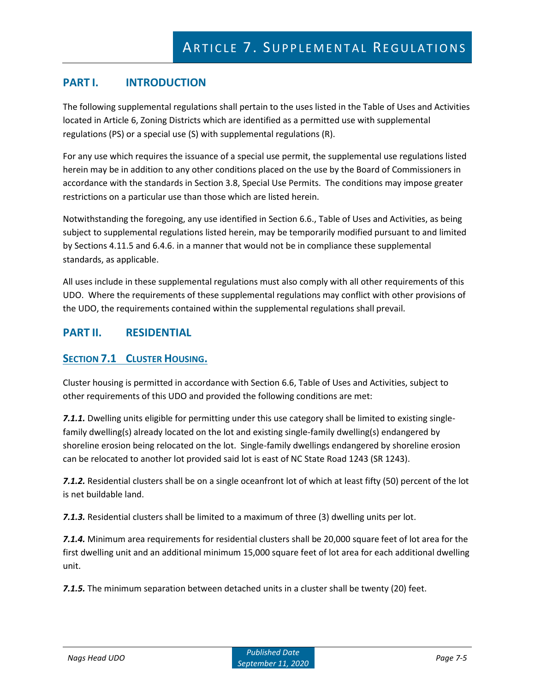# **PART I. INTRODUCTION**

The following supplemental regulations shall pertain to the uses listed in the Table of Uses and Activities located in Article 6, Zoning Districts which are identified as a permitted use with supplemental regulations (PS) or a special use (S) with supplemental regulations (R).

For any use which requires the issuance of a special use permit, the supplemental use regulations listed herein may be in addition to any other conditions placed on the use by the Board of Commissioners in accordance with the standards in Section 3.8, Special Use Permits. The conditions may impose greater restrictions on a particular use than those which are listed herein.

Notwithstanding the foregoing, any use identified in Section 6.6., Table of Uses and Activities, as being subject to supplemental regulations listed herein, may be temporarily modified pursuant to and limited by Sections 4.11.5 and 6.4.6. in a manner that would not be in compliance these supplemental standards, as applicable.

All uses include in these supplemental regulations must also comply with all other requirements of this UDO. Where the requirements of these supplemental regulations may conflict with other provisions of the UDO, the requirements contained within the supplemental regulations shall prevail.

# **PART II. RESIDENTIAL**

## **SECTION 7.1 CLUSTER HOUSING.**

Cluster housing is permitted in accordance with Section 6.6, Table of Uses and Activities, subject to other requirements of this UDO and provided the following conditions are met:

*7.1.1.* Dwelling units eligible for permitting under this use category shall be limited to existing singlefamily dwelling(s) already located on the lot and existing single-family dwelling(s) endangered by shoreline erosion being relocated on the lot. Single-family dwellings endangered by shoreline erosion can be relocated to another lot provided said lot is east of NC State Road 1243 (SR 1243).

*7.1.2.* Residential clusters shall be on a single oceanfront lot of which at least fifty (50) percent of the lot is net buildable land.

*7.1.3.* Residential clusters shall be limited to a maximum of three (3) dwelling units per lot.

*7.1.4.* Minimum area requirements for residential clusters shall be 20,000 square feet of lot area for the first dwelling unit and an additional minimum 15,000 square feet of lot area for each additional dwelling unit.

*7.1.5.* The minimum separation between detached units in a cluster shall be twenty (20) feet.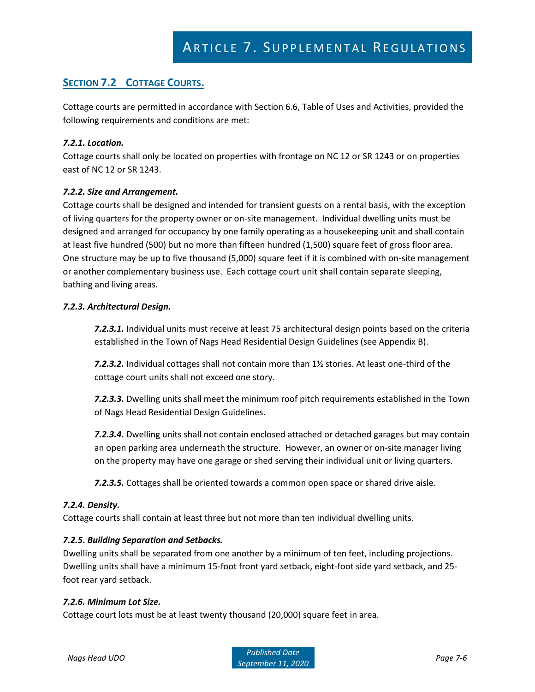# **SECTION 7.2 COTTAGE COURTS.**

Cottage courts are permitted in accordance with Section 6.6, Table of Uses and Activities, provided the following requirements and conditions are met:

#### *7.2.1. Location.*

Cottage courts shall only be located on properties with frontage on NC 12 or SR 1243 or on properties east of NC 12 or SR 1243.

#### *7.2.2. Size and Arrangement.*

Cottage courts shall be designed and intended for transient guests on a rental basis, with the exception of living quarters for the property owner or on-site management. Individual dwelling units must be designed and arranged for occupancy by one family operating as a housekeeping unit and shall contain at least five hundred (500) but no more than fifteen hundred (1,500) square feet of gross floor area. One structure may be up to five thousand (5,000) square feet if it is combined with on-site management or another complementary business use. Each cottage court unit shall contain separate sleeping, bathing and living areas.

#### *7.2.3. Architectural Design.*

*7.2.3.1.* Individual units must receive at least 75 architectural design points based on the criteria established in the Town of Nags Head Residential Design Guidelines (see Appendix B).

*7.2.3.2.* Individual cottages shall not contain more than 1½ stories. At least one-third of the cottage court units shall not exceed one story.

*7.2.3.3.* Dwelling units shall meet the minimum roof pitch requirements established in the Town of Nags Head Residential Design Guidelines.

*7.2.3.4.* Dwelling units shall not contain enclosed attached or detached garages but may contain an open parking area underneath the structure. However, an owner or on-site manager living on the property may have one garage or shed serving their individual unit or living quarters.

*7.2.3.5.* Cottages shall be oriented towards a common open space or shared drive aisle.

#### *7.2.4. Density.*

Cottage courts shall contain at least three but not more than ten individual dwelling units.

#### *7.2.5. Building Separation and Setbacks.*

Dwelling units shall be separated from one another by a minimum of ten feet, including projections. Dwelling units shall have a minimum 15-foot front yard setback, eight-foot side yard setback, and 25 foot rear yard setback.

#### *7.2.6. Minimum Lot Size.*

Cottage court lots must be at least twenty thousand (20,000) square feet in area.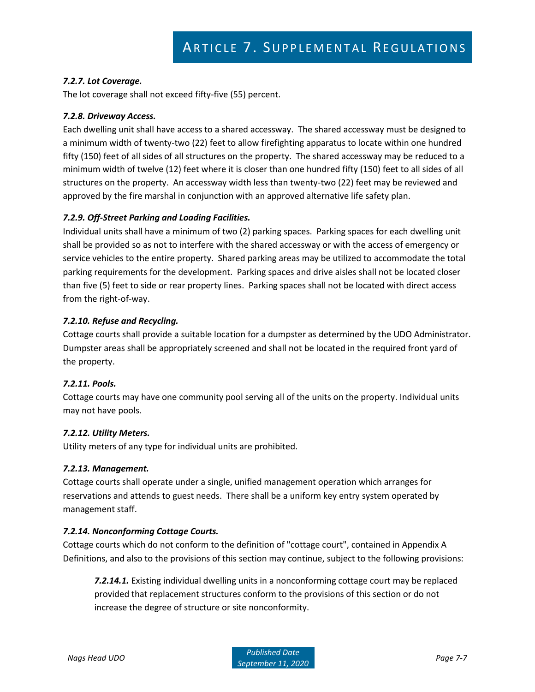### *7.2.7. Lot Coverage.*

The lot coverage shall not exceed fifty-five (55) percent.

#### *7.2.8. Driveway Access.*

Each dwelling unit shall have access to a shared accessway. The shared accessway must be designed to a minimum width of twenty-two (22) feet to allow firefighting apparatus to locate within one hundred fifty (150) feet of all sides of all structures on the property. The shared accessway may be reduced to a minimum width of twelve (12) feet where it is closer than one hundred fifty (150) feet to all sides of all structures on the property. An accessway width less than twenty-two (22) feet may be reviewed and approved by the fire marshal in conjunction with an approved alternative life safety plan.

#### *7.2.9. Off-Street Parking and Loading Facilities.*

Individual units shall have a minimum of two (2) parking spaces. Parking spaces for each dwelling unit shall be provided so as not to interfere with the shared accessway or with the access of emergency or service vehicles to the entire property. Shared parking areas may be utilized to accommodate the total parking requirements for the development. Parking spaces and drive aisles shall not be located closer than five (5) feet to side or rear property lines. Parking spaces shall not be located with direct access from the right-of-way.

#### *7.2.10. Refuse and Recycling.*

Cottage courts shall provide a suitable location for a dumpster as determined by the UDO Administrator. Dumpster areas shall be appropriately screened and shall not be located in the required front yard of the property.

#### *7.2.11. Pools.*

Cottage courts may have one community pool serving all of the units on the property. Individual units may not have pools.

#### *7.2.12. Utility Meters.*

Utility meters of any type for individual units are prohibited.

#### *7.2.13. Management.*

Cottage courts shall operate under a single, unified management operation which arranges for reservations and attends to guest needs. There shall be a uniform key entry system operated by management staff.

#### *7.2.14. Nonconforming Cottage Courts.*

Cottage courts which do not conform to the definition of "cottage court", contained in Appendix A Definitions, and also to the provisions of this section may continue, subject to the following provisions:

*7.2.14.1.* Existing individual dwelling units in a nonconforming cottage court may be replaced provided that replacement structures conform to the provisions of this section or do not increase the degree of structure or site nonconformity.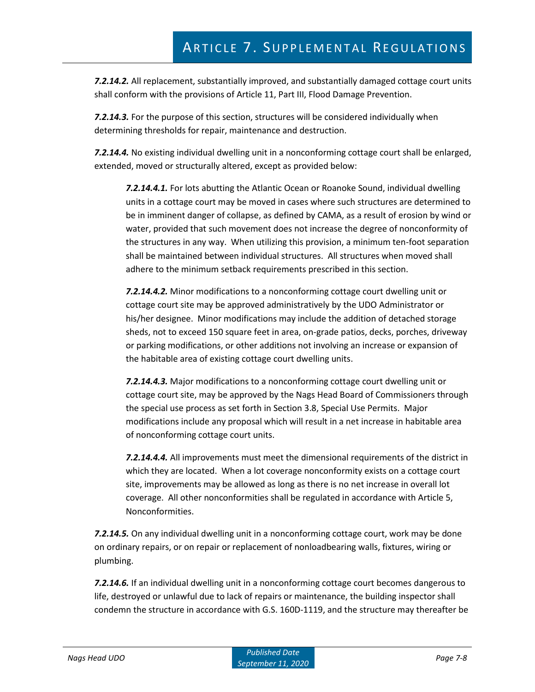*7.2.14.2.* All replacement, substantially improved, and substantially damaged cottage court units shall conform with the provisions of Article 11, Part III, Flood Damage Prevention.

*7.2.14.3.* For the purpose of this section, structures will be considered individually when determining thresholds for repair, maintenance and destruction.

*7.2.14.4.* No existing individual dwelling unit in a nonconforming cottage court shall be enlarged, extended, moved or structurally altered, except as provided below:

*7.2.14.4.1.* For lots abutting the Atlantic Ocean or Roanoke Sound, individual dwelling units in a cottage court may be moved in cases where such structures are determined to be in imminent danger of collapse, as defined by CAMA, as a result of erosion by wind or water, provided that such movement does not increase the degree of nonconformity of the structures in any way. When utilizing this provision, a minimum ten-foot separation shall be maintained between individual structures. All structures when moved shall adhere to the minimum setback requirements prescribed in this section.

*7.2.14.4.2.* Minor modifications to a nonconforming cottage court dwelling unit or cottage court site may be approved administratively by the UDO Administrator or his/her designee. Minor modifications may include the addition of detached storage sheds, not to exceed 150 square feet in area, on-grade patios, decks, porches, driveway or parking modifications, or other additions not involving an increase or expansion of the habitable area of existing cottage court dwelling units.

*7.2.14.4.3.* Major modifications to a nonconforming cottage court dwelling unit or cottage court site, may be approved by the Nags Head Board of Commissioners through the special use process as set forth in Section 3.8, Special Use Permits. Major modifications include any proposal which will result in a net increase in habitable area of nonconforming cottage court units.

*7.2.14.4.4.* All improvements must meet the dimensional requirements of the district in which they are located. When a lot coverage nonconformity exists on a cottage court site, improvements may be allowed as long as there is no net increase in overall lot coverage. All other nonconformities shall be regulated in accordance with Article 5, Nonconformities.

*7.2.14.5.* On any individual dwelling unit in a nonconforming cottage court, work may be done on ordinary repairs, or on repair or replacement of nonloadbearing walls, fixtures, wiring or plumbing.

*7.2.14.6.* If an individual dwelling unit in a nonconforming cottage court becomes dangerous to life, destroyed or unlawful due to lack of repairs or maintenance, the building inspector shall condemn the structure in accordance with G.S. 160D-1119, and the structure may thereafter be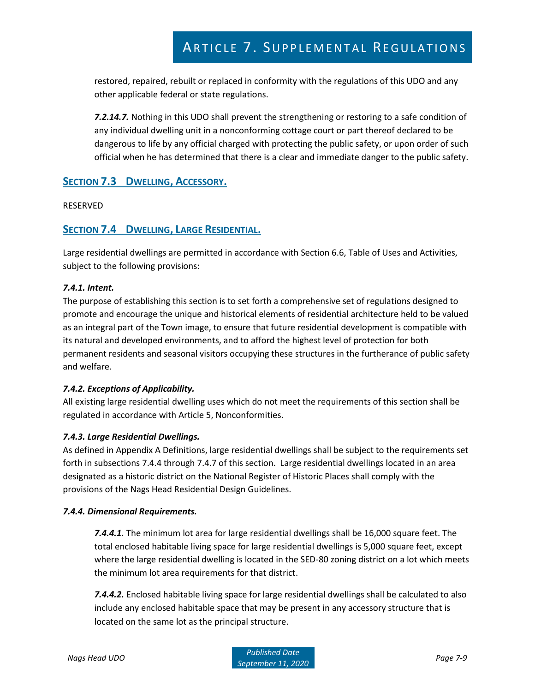restored, repaired, rebuilt or replaced in conformity with the regulations of this UDO and any other applicable federal or state regulations.

*7.2.14.7.* Nothing in this UDO shall prevent the strengthening or restoring to a safe condition of any individual dwelling unit in a nonconforming cottage court or part thereof declared to be dangerous to life by any official charged with protecting the public safety, or upon order of such official when he has determined that there is a clear and immediate danger to the public safety.

## **SECTION 7.3 DWELLING, ACCESSORY.**

#### RESERVED

## **SECTION 7.4 DWELLING, LARGE RESIDENTIAL.**

Large residential dwellings are permitted in accordance with Section 6.6, Table of Uses and Activities, subject to the following provisions:

#### *7.4.1. Intent.*

The purpose of establishing this section is to set forth a comprehensive set of regulations designed to promote and encourage the unique and historical elements of residential architecture held to be valued as an integral part of the Town image, to ensure that future residential development is compatible with its natural and developed environments, and to afford the highest level of protection for both permanent residents and seasonal visitors occupying these structures in the furtherance of public safety and welfare.

#### *7.4.2. Exceptions of Applicability.*

All existing large residential dwelling uses which do not meet the requirements of this section shall be regulated in accordance with Article 5, Nonconformities.

### *7.4.3. Large Residential Dwellings.*

As defined in Appendix A Definitions, large residential dwellings shall be subject to the requirements set forth in subsections 7.4.4 through 7.4.7 of this section. Large residential dwellings located in an area designated as a historic district on the National Register of Historic Places shall comply with the provisions of the Nags Head Residential Design Guidelines.

#### *7.4.4. Dimensional Requirements.*

*7.4.4.1.* The minimum lot area for large residential dwellings shall be 16,000 square feet. The total enclosed habitable living space for large residential dwellings is 5,000 square feet, except where the large residential dwelling is located in the SED-80 zoning district on a lot which meets the minimum lot area requirements for that district.

*7.4.4.2.* Enclosed habitable living space for large residential dwellings shall be calculated to also include any enclosed habitable space that may be present in any accessory structure that is located on the same lot as the principal structure.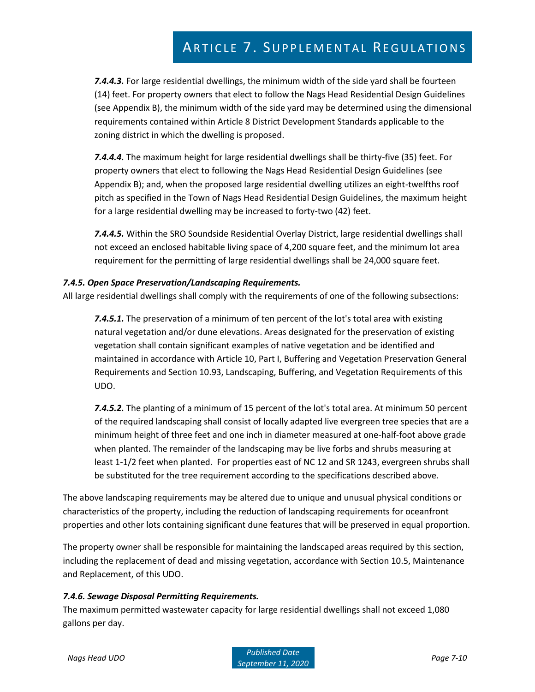*7.4.4.3.* For large residential dwellings, the minimum width of the side yard shall be fourteen (14) feet. For property owners that elect to follow the Nags Head Residential Design Guidelines (see Appendix B), the minimum width of the side yard may be determined using the dimensional requirements contained within Article 8 District Development Standards applicable to the zoning district in which the dwelling is proposed.

*7.4.4.4.* The maximum height for large residential dwellings shall be thirty-five (35) feet. For property owners that elect to following the Nags Head Residential Design Guidelines (see Appendix B); and, when the proposed large residential dwelling utilizes an eight-twelfths roof pitch as specified in the Town of Nags Head Residential Design Guidelines, the maximum height for a large residential dwelling may be increased to forty-two (42) feet.

*7.4.4.5.* Within the SRO Soundside Residential Overlay District, large residential dwellings shall not exceed an enclosed habitable living space of 4,200 square feet, and the minimum lot area requirement for the permitting of large residential dwellings shall be 24,000 square feet.

### *7.4.5. Open Space Preservation/Landscaping Requirements.*

All large residential dwellings shall comply with the requirements of one of the following subsections:

*7.4.5.1.* The preservation of a minimum of ten percent of the lot's total area with existing natural vegetation and/or dune elevations. Areas designated for the preservation of existing vegetation shall contain significant examples of native vegetation and be identified and maintained in accordance with Article 10, Part I, Buffering and Vegetation Preservation General Requirements and Section 10.93, Landscaping, Buffering, and Vegetation Requirements of this UDO.

*7.4.5.2.* The planting of a minimum of 15 percent of the lot's total area. At minimum 50 percent of the required landscaping shall consist of locally adapted live evergreen tree species that are a minimum height of three feet and one inch in diameter measured at one-half-foot above grade when planted. The remainder of the landscaping may be live forbs and shrubs measuring at least 1-1/2 feet when planted. For properties east of NC 12 and SR 1243, evergreen shrubs shall be substituted for the tree requirement according to the specifications described above.

The above landscaping requirements may be altered due to unique and unusual physical conditions or characteristics of the property, including the reduction of landscaping requirements for oceanfront properties and other lots containing significant dune features that will be preserved in equal proportion.

The property owner shall be responsible for maintaining the landscaped areas required by this section, including the replacement of dead and missing vegetation, accordance with Section 10.5, Maintenance and Replacement, of this UDO.

### *7.4.6. Sewage Disposal Permitting Requirements.*

The maximum permitted wastewater capacity for large residential dwellings shall not exceed 1,080 gallons per day.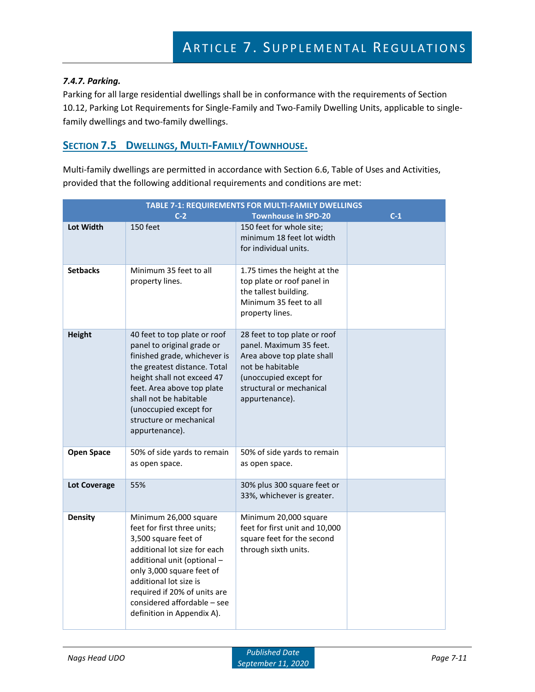#### *7.4.7. Parking.*

Parking for all large residential dwellings shall be in conformance with the requirements of Section 10.12, Parking Lot Requirements for Single-Family and Two-Family Dwelling Units, applicable to singlefamily dwellings and two-family dwellings.

## **SECTION 7.5 DWELLINGS, MULTI-FAMILY/TOWNHOUSE.**

Multi-family dwellings are permitted in accordance with Section 6.6, Table of Uses and Activities, provided that the following additional requirements and conditions are met:

| TABLE 7-1: REQUIREMENTS FOR MULTI-FAMILY DWELLINGS |                                                                                                                                                                                                                                                                                                 |                                                                                                                                                                                   |       |  |  |  |
|----------------------------------------------------|-------------------------------------------------------------------------------------------------------------------------------------------------------------------------------------------------------------------------------------------------------------------------------------------------|-----------------------------------------------------------------------------------------------------------------------------------------------------------------------------------|-------|--|--|--|
| Lot Width                                          | $C-2$<br>150 feet                                                                                                                                                                                                                                                                               | <b>Townhouse in SPD-20</b><br>150 feet for whole site;<br>minimum 18 feet lot width<br>for individual units.                                                                      | $C-1$ |  |  |  |
| <b>Setbacks</b>                                    | Minimum 35 feet to all<br>property lines.                                                                                                                                                                                                                                                       | 1.75 times the height at the<br>top plate or roof panel in<br>the tallest building.<br>Minimum 35 feet to all<br>property lines.                                                  |       |  |  |  |
| <b>Height</b>                                      | 40 feet to top plate or roof<br>panel to original grade or<br>finished grade, whichever is<br>the greatest distance. Total<br>height shall not exceed 47<br>feet. Area above top plate<br>shall not be habitable<br>(unoccupied except for<br>structure or mechanical<br>appurtenance).         | 28 feet to top plate or roof<br>panel. Maximum 35 feet.<br>Area above top plate shall<br>not be habitable<br>(unoccupied except for<br>structural or mechanical<br>appurtenance). |       |  |  |  |
| <b>Open Space</b>                                  | 50% of side yards to remain<br>as open space.                                                                                                                                                                                                                                                   | 50% of side yards to remain<br>as open space.                                                                                                                                     |       |  |  |  |
| <b>Lot Coverage</b>                                | 55%                                                                                                                                                                                                                                                                                             | 30% plus 300 square feet or<br>33%, whichever is greater.                                                                                                                         |       |  |  |  |
| <b>Density</b>                                     | Minimum 26,000 square<br>feet for first three units;<br>3,500 square feet of<br>additional lot size for each<br>additional unit (optional -<br>only 3,000 square feet of<br>additional lot size is<br>required if 20% of units are<br>considered affordable - see<br>definition in Appendix A). | Minimum 20,000 square<br>feet for first unit and 10,000<br>square feet for the second<br>through sixth units.                                                                     |       |  |  |  |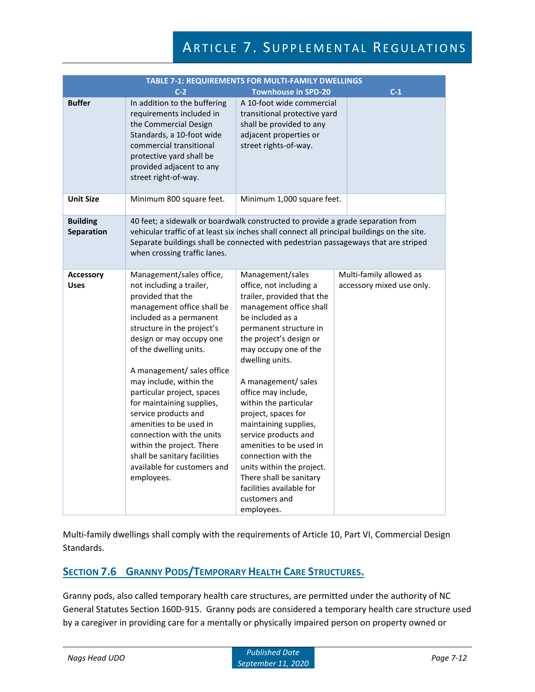| <b>TABLE 7-1: REQUIREMENTS FOR MULTI-FAMILY DWELLINGS</b> |                                                                                                                                                                                                                                                                                                                                                                                                                                                                                                                                      |                                                                                                                                                                                                                                                                                                                                                                                                                                                                                                                                               |                                                      |  |  |
|-----------------------------------------------------------|--------------------------------------------------------------------------------------------------------------------------------------------------------------------------------------------------------------------------------------------------------------------------------------------------------------------------------------------------------------------------------------------------------------------------------------------------------------------------------------------------------------------------------------|-----------------------------------------------------------------------------------------------------------------------------------------------------------------------------------------------------------------------------------------------------------------------------------------------------------------------------------------------------------------------------------------------------------------------------------------------------------------------------------------------------------------------------------------------|------------------------------------------------------|--|--|
|                                                           | $C-2$                                                                                                                                                                                                                                                                                                                                                                                                                                                                                                                                | <b>Townhouse in SPD-20</b>                                                                                                                                                                                                                                                                                                                                                                                                                                                                                                                    | $C-1$                                                |  |  |
| <b>Buffer</b>                                             | In addition to the buffering<br>requirements included in<br>the Commercial Design<br>Standards, a 10-foot wide<br>commercial transitional<br>protective yard shall be<br>provided adjacent to any<br>street right-of-way.                                                                                                                                                                                                                                                                                                            | A 10-foot wide commercial<br>transitional protective yard<br>shall be provided to any<br>adjacent properties or<br>street rights-of-way.                                                                                                                                                                                                                                                                                                                                                                                                      |                                                      |  |  |
| <b>Unit Size</b>                                          | Minimum 800 square feet.                                                                                                                                                                                                                                                                                                                                                                                                                                                                                                             | Minimum 1,000 square feet.                                                                                                                                                                                                                                                                                                                                                                                                                                                                                                                    |                                                      |  |  |
| <b>Building</b><br>Separation                             | when crossing traffic lanes.                                                                                                                                                                                                                                                                                                                                                                                                                                                                                                         | 40 feet; a sidewalk or boardwalk constructed to provide a grade separation from<br>vehicular traffic of at least six inches shall connect all principal buildings on the site.<br>Separate buildings shall be connected with pedestrian passageways that are striped                                                                                                                                                                                                                                                                          |                                                      |  |  |
| <b>Accessory</b><br><b>Uses</b>                           | Management/sales office,<br>not including a trailer,<br>provided that the<br>management office shall be<br>included as a permanent<br>structure in the project's<br>design or may occupy one<br>of the dwelling units.<br>A management/ sales office<br>may include, within the<br>particular project, spaces<br>for maintaining supplies,<br>service products and<br>amenities to be used in<br>connection with the units<br>within the project. There<br>shall be sanitary facilities<br>available for customers and<br>employees. | Management/sales<br>office, not including a<br>trailer, provided that the<br>management office shall<br>be included as a<br>permanent structure in<br>the project's design or<br>may occupy one of the<br>dwelling units.<br>A management/ sales<br>office may include,<br>within the particular<br>project, spaces for<br>maintaining supplies,<br>service products and<br>amenities to be used in<br>connection with the<br>units within the project.<br>There shall be sanitary<br>facilities available for<br>customers and<br>employees. | Multi-family allowed as<br>accessory mixed use only. |  |  |

Multi-family dwellings shall comply with the requirements of Article 10, Part VI, Commercial Design Standards.

## **SECTION 7.6 GRANNY PODS/TEMPORARY HEALTH CARE STRUCTURES.**

Granny pods, also called temporary health care structures, are permitted under the authority of NC General Statutes Section 160D-915. Granny pods are considered a temporary health care structure used by a caregiver in providing care for a mentally or physically impaired person on property owned or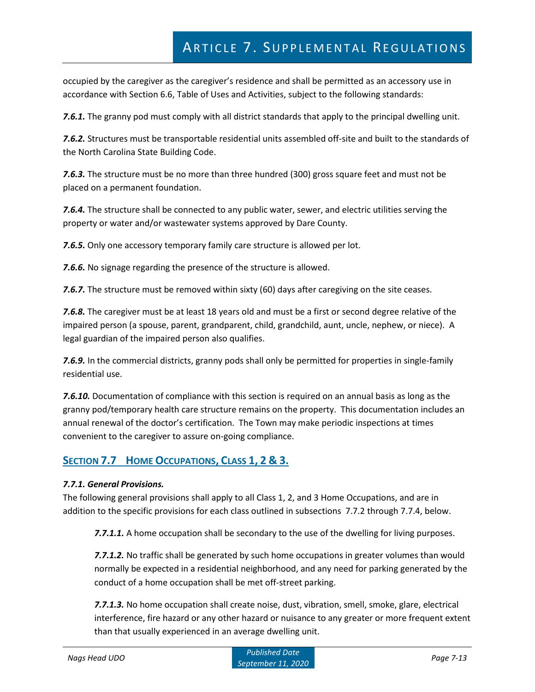occupied by the caregiver as the caregiver's residence and shall be permitted as an accessory use in accordance with Section 6.6, Table of Uses and Activities, subject to the following standards:

*7.6.1.* The granny pod must comply with all district standards that apply to the principal dwelling unit.

*7.6.2.* Structures must be transportable residential units assembled off-site and built to the standards of the North Carolina State Building Code.

*7.6.3.* The structure must be no more than three hundred (300) gross square feet and must not be placed on a permanent foundation.

*7.6.4.* The structure shall be connected to any public water, sewer, and electric utilities serving the property or water and/or wastewater systems approved by Dare County.

*7.6.5.* Only one accessory temporary family care structure is allowed per lot.

*7.6.6.* No signage regarding the presence of the structure is allowed.

**7.6.7.** The structure must be removed within sixty (60) days after caregiving on the site ceases.

*7.6.8.* The caregiver must be at least 18 years old and must be a first or second degree relative of the impaired person (a spouse, parent, grandparent, child, grandchild, aunt, uncle, nephew, or niece). A legal guardian of the impaired person also qualifies.

*7.6.9.* In the commercial districts, granny pods shall only be permitted for properties in single-family residential use.

*7.6.10.* Documentation of compliance with this section is required on an annual basis as long as the granny pod/temporary health care structure remains on the property. This documentation includes an annual renewal of the doctor's certification. The Town may make periodic inspections at times convenient to the caregiver to assure on-going compliance.

## **SECTION 7.7 HOME OCCUPATIONS, CLASS 1, 2 & 3.**

#### *7.7.1. General Provisions.*

The following general provisions shall apply to all Class 1, 2, and 3 Home Occupations, and are in addition to the specific provisions for each class outlined in subsections 7.7.2 through 7.7.4, below.

*7.7.1.1.* A home occupation shall be secondary to the use of the dwelling for living purposes.

*7.7.1.2.* No traffic shall be generated by such home occupations in greater volumes than would normally be expected in a residential neighborhood, and any need for parking generated by the conduct of a home occupation shall be met off-street parking.

*7.7.1.3.* No home occupation shall create noise, dust, vibration, smell, smoke, glare, electrical interference, fire hazard or any other hazard or nuisance to any greater or more frequent extent than that usually experienced in an average dwelling unit.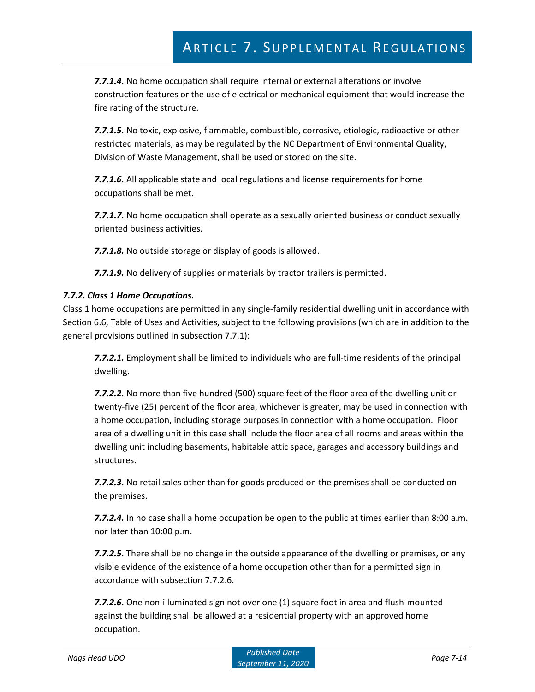*7.7.1.4.* No home occupation shall require internal or external alterations or involve construction features or the use of electrical or mechanical equipment that would increase the fire rating of the structure.

*7.7.1.5.* No toxic, explosive, flammable, combustible, corrosive, etiologic, radioactive or other restricted materials, as may be regulated by the NC Department of Environmental Quality, Division of Waste Management, shall be used or stored on the site.

*7.7.1.6.* All applicable state and local regulations and license requirements for home occupations shall be met.

*7.7.1.7.* No home occupation shall operate as a sexually oriented business or conduct sexually oriented business activities.

*7.7.1.8.* No outside storage or display of goods is allowed.

*7.7.1.9.* No delivery of supplies or materials by tractor trailers is permitted.

#### *7.7.2. Class 1 Home Occupations.*

Class 1 home occupations are permitted in any single-family residential dwelling unit in accordance with Section 6.6, Table of Uses and Activities, subject to the following provisions (which are in addition to the general provisions outlined in subsection 7.7.1):

*7.7.2.1.* Employment shall be limited to individuals who are full-time residents of the principal dwelling.

*7.7.2.2.* No more than five hundred (500) square feet of the floor area of the dwelling unit or twenty-five (25) percent of the floor area, whichever is greater, may be used in connection with a home occupation, including storage purposes in connection with a home occupation. Floor area of a dwelling unit in this case shall include the floor area of all rooms and areas within the dwelling unit including basements, habitable attic space, garages and accessory buildings and structures.

*7.7.2.3.* No retail sales other than for goods produced on the premises shall be conducted on the premises.

*7.7.2.4.* In no case shall a home occupation be open to the public at times earlier than 8:00 a.m. nor later than 10:00 p.m.

*7.7.2.5.* There shall be no change in the outside appearance of the dwelling or premises, or any visible evidence of the existence of a home occupation other than for a permitted sign in accordance with subsection 7.7.2.6.

*7.7.2.6.* One non-illuminated sign not over one (1) square foot in area and flush-mounted against the building shall be allowed at a residential property with an approved home occupation.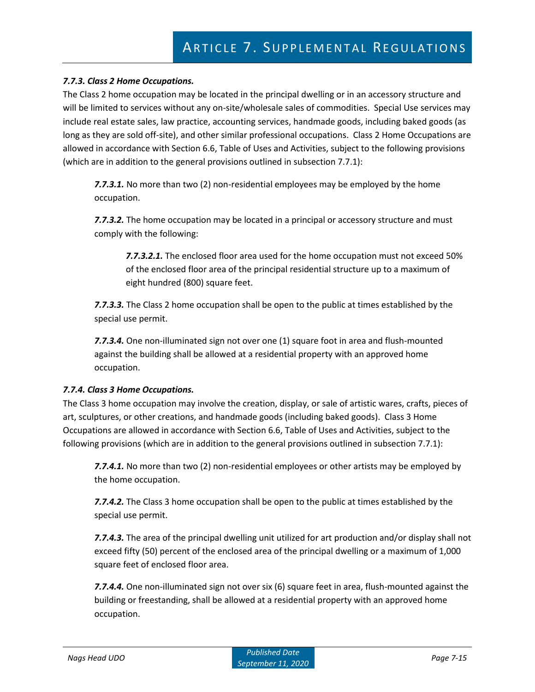#### *7.7.3. Class 2 Home Occupations.*

The Class 2 home occupation may be located in the principal dwelling or in an accessory structure and will be limited to services without any on-site/wholesale sales of commodities. Special Use services may include real estate sales, law practice, accounting services, handmade goods, including baked goods (as long as they are sold off-site), and other similar professional occupations. Class 2 Home Occupations are allowed in accordance with Section 6.6, Table of Uses and Activities, subject to the following provisions (which are in addition to the general provisions outlined in subsection 7.7.1):

*7.7.3.1.* No more than two (2) non-residential employees may be employed by the home occupation.

*7.7.3.2.* The home occupation may be located in a principal or accessory structure and must comply with the following:

*7.7.3.2.1.* The enclosed floor area used for the home occupation must not exceed 50% of the enclosed floor area of the principal residential structure up to a maximum of eight hundred (800) square feet.

*7.7.3.3.* The Class 2 home occupation shall be open to the public at times established by the special use permit.

*7.7.3.4.* One non-illuminated sign not over one (1) square foot in area and flush-mounted against the building shall be allowed at a residential property with an approved home occupation.

#### *7.7.4. Class 3 Home Occupations.*

The Class 3 home occupation may involve the creation, display, or sale of artistic wares, crafts, pieces of art, sculptures, or other creations, and handmade goods (including baked goods). Class 3 Home Occupations are allowed in accordance with Section 6.6, Table of Uses and Activities, subject to the following provisions (which are in addition to the general provisions outlined in subsection 7.7.1):

*7.7.4.1.* No more than two (2) non-residential employees or other artists may be employed by the home occupation.

*7.7.4.2.* The Class 3 home occupation shall be open to the public at times established by the special use permit.

*7.7.4.3.* The area of the principal dwelling unit utilized for art production and/or display shall not exceed fifty (50) percent of the enclosed area of the principal dwelling or a maximum of 1,000 square feet of enclosed floor area.

*7.7.4.4.* One non-illuminated sign not over six (6) square feet in area, flush-mounted against the building or freestanding, shall be allowed at a residential property with an approved home occupation.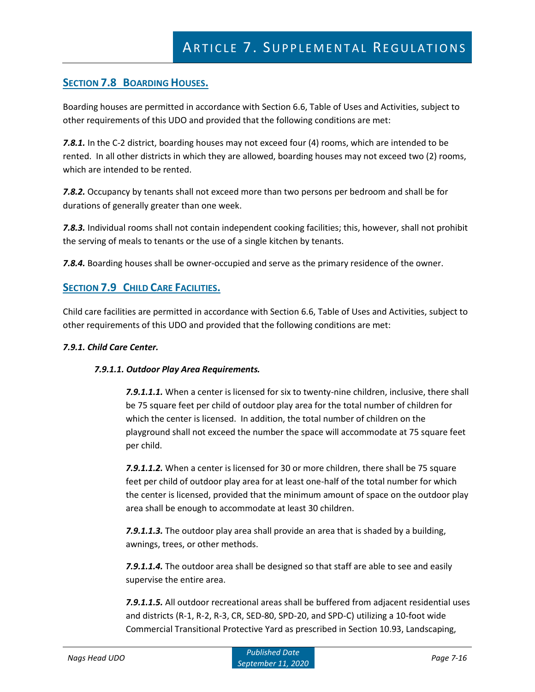## **SECTION 7.8 BOARDING HOUSES.**

Boarding houses are permitted in accordance with Section 6.6, Table of Uses and Activities, subject to other requirements of this UDO and provided that the following conditions are met:

*7.8.1.* In the C-2 district, boarding houses may not exceed four (4) rooms, which are intended to be rented. In all other districts in which they are allowed, boarding houses may not exceed two (2) rooms, which are intended to be rented.

*7.8.2.* Occupancy by tenants shall not exceed more than two persons per bedroom and shall be for durations of generally greater than one week.

*7.8.3.* Individual rooms shall not contain independent cooking facilities; this, however, shall not prohibit the serving of meals to tenants or the use of a single kitchen by tenants.

*7.8.4.* Boarding houses shall be owner-occupied and serve as the primary residence of the owner.

## **SECTION 7.9 CHILD CARE FACILITIES.**

Child care facilities are permitted in accordance with Section 6.6, Table of Uses and Activities, subject to other requirements of this UDO and provided that the following conditions are met:

#### *7.9.1. Child Care Center.*

### *7.9.1.1. Outdoor Play Area Requirements.*

*7.9.1.1.1.* When a center is licensed for six to twenty-nine children, inclusive, there shall be 75 square feet per child of outdoor play area for the total number of children for which the center is licensed. In addition, the total number of children on the playground shall not exceed the number the space will accommodate at 75 square feet per child.

*7.9.1.1.2.* When a center is licensed for 30 or more children, there shall be 75 square feet per child of outdoor play area for at least one-half of the total number for which the center is licensed, provided that the minimum amount of space on the outdoor play area shall be enough to accommodate at least 30 children.

*7.9.1.1.3.* The outdoor play area shall provide an area that is shaded by a building, awnings, trees, or other methods.

*7.9.1.1.4.* The outdoor area shall be designed so that staff are able to see and easily supervise the entire area.

*7.9.1.1.5.* All outdoor recreational areas shall be buffered from adjacent residential uses and districts (R-1, R-2, R-3, CR, SED-80, SPD-20, and SPD-C) utilizing a 10-foot wide Commercial Transitional Protective Yard as prescribed in Section 10.93, Landscaping,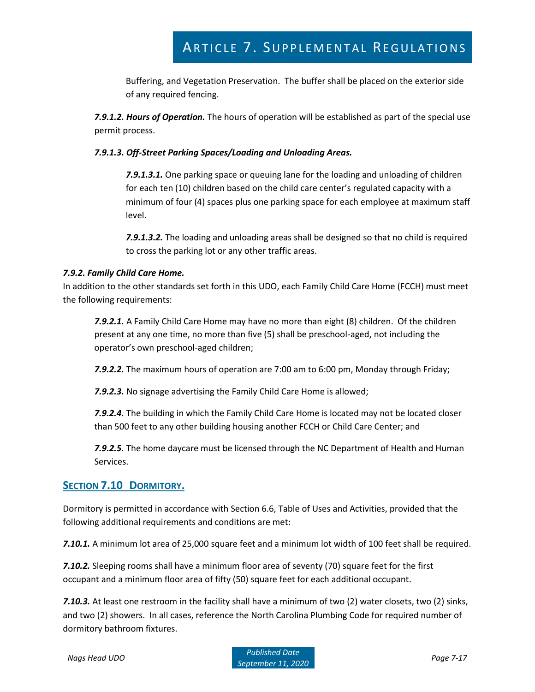Buffering, and Vegetation Preservation. The buffer shall be placed on the exterior side of any required fencing.

*7.9.1.2. Hours of Operation.* The hours of operation will be established as part of the special use permit process.

#### *7.9.1.3. Off-Street Parking Spaces/Loading and Unloading Areas.*

*7.9.1.3.1.* One parking space or queuing lane for the loading and unloading of children for each ten (10) children based on the child care center's regulated capacity with a minimum of four (4) spaces plus one parking space for each employee at maximum staff level.

*7.9.1.3.2.* The loading and unloading areas shall be designed so that no child is required to cross the parking lot or any other traffic areas.

#### *7.9.2. Family Child Care Home.*

In addition to the other standards set forth in this UDO, each Family Child Care Home (FCCH) must meet the following requirements:

*7.9.2.1.* A Family Child Care Home may have no more than eight (8) children. Of the children present at any one time, no more than five (5) shall be preschool-aged, not including the operator's own preschool-aged children;

*7.9.2.2.* The maximum hours of operation are 7:00 am to 6:00 pm, Monday through Friday;

*7.9.2.3.* No signage advertising the Family Child Care Home is allowed;

*7.9.2.4.* The building in which the Family Child Care Home is located may not be located closer than 500 feet to any other building housing another FCCH or Child Care Center; and

*7.9.2.5.* The home daycare must be licensed through the NC Department of Health and Human Services.

## **SECTION 7.10 DORMITORY.**

Dormitory is permitted in accordance with Section 6.6, Table of Uses and Activities, provided that the following additional requirements and conditions are met:

*7.10.1.* A minimum lot area of 25,000 square feet and a minimum lot width of 100 feet shall be required.

*7.10.2.* Sleeping rooms shall have a minimum floor area of seventy (70) square feet for the first occupant and a minimum floor area of fifty (50) square feet for each additional occupant.

*7.10.3.* At least one restroom in the facility shall have a minimum of two (2) water closets, two (2) sinks, and two (2) showers. In all cases, reference the North Carolina Plumbing Code for required number of dormitory bathroom fixtures.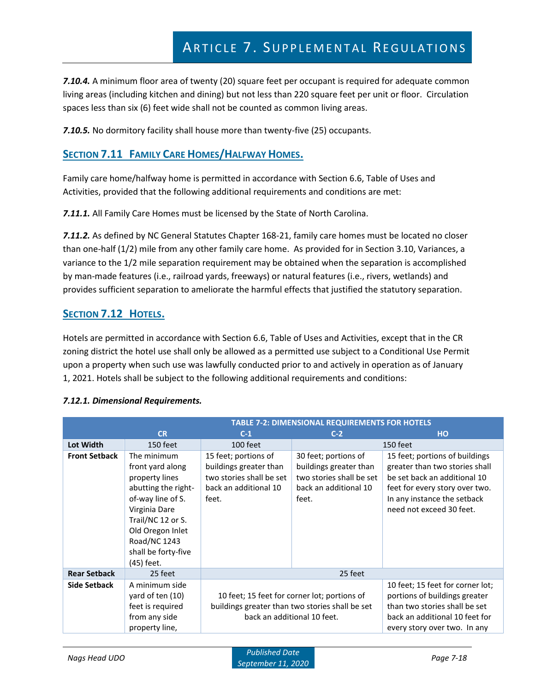*7.10.4.* A minimum floor area of twenty (20) square feet per occupant is required for adequate common living areas (including kitchen and dining) but not less than 220 square feet per unit or floor. Circulation spaces less than six (6) feet wide shall not be counted as common living areas.

*7.10.5.* No dormitory facility shall house more than twenty-five (25) occupants.

## **SECTION 7.11 FAMILY CARE HOMES/HALFWAY HOMES.**

Family care home/halfway home is permitted in accordance with Section 6.6, Table of Uses and Activities, provided that the following additional requirements and conditions are met:

*7.11.1.* All Family Care Homes must be licensed by the State of North Carolina.

*7.11.2.* As defined by NC General Statutes Chapter 168-21, family care homes must be located no closer than one-half (1/2) mile from any other family care home. As provided for in Section 3.10, Variances, a variance to the 1/2 mile separation requirement may be obtained when the separation is accomplished by man-made features (i.e., railroad yards, freeways) or natural features (i.e., rivers, wetlands) and provides sufficient separation to ameliorate the harmful effects that justified the statutory separation.

## **SECTION 7.12 HOTELS.**

Hotels are permitted in accordance with Section 6.6, Table of Uses and Activities, except that in the CR zoning district the hotel use shall only be allowed as a permitted use subject to a Conditional Use Permit upon a property when such use was lawfully conducted prior to and actively in operation as of January 1, 2021. Hotels shall be subject to the following additional requirements and conditions:

|                      | <b>TABLE 7-2: DIMENSIONAL REQUIREMENTS FOR HOTELS</b>                                                                                                                                                        |                                                                                                                                |                                                                                                              |                                                                                                                                                                                               |  |
|----------------------|--------------------------------------------------------------------------------------------------------------------------------------------------------------------------------------------------------------|--------------------------------------------------------------------------------------------------------------------------------|--------------------------------------------------------------------------------------------------------------|-----------------------------------------------------------------------------------------------------------------------------------------------------------------------------------------------|--|
|                      | <b>CR</b>                                                                                                                                                                                                    | $C-1$                                                                                                                          | $C-2$                                                                                                        | <b>HO</b>                                                                                                                                                                                     |  |
| Lot Width            | 150 feet                                                                                                                                                                                                     | 100 feet                                                                                                                       | 150 feet                                                                                                     |                                                                                                                                                                                               |  |
| <b>Front Setback</b> | The minimum<br>front yard along<br>property lines<br>abutting the right-<br>of-way line of S.<br>Virginia Dare<br>Trail/NC 12 or S.<br>Old Oregon Inlet<br>Road/NC 1243<br>shall be forty-five<br>(45) feet. | 15 feet; portions of<br>buildings greater than<br>two stories shall be set<br>back an additional 10<br>feet.                   | 30 feet; portions of<br>buildings greater than<br>two stories shall be set<br>back an additional 10<br>feet. | 15 feet; portions of buildings<br>greater than two stories shall<br>be set back an additional 10<br>feet for every story over two.<br>In any instance the setback<br>need not exceed 30 feet. |  |
| <b>Rear Setback</b>  | 25 feet<br>25 feet                                                                                                                                                                                           |                                                                                                                                |                                                                                                              |                                                                                                                                                                                               |  |
| Side Setback         | A minimum side<br>yard of ten (10)<br>feet is required<br>from any side<br>property line,                                                                                                                    | 10 feet; 15 feet for corner lot; portions of<br>buildings greater than two stories shall be set<br>back an additional 10 feet. |                                                                                                              | 10 feet; 15 feet for corner lot;<br>portions of buildings greater<br>than two stories shall be set<br>back an additional 10 feet for<br>every story over two. In any                          |  |

#### *7.12.1. Dimensional Requirements.*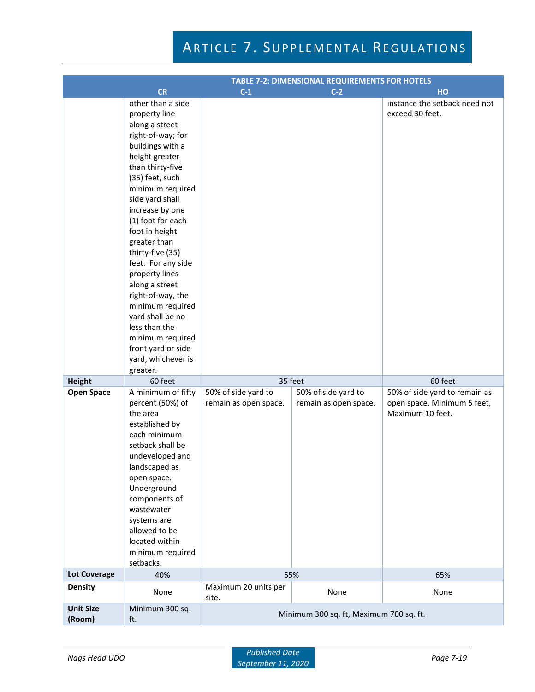|                                    | <b>TABLE 7-2: DIMENSIONAL REQUIREMENTS FOR HOTELS</b>                                                                                                                                                                                                                                                                                                                                                                                                                                                           |                                              |                                                         |                                                                                             |  |
|------------------------------------|-----------------------------------------------------------------------------------------------------------------------------------------------------------------------------------------------------------------------------------------------------------------------------------------------------------------------------------------------------------------------------------------------------------------------------------------------------------------------------------------------------------------|----------------------------------------------|---------------------------------------------------------|---------------------------------------------------------------------------------------------|--|
|                                    | <b>CR</b>                                                                                                                                                                                                                                                                                                                                                                                                                                                                                                       | $C-1$                                        | $C-2$                                                   | HO                                                                                          |  |
|                                    | other than a side<br>property line<br>along a street<br>right-of-way; for<br>buildings with a<br>height greater<br>than thirty-five<br>(35) feet, such<br>minimum required<br>side yard shall<br>increase by one<br>(1) foot for each<br>foot in height<br>greater than<br>thirty-five (35)<br>feet. For any side<br>property lines<br>along a street<br>right-of-way, the<br>minimum required<br>yard shall be no<br>less than the<br>minimum required<br>front yard or side<br>yard, whichever is<br>greater. |                                              |                                                         | instance the setback need not<br>exceed 30 feet.                                            |  |
| <b>Height</b><br><b>Open Space</b> | 60 feet<br>A minimum of fifty<br>percent (50%) of<br>the area<br>established by<br>each minimum<br>setback shall be<br>undeveloped and<br>landscaped as<br>open space.<br>Underground<br>components of<br>wastewater<br>systems are<br>allowed to be<br>located within<br>minimum required<br>setbacks.                                                                                                                                                                                                         | 50% of side yard to<br>remain as open space. | 35 feet<br>50% of side yard to<br>remain as open space. | 60 feet<br>50% of side yard to remain as<br>open space. Minimum 5 feet,<br>Maximum 10 feet. |  |
| <b>Lot Coverage</b>                | 40%                                                                                                                                                                                                                                                                                                                                                                                                                                                                                                             |                                              | 55%                                                     | 65%                                                                                         |  |
| <b>Density</b>                     |                                                                                                                                                                                                                                                                                                                                                                                                                                                                                                                 | Maximum 20 units per                         |                                                         |                                                                                             |  |
|                                    | None                                                                                                                                                                                                                                                                                                                                                                                                                                                                                                            | site.                                        | None                                                    | None                                                                                        |  |
| <b>Unit Size</b><br>(Room)         | Minimum 300 sq.<br>ft.                                                                                                                                                                                                                                                                                                                                                                                                                                                                                          | Minimum 300 sq. ft, Maximum 700 sq. ft.      |                                                         |                                                                                             |  |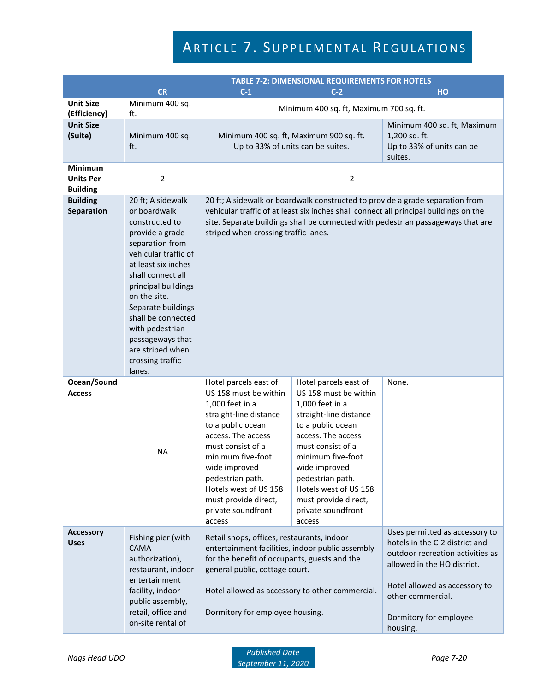|                                                       |                                                                                                                                                                                                                                                                                                                                           |                                                                                                                                                                                                                                                                                                        | <b>TABLE 7-2: DIMENSIONAL REQUIREMENTS FOR HOTELS</b>                                                                                                                                                                                                                                                  |                                                                                                                                                                                                                                 |
|-------------------------------------------------------|-------------------------------------------------------------------------------------------------------------------------------------------------------------------------------------------------------------------------------------------------------------------------------------------------------------------------------------------|--------------------------------------------------------------------------------------------------------------------------------------------------------------------------------------------------------------------------------------------------------------------------------------------------------|--------------------------------------------------------------------------------------------------------------------------------------------------------------------------------------------------------------------------------------------------------------------------------------------------------|---------------------------------------------------------------------------------------------------------------------------------------------------------------------------------------------------------------------------------|
|                                                       | <b>CR</b>                                                                                                                                                                                                                                                                                                                                 | $C-1$<br>$C-2$<br>HO                                                                                                                                                                                                                                                                                   |                                                                                                                                                                                                                                                                                                        |                                                                                                                                                                                                                                 |
| <b>Unit Size</b><br>(Efficiency)                      | Minimum 400 sq.<br>ft.                                                                                                                                                                                                                                                                                                                    |                                                                                                                                                                                                                                                                                                        | Minimum 400 sq. ft, Maximum 700 sq. ft.                                                                                                                                                                                                                                                                |                                                                                                                                                                                                                                 |
| <b>Unit Size</b><br>(Suite)                           | Minimum 400 sq.<br>ft.                                                                                                                                                                                                                                                                                                                    | Minimum 400 sq. ft, Maximum 900 sq. ft.<br>Up to 33% of units can be suites.                                                                                                                                                                                                                           | Minimum 400 sq. ft, Maximum<br>1,200 sq. ft.<br>Up to 33% of units can be<br>suites.                                                                                                                                                                                                                   |                                                                                                                                                                                                                                 |
| <b>Minimum</b><br><b>Units Per</b><br><b>Building</b> | $\overline{2}$                                                                                                                                                                                                                                                                                                                            |                                                                                                                                                                                                                                                                                                        | 2                                                                                                                                                                                                                                                                                                      |                                                                                                                                                                                                                                 |
| <b>Building</b><br>Separation                         | 20 ft; A sidewalk<br>or boardwalk<br>constructed to<br>provide a grade<br>separation from<br>vehicular traffic of<br>at least six inches<br>shall connect all<br>principal buildings<br>on the site.<br>Separate buildings<br>shall be connected<br>with pedestrian<br>passageways that<br>are striped when<br>crossing traffic<br>lanes. | 20 ft; A sidewalk or boardwalk constructed to provide a grade separation from<br>vehicular traffic of at least six inches shall connect all principal buildings on the<br>site. Separate buildings shall be connected with pedestrian passageways that are<br>striped when crossing traffic lanes.     |                                                                                                                                                                                                                                                                                                        |                                                                                                                                                                                                                                 |
| Ocean/Sound<br><b>Access</b>                          | <b>NA</b>                                                                                                                                                                                                                                                                                                                                 | Hotel parcels east of<br>US 158 must be within<br>1,000 feet in a<br>straight-line distance<br>to a public ocean<br>access. The access<br>must consist of a<br>minimum five-foot<br>wide improved<br>pedestrian path.<br>Hotels west of US 158<br>must provide direct,<br>private soundfront<br>access | Hotel parcels east of<br>US 158 must be within<br>1,000 feet in a<br>straight-line distance<br>to a public ocean<br>access. The access<br>must consist of a<br>minimum five-foot<br>wide improved<br>pedestrian path.<br>Hotels west of US 158<br>must provide direct,<br>private soundfront<br>access | None.                                                                                                                                                                                                                           |
| <b>Accessory</b><br><b>Uses</b>                       | Fishing pier (with<br><b>CAMA</b><br>authorization),<br>restaurant, indoor<br>entertainment<br>facility, indoor<br>public assembly,<br>retail, office and<br>on-site rental of                                                                                                                                                            | Retail shops, offices, restaurants, indoor<br>entertainment facilities, indoor public assembly<br>for the benefit of occupants, guests and the<br>general public, cottage court.<br>Dormitory for employee housing.                                                                                    | Hotel allowed as accessory to other commercial.                                                                                                                                                                                                                                                        | Uses permitted as accessory to<br>hotels in the C-2 district and<br>outdoor recreation activities as<br>allowed in the HO district.<br>Hotel allowed as accessory to<br>other commercial.<br>Dormitory for employee<br>housing. |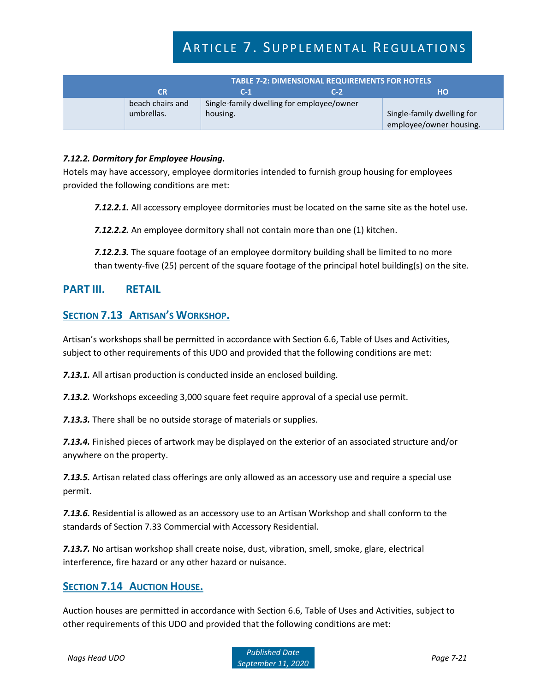| <b>TABLE 7-2: DIMENSIONAL REQUIREMENTS FOR HOTELS</b> |                                           |       |                            |  |
|-------------------------------------------------------|-------------------------------------------|-------|----------------------------|--|
| CR                                                    | $C-1$                                     | $C-2$ | HО                         |  |
| beach chairs and                                      | Single-family dwelling for employee/owner |       |                            |  |
| umbrellas.                                            | housing.                                  |       | Single-family dwelling for |  |
|                                                       |                                           |       | employee/owner housing.    |  |

#### *7.12.2. Dormitory for Employee Housing.*

Hotels may have accessory, employee dormitories intended to furnish group housing for employees provided the following conditions are met:

*7.12.2.1.* All accessory employee dormitories must be located on the same site as the hotel use.

*7.12.2.2.* An employee dormitory shall not contain more than one (1) kitchen.

*7.12.2.3.* The square footage of an employee dormitory building shall be limited to no more than twenty-five (25) percent of the square footage of the principal hotel building(s) on the site.

### **PART III. RETAIL**

### **SECTION 7.13 ARTISAN'S WORKSHOP.**

Artisan's workshops shall be permitted in accordance with Section 6.6, Table of Uses and Activities, subject to other requirements of this UDO and provided that the following conditions are met:

*7.13.1.* All artisan production is conducted inside an enclosed building.

**7.13.2.** Workshops exceeding 3,000 square feet require approval of a special use permit.

*7.13.3.* There shall be no outside storage of materials or supplies.

*7.13.4.* Finished pieces of artwork may be displayed on the exterior of an associated structure and/or anywhere on the property.

*7.13.5.* Artisan related class offerings are only allowed as an accessory use and require a special use permit.

*7.13.6.* Residential is allowed as an accessory use to an Artisan Workshop and shall conform to the standards of Section 7.33 Commercial with Accessory Residential.

*7.13.7.* No artisan workshop shall create noise, dust, vibration, smell, smoke, glare, electrical interference, fire hazard or any other hazard or nuisance.

## **SECTION 7.14 AUCTION HOUSE.**

Auction houses are permitted in accordance with Section 6.6, Table of Uses and Activities, subject to other requirements of this UDO and provided that the following conditions are met: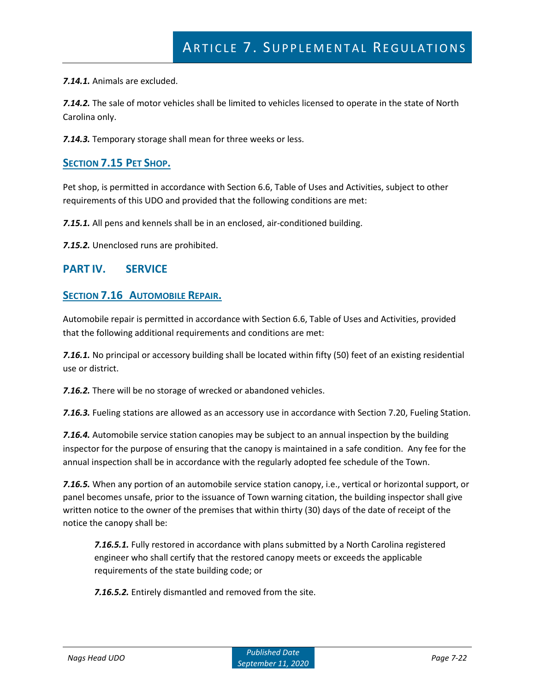*7.14.1.* Animals are excluded.

*7.14.2.* The sale of motor vehicles shall be limited to vehicles licensed to operate in the state of North Carolina only.

*7.14.3.* Temporary storage shall mean for three weeks or less.

## **SECTION 7.15 PET SHOP.**

Pet shop, is permitted in accordance with Section 6.6, Table of Uses and Activities, subject to other requirements of this UDO and provided that the following conditions are met:

*7.15.1.* All pens and kennels shall be in an enclosed, air-conditioned building.

*7.15.2.* Unenclosed runs are prohibited.

### **PART IV. SERVICE**

### **SECTION 7.16 AUTOMOBILE REPAIR.**

Automobile repair is permitted in accordance with Section 6.6, Table of Uses and Activities, provided that the following additional requirements and conditions are met:

*7.16.1.* No principal or accessory building shall be located within fifty (50) feet of an existing residential use or district.

*7.16.2.* There will be no storage of wrecked or abandoned vehicles.

*7.16.3.* Fueling stations are allowed as an accessory use in accordance with Section 7.20, Fueling Station.

*7.16.4.* Automobile service station canopies may be subject to an annual inspection by the building inspector for the purpose of ensuring that the canopy is maintained in a safe condition. Any fee for the annual inspection shall be in accordance with the regularly adopted fee schedule of the Town.

*7.16.5.* When any portion of an automobile service station canopy, i.e., vertical or horizontal support, or panel becomes unsafe, prior to the issuance of Town warning citation, the building inspector shall give written notice to the owner of the premises that within thirty (30) days of the date of receipt of the notice the canopy shall be:

*7.16.5.1.* Fully restored in accordance with plans submitted by a North Carolina registered engineer who shall certify that the restored canopy meets or exceeds the applicable requirements of the state building code; or

*7.16.5.2.* Entirely dismantled and removed from the site.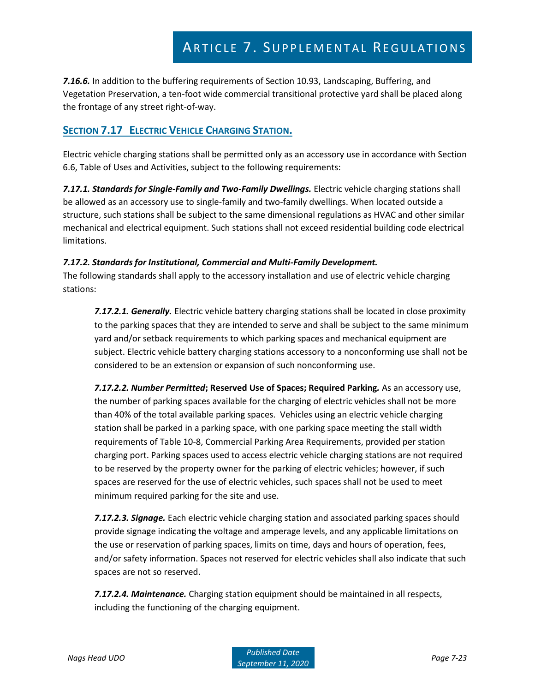*7.16.6.* In addition to the buffering requirements of Section 10.93, Landscaping, Buffering, and Vegetation Preservation, a ten-foot wide commercial transitional protective yard shall be placed along the frontage of any street right-of-way.

## **SECTION 7.17 ELECTRIC VEHICLE CHARGING STATION.**

Electric vehicle charging stations shall be permitted only as an accessory use in accordance with Section 6.6, Table of Uses and Activities, subject to the following requirements:

*7.17.1. Standards for Single-Family and Two-Family Dwellings.* Electric vehicle charging stations shall be allowed as an accessory use to single-family and two-family dwellings. When located outside a structure, such stations shall be subject to the same dimensional regulations as HVAC and other similar mechanical and electrical equipment. Such stations shall not exceed residential building code electrical limitations.

#### *7.17.2. Standards for Institutional, Commercial and Multi-Family Development.*

The following standards shall apply to the accessory installation and use of electric vehicle charging stations:

*7.17.2.1. Generally.* Electric vehicle battery charging stations shall be located in close proximity to the parking spaces that they are intended to serve and shall be subject to the same minimum yard and/or setback requirements to which parking spaces and mechanical equipment are subject. Electric vehicle battery charging stations accessory to a nonconforming use shall not be considered to be an extension or expansion of such nonconforming use.

*7.17.2.2. Number Permitted***; Reserved Use of Spaces; Required Parking***.* As an accessory use, the number of parking spaces available for the charging of electric vehicles shall not be more than 40% of the total available parking spaces. Vehicles using an electric vehicle charging station shall be parked in a parking space, with one parking space meeting the stall width requirements of Table 10-8, Commercial Parking Area Requirements, provided per station charging port. Parking spaces used to access electric vehicle charging stations are not required to be reserved by the property owner for the parking of electric vehicles; however, if such spaces are reserved for the use of electric vehicles, such spaces shall not be used to meet minimum required parking for the site and use.

*7.17.2.3. Signage.* Each electric vehicle charging station and associated parking spaces should provide signage indicating the voltage and amperage levels, and any applicable limitations on the use or reservation of parking spaces, limits on time, days and hours of operation, fees, and/or safety information. Spaces not reserved for electric vehicles shall also indicate that such spaces are not so reserved.

*7.17.2.4. Maintenance.* Charging station equipment should be maintained in all respects, including the functioning of the charging equipment.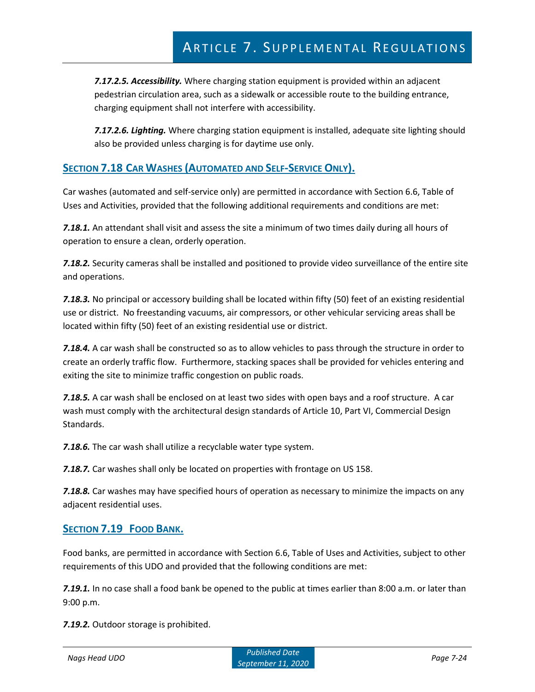*7.17.2.5. Accessibility.* Where charging station equipment is provided within an adjacent pedestrian circulation area, such as a sidewalk or accessible route to the building entrance, charging equipment shall not interfere with accessibility.

*7.17.2.6. Lighting.* Where charging station equipment is installed, adequate site lighting should also be provided unless charging is for daytime use only.

## **SECTION 7.18 CAR WASHES (AUTOMATED AND SELF-SERVICE ONLY).**

Car washes (automated and self-service only) are permitted in accordance with Section 6.6, Table of Uses and Activities, provided that the following additional requirements and conditions are met:

*7.18.1.* An attendant shall visit and assess the site a minimum of two times daily during all hours of operation to ensure a clean, orderly operation.

*7.18.2.* Security cameras shall be installed and positioned to provide video surveillance of the entire site and operations.

*7.18.3.* No principal or accessory building shall be located within fifty (50) feet of an existing residential use or district. No freestanding vacuums, air compressors, or other vehicular servicing areas shall be located within fifty (50) feet of an existing residential use or district.

*7.18.4.* A car wash shall be constructed so as to allow vehicles to pass through the structure in order to create an orderly traffic flow. Furthermore, stacking spaces shall be provided for vehicles entering and exiting the site to minimize traffic congestion on public roads.

*7.18.5.* A car wash shall be enclosed on at least two sides with open bays and a roof structure. A car wash must comply with the architectural design standards of Article 10, Part VI, Commercial Design Standards.

*7.18.6.* The car wash shall utilize a recyclable water type system.

*7.18.7.* Car washes shall only be located on properties with frontage on US 158.

*7.18.8.* Car washes may have specified hours of operation as necessary to minimize the impacts on any adjacent residential uses.

### **SECTION 7.19 FOOD BANK.**

Food banks, are permitted in accordance with Section 6.6, Table of Uses and Activities, subject to other requirements of this UDO and provided that the following conditions are met:

*7.19.1.* In no case shall a food bank be opened to the public at times earlier than 8:00 a.m. or later than 9:00 p.m.

*7.19.2.* Outdoor storage is prohibited.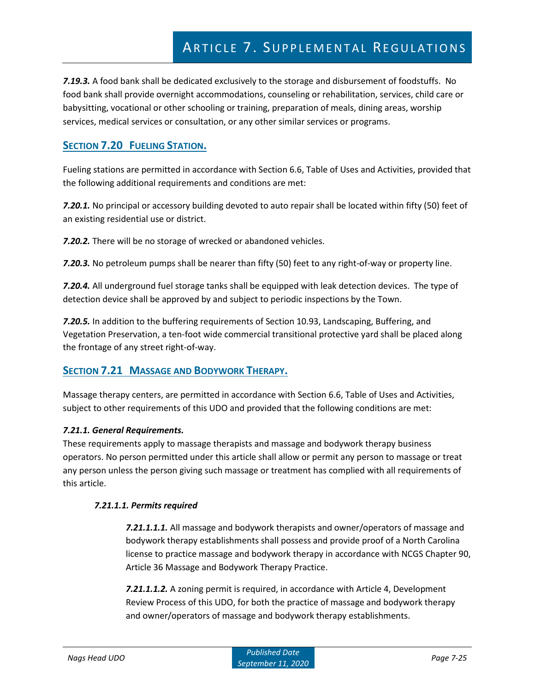*7.19.3.* A food bank shall be dedicated exclusively to the storage and disbursement of foodstuffs. No food bank shall provide overnight accommodations, counseling or rehabilitation, services, child care or babysitting, vocational or other schooling or training, preparation of meals, dining areas, worship services, medical services or consultation, or any other similar services or programs.

## **SECTION 7.20 FUELING STATION.**

Fueling stations are permitted in accordance with Section 6.6, Table of Uses and Activities, provided that the following additional requirements and conditions are met:

*7.20.1.* No principal or accessory building devoted to auto repair shall be located within fifty (50) feet of an existing residential use or district.

*7.20.2.* There will be no storage of wrecked or abandoned vehicles.

*7.20.3.* No petroleum pumps shall be nearer than fifty (50) feet to any right-of-way or property line.

*7.20.4.* All underground fuel storage tanks shall be equipped with leak detection devices. The type of detection device shall be approved by and subject to periodic inspections by the Town.

*7.20.5.* In addition to the buffering requirements of Section 10.93, Landscaping, Buffering, and Vegetation Preservation, a ten-foot wide commercial transitional protective yard shall be placed along the frontage of any street right-of-way.

## **SECTION 7.21 MASSAGE AND BODYWORK THERAPY.**

Massage therapy centers, are permitted in accordance with Section 6.6, Table of Uses and Activities, subject to other requirements of this UDO and provided that the following conditions are met:

#### *7.21.1. General Requirements.*

These requirements apply to massage therapists and massage and bodywork therapy business operators. No person permitted under this article shall allow or permit any person to massage or treat any person unless the person giving such massage or treatment has complied with all requirements of this article.

#### *7.21.1.1. Permits required*

*7.21.1.1.1.* All massage and bodywork therapists and owner/operators of massage and bodywork therapy establishments shall possess and provide proof of a North Carolina license to practice massage and bodywork therapy in accordance with NCGS Chapter 90, Article 36 Massage and Bodywork Therapy Practice.

*7.21.1.1.2.* A zoning permit is required, in accordance with Article 4, Development Review Process of this UDO, for both the practice of massage and bodywork therapy and owner/operators of massage and bodywork therapy establishments.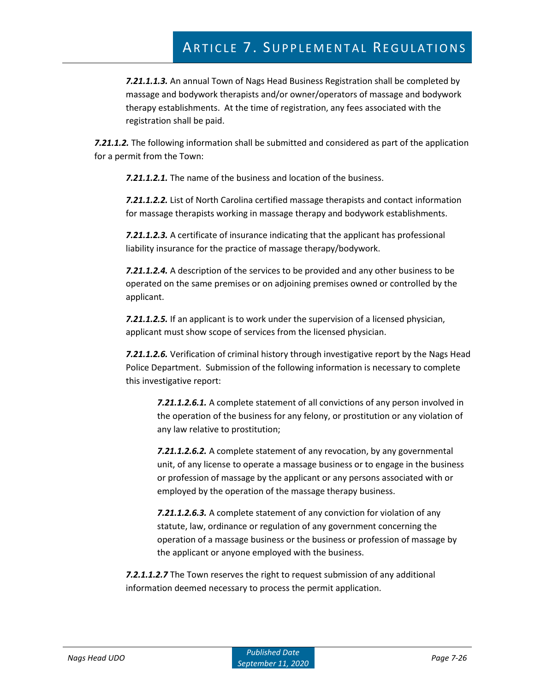*7.21.1.1.3.* An annual Town of Nags Head Business Registration shall be completed by massage and bodywork therapists and/or owner/operators of massage and bodywork therapy establishments. At the time of registration, any fees associated with the registration shall be paid.

*7.21.1.2.* The following information shall be submitted and considered as part of the application for a permit from the Town:

*7.21.1.2.1.* The name of the business and location of the business.

*7.21.1.2.2.* List of North Carolina certified massage therapists and contact information for massage therapists working in massage therapy and bodywork establishments.

*7.21.1.2.3.* A certificate of insurance indicating that the applicant has professional liability insurance for the practice of massage therapy/bodywork.

*7.21.1.2.4.* A description of the services to be provided and any other business to be operated on the same premises or on adjoining premises owned or controlled by the applicant.

*7.21.1.2.5.* If an applicant is to work under the supervision of a licensed physician, applicant must show scope of services from the licensed physician.

*7.21.1.2.6.* Verification of criminal history through investigative report by the Nags Head Police Department. Submission of the following information is necessary to complete this investigative report:

*7.21.1.2.6.1.* A complete statement of all convictions of any person involved in the operation of the business for any felony, or prostitution or any violation of any law relative to prostitution;

*7.21.1.2.6.2.* A complete statement of any revocation, by any governmental unit, of any license to operate a massage business or to engage in the business or profession of massage by the applicant or any persons associated with or employed by the operation of the massage therapy business.

*7.21.1.2.6.3.* A complete statement of any conviction for violation of any statute, law, ordinance or regulation of any government concerning the operation of a massage business or the business or profession of massage by the applicant or anyone employed with the business.

*7.2.1.1.2.7* The Town reserves the right to request submission of any additional information deemed necessary to process the permit application.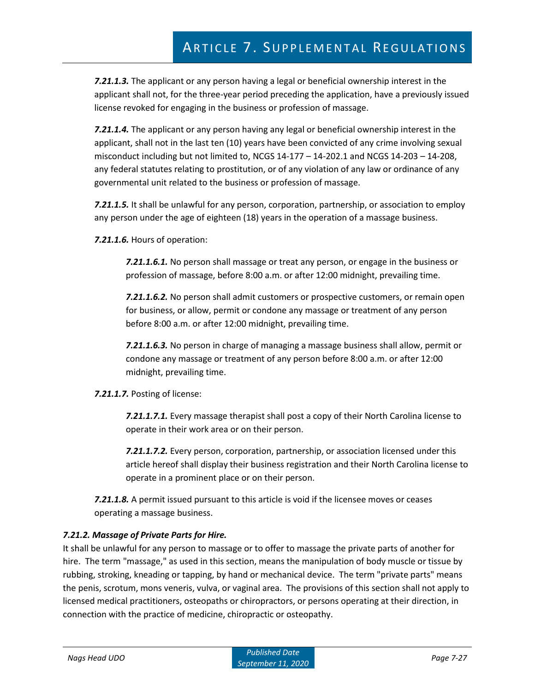*7.21.1.3.* The applicant or any person having a legal or beneficial ownership interest in the applicant shall not, for the three-year period preceding the application, have a previously issued license revoked for engaging in the business or profession of massage.

*7.21.1.4.* The applicant or any person having any legal or beneficial ownership interest in the applicant, shall not in the last ten (10) years have been convicted of any crime involving sexual misconduct including but not limited to, NCGS 14-177 – 14-202.1 and NCGS 14-203 – 14-208, any federal statutes relating to prostitution, or of any violation of any law or ordinance of any governmental unit related to the business or profession of massage.

*7.21.1.5.* It shall be unlawful for any person, corporation, partnership, or association to employ any person under the age of eighteen (18) years in the operation of a massage business.

*7.21.1.6.* Hours of operation:

*7.21.1.6.1.* No person shall massage or treat any person, or engage in the business or profession of massage, before 8:00 a.m. or after 12:00 midnight, prevailing time.

*7.21.1.6.2.* No person shall admit customers or prospective customers, or remain open for business, or allow, permit or condone any massage or treatment of any person before 8:00 a.m. or after 12:00 midnight, prevailing time.

*7.21.1.6.3.* No person in charge of managing a massage business shall allow, permit or condone any massage or treatment of any person before 8:00 a.m. or after 12:00 midnight, prevailing time.

*7.21.1.7.* Posting of license:

*7.21.1.7.1.* Every massage therapist shall post a copy of their North Carolina license to operate in their work area or on their person.

*7.21.1.7.2.* Every person, corporation, partnership, or association licensed under this article hereof shall display their business registration and their North Carolina license to operate in a prominent place or on their person.

*7.21.1.8.* A permit issued pursuant to this article is void if the licensee moves or ceases operating a massage business.

### *7.21.2. Massage of Private Parts for Hire.*

It shall be unlawful for any person to massage or to offer to massage the private parts of another for hire. The term "massage," as used in this section, means the manipulation of body muscle or tissue by rubbing, stroking, kneading or tapping, by hand or mechanical device. The term "private parts" means the penis, scrotum, mons veneris, vulva, or vaginal area. The provisions of this section shall not apply to licensed medical practitioners, osteopaths or chiropractors, or persons operating at their direction, in connection with the practice of medicine, chiropractic or osteopathy.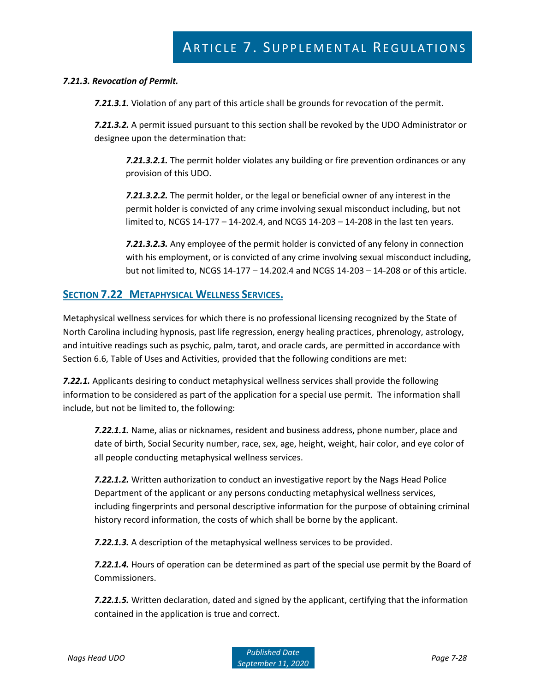#### *7.21.3. Revocation of Permit.*

*7.21.3.1.* Violation of any part of this article shall be grounds for revocation of the permit.

*7.21.3.2.* A permit issued pursuant to this section shall be revoked by the UDO Administrator or designee upon the determination that:

*7.21.3.2.1.* The permit holder violates any building or fire prevention ordinances or any provision of this UDO.

*7.21.3.2.2.* The permit holder, or the legal or beneficial owner of any interest in the permit holder is convicted of any crime involving sexual misconduct including, but not limited to, NCGS 14-177 – 14-202.4, and NCGS 14-203 – 14-208 in the last ten years.

*7.21.3.2.3.* Any employee of the permit holder is convicted of any felony in connection with his employment, or is convicted of any crime involving sexual misconduct including, but not limited to, NCGS 14-177 – 14.202.4 and NCGS 14-203 – 14-208 or of this article.

## **SECTION 7.22 METAPHYSICAL WELLNESS SERVICES.**

Metaphysical wellness services for which there is no professional licensing recognized by the State of North Carolina including hypnosis, past life regression, energy healing practices, phrenology, astrology, and intuitive readings such as psychic, palm, tarot, and oracle cards, are permitted in accordance with Section 6.6, Table of Uses and Activities, provided that the following conditions are met:

*7.22.1.* Applicants desiring to conduct metaphysical wellness services shall provide the following information to be considered as part of the application for a special use permit. The information shall include, but not be limited to, the following:

*7.22.1.1.* Name, alias or nicknames, resident and business address, phone number, place and date of birth, Social Security number, race, sex, age, height, weight, hair color, and eye color of all people conducting metaphysical wellness services.

*7.22.1.2.* Written authorization to conduct an investigative report by the Nags Head Police Department of the applicant or any persons conducting metaphysical wellness services, including fingerprints and personal descriptive information for the purpose of obtaining criminal history record information, the costs of which shall be borne by the applicant.

*7.22.1.3.* A description of the metaphysical wellness services to be provided.

*7.22.1.4.* Hours of operation can be determined as part of the special use permit by the Board of Commissioners.

*7.22.1.5.* Written declaration, dated and signed by the applicant, certifying that the information contained in the application is true and correct.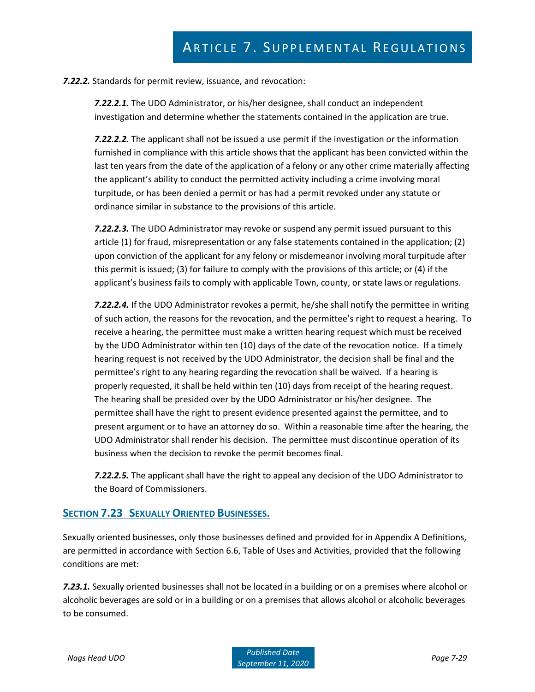*7.22.2.* Standards for permit review, issuance, and revocation:

*7.22.2.1.* The UDO Administrator, or his/her designee, shall conduct an independent investigation and determine whether the statements contained in the application are true.

*7.22.2.2.* The applicant shall not be issued a use permit if the investigation or the information furnished in compliance with this article shows that the applicant has been convicted within the last ten years from the date of the application of a felony or any other crime materially affecting the applicant's ability to conduct the permitted activity including a crime involving moral turpitude, or has been denied a permit or has had a permit revoked under any statute or ordinance similar in substance to the provisions of this article.

*7.22.2.3.* The UDO Administrator may revoke or suspend any permit issued pursuant to this article (1) for fraud, misrepresentation or any false statements contained in the application; (2) upon conviction of the applicant for any felony or misdemeanor involving moral turpitude after this permit is issued; (3) for failure to comply with the provisions of this article; or (4) if the applicant's business fails to comply with applicable Town, county, or state laws or regulations.

*7.22.2.4.* If the UDO Administrator revokes a permit, he/she shall notify the permittee in writing of such action, the reasons for the revocation, and the permittee's right to request a hearing. To receive a hearing, the permittee must make a written hearing request which must be received by the UDO Administrator within ten (10) days of the date of the revocation notice. If a timely hearing request is not received by the UDO Administrator, the decision shall be final and the permittee's right to any hearing regarding the revocation shall be waived. If a hearing is properly requested, it shall be held within ten (10) days from receipt of the hearing request. The hearing shall be presided over by the UDO Administrator or his/her designee. The permittee shall have the right to present evidence presented against the permittee, and to present argument or to have an attorney do so. Within a reasonable time after the hearing, the UDO Administrator shall render his decision. The permittee must discontinue operation of its business when the decision to revoke the permit becomes final.

*7.22.2.5.* The applicant shall have the right to appeal any decision of the UDO Administrator to the Board of Commissioners.

### **SECTION 7.23 SEXUALLY ORIENTED BUSINESSES.**

Sexually oriented businesses, only those businesses defined and provided for in Appendix A Definitions, are permitted in accordance with Section 6.6, Table of Uses and Activities, provided that the following conditions are met:

*7.23.1.* Sexually oriented businesses shall not be located in a building or on a premises where alcohol or alcoholic beverages are sold or in a building or on a premises that allows alcohol or alcoholic beverages to be consumed.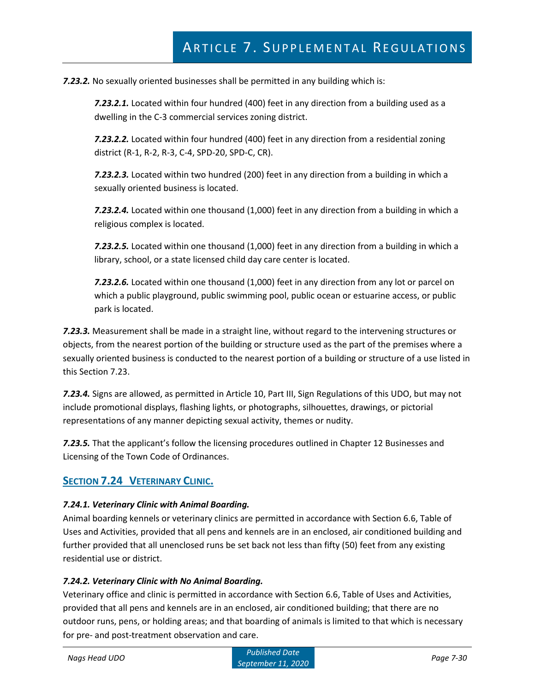*7.23.2.* No sexually oriented businesses shall be permitted in any building which is:

*7.23.2.1.* Located within four hundred (400) feet in any direction from a building used as a dwelling in the C-3 commercial services zoning district.

*7.23.2.2.* Located within four hundred (400) feet in any direction from a residential zoning district (R-1, R-2, R-3, C-4, SPD-20, SPD-C, CR).

*7.23.2.3.* Located within two hundred (200) feet in any direction from a building in which a sexually oriented business is located.

*7.23.2.4.* Located within one thousand (1,000) feet in any direction from a building in which a religious complex is located.

*7.23.2.5.* Located within one thousand (1,000) feet in any direction from a building in which a library, school, or a state licensed child day care center is located.

*7.23.2.6.* Located within one thousand (1,000) feet in any direction from any lot or parcel on which a public playground, public swimming pool, public ocean or estuarine access, or public park is located.

*7.23.3.* Measurement shall be made in a straight line, without regard to the intervening structures or objects, from the nearest portion of the building or structure used as the part of the premises where a sexually oriented business is conducted to the nearest portion of a building or structure of a use listed in this Section 7.23.

*7.23.4.* Signs are allowed, as permitted in Article 10, Part III, Sign Regulations of this UDO, but may not include promotional displays, flashing lights, or photographs, silhouettes, drawings, or pictorial representations of any manner depicting sexual activity, themes or nudity.

*7.23.5.* That the applicant's follow the licensing procedures outlined in Chapter 12 Businesses and Licensing of the Town Code of Ordinances.

## **SECTION 7.24 VETERINARY CLINIC.**

### *7.24.1. Veterinary Clinic with Animal Boarding.*

Animal boarding kennels or veterinary clinics are permitted in accordance with Section 6.6, Table of Uses and Activities, provided that all pens and kennels are in an enclosed, air conditioned building and further provided that all unenclosed runs be set back not less than fifty (50) feet from any existing residential use or district.

### *7.24.2. Veterinary Clinic with No Animal Boarding.*

Veterinary office and clinic is permitted in accordance with Section 6.6, Table of Uses and Activities, provided that all pens and kennels are in an enclosed, air conditioned building; that there are no outdoor runs, pens, or holding areas; and that boarding of animals is limited to that which is necessary for pre- and post-treatment observation and care.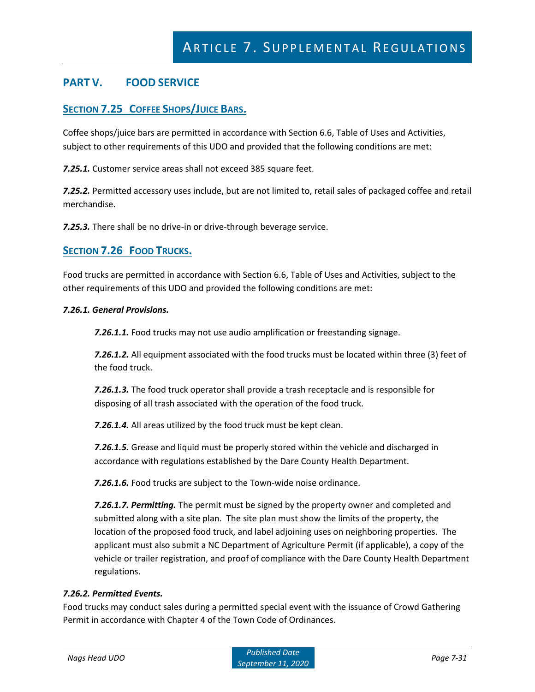# **PART V. FOOD SERVICE**

## **SECTION 7.25 COFFEE SHOPS/JUICE BARS.**

Coffee shops/juice bars are permitted in accordance with Section 6.6, Table of Uses and Activities, subject to other requirements of this UDO and provided that the following conditions are met:

*7.25.1.* Customer service areas shall not exceed 385 square feet.

*7.25.2.* Permitted accessory uses include, but are not limited to, retail sales of packaged coffee and retail merchandise.

*7.25.3.* There shall be no drive-in or drive-through beverage service.

### **SECTION 7.26 FOOD TRUCKS.**

Food trucks are permitted in accordance with Section 6.6, Table of Uses and Activities, subject to the other requirements of this UDO and provided the following conditions are met:

#### *7.26.1. General Provisions.*

*7.26.1.1.* Food trucks may not use audio amplification or freestanding signage.

*7.26.1.2.* All equipment associated with the food trucks must be located within three (3) feet of the food truck.

*7.26.1.3.* The food truck operator shall provide a trash receptacle and is responsible for disposing of all trash associated with the operation of the food truck.

*7.26.1.4.* All areas utilized by the food truck must be kept clean.

*7.26.1.5.* Grease and liquid must be properly stored within the vehicle and discharged in accordance with regulations established by the Dare County Health Department.

*7.26.1.6.* Food trucks are subject to the Town-wide noise ordinance.

*7.26.1.7. Permitting.* The permit must be signed by the property owner and completed and submitted along with a site plan. The site plan must show the limits of the property, the location of the proposed food truck, and label adjoining uses on neighboring properties. The applicant must also submit a NC Department of Agriculture Permit (if applicable), a copy of the vehicle or trailer registration, and proof of compliance with the Dare County Health Department regulations.

#### *7.26.2. Permitted Events.*

Food trucks may conduct sales during a permitted special event with the issuance of Crowd Gathering Permit in accordance with Chapter 4 of the Town Code of Ordinances.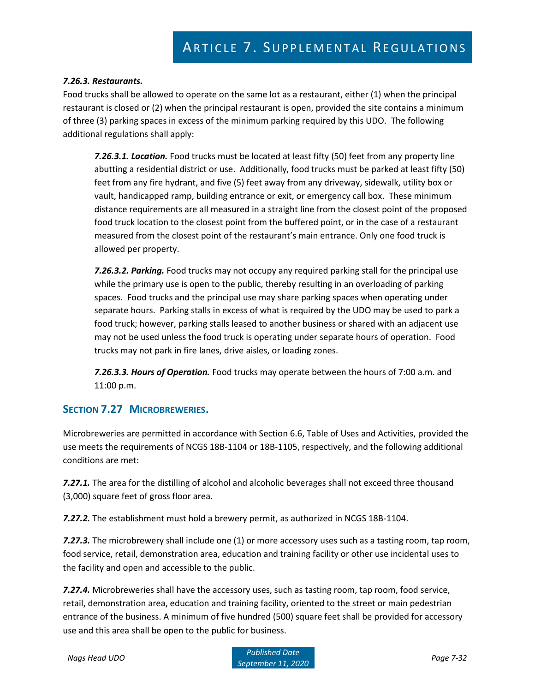#### *7.26.3. Restaurants.*

Food trucks shall be allowed to operate on the same lot as a restaurant, either (1) when the principal restaurant is closed or (2) when the principal restaurant is open, provided the site contains a minimum of three (3) parking spaces in excess of the minimum parking required by this UDO. The following additional regulations shall apply:

*7.26.3.1. Location.* Food trucks must be located at least fifty (50) feet from any property line abutting a residential district or use. Additionally, food trucks must be parked at least fifty (50) feet from any fire hydrant, and five (5) feet away from any driveway, sidewalk, utility box or vault, handicapped ramp, building entrance or exit, or emergency call box. These minimum distance requirements are all measured in a straight line from the closest point of the proposed food truck location to the closest point from the buffered point, or in the case of a restaurant measured from the closest point of the restaurant's main entrance. Only one food truck is allowed per property.

*7.26.3.2. Parking.* Food trucks may not occupy any required parking stall for the principal use while the primary use is open to the public, thereby resulting in an overloading of parking spaces. Food trucks and the principal use may share parking spaces when operating under separate hours. Parking stalls in excess of what is required by the UDO may be used to park a food truck; however, parking stalls leased to another business or shared with an adjacent use may not be used unless the food truck is operating under separate hours of operation. Food trucks may not park in fire lanes, drive aisles, or loading zones.

*7.26.3.3. Hours of Operation.* Food trucks may operate between the hours of 7:00 a.m. and 11:00 p.m.

## **SECTION 7.27 MICROBREWERIES.**

Microbreweries are permitted in accordance with Section 6.6, Table of Uses and Activities, provided the use meets the requirements of NCGS 18B-1104 or 18B-1105, respectively, and the following additional conditions are met:

*7.27.1.* The area for the distilling of alcohol and alcoholic beverages shall not exceed three thousand (3,000) square feet of gross floor area.

*7.27.2.* The establishment must hold a brewery permit, as authorized in NCGS 18B-1104.

**7.27.3.** The microbrewery shall include one (1) or more accessory uses such as a tasting room, tap room, food service, retail, demonstration area, education and training facility or other use incidental uses to the facility and open and accessible to the public.

*7.27.4.* Microbreweries shall have the accessory uses, such as tasting room, tap room, food service, retail, demonstration area, education and training facility, oriented to the street or main pedestrian entrance of the business. A minimum of five hundred (500) square feet shall be provided for accessory use and this area shall be open to the public for business.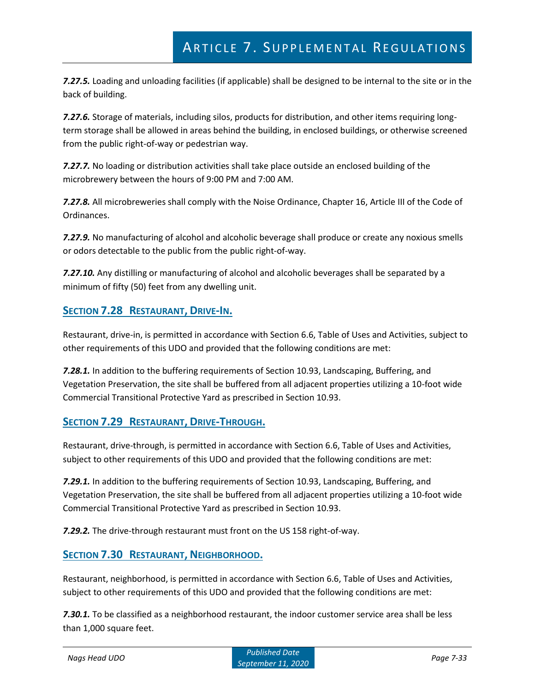*7.27.5.* Loading and unloading facilities (if applicable) shall be designed to be internal to the site or in the back of building.

*7.27.6.* Storage of materials, including silos, products for distribution, and other items requiring longterm storage shall be allowed in areas behind the building, in enclosed buildings, or otherwise screened from the public right-of-way or pedestrian way.

*7.27.7.* No loading or distribution activities shall take place outside an enclosed building of the microbrewery between the hours of 9:00 PM and 7:00 AM.

*7.27.8.* All microbreweries shall comply with the Noise Ordinance, Chapter 16, Article III of the Code of Ordinances.

*7.27.9.* No manufacturing of alcohol and alcoholic beverage shall produce or create any noxious smells or odors detectable to the public from the public right-of-way.

*7.27.10.* Any distilling or manufacturing of alcohol and alcoholic beverages shall be separated by a minimum of fifty (50) feet from any dwelling unit.

## **SECTION 7.28 RESTAURANT, DRIVE-IN.**

Restaurant, drive-in, is permitted in accordance with Section 6.6, Table of Uses and Activities, subject to other requirements of this UDO and provided that the following conditions are met:

*7.28.1.* In addition to the buffering requirements of Section 10.93, Landscaping, Buffering, and Vegetation Preservation, the site shall be buffered from all adjacent properties utilizing a 10-foot wide Commercial Transitional Protective Yard as prescribed in Section 10.93.

## **SECTION 7.29 RESTAURANT, DRIVE-THROUGH.**

Restaurant, drive-through, is permitted in accordance with Section 6.6, Table of Uses and Activities, subject to other requirements of this UDO and provided that the following conditions are met:

*7.29.1.* In addition to the buffering requirements of Section 10.93, Landscaping, Buffering, and Vegetation Preservation, the site shall be buffered from all adjacent properties utilizing a 10-foot wide Commercial Transitional Protective Yard as prescribed in Section 10.93.

*7.29.2.* The drive-through restaurant must front on the US 158 right-of-way.

## **SECTION 7.30 RESTAURANT, NEIGHBORHOOD.**

Restaurant, neighborhood, is permitted in accordance with Section 6.6, Table of Uses and Activities, subject to other requirements of this UDO and provided that the following conditions are met:

*7.30.1.* To be classified as a neighborhood restaurant, the indoor customer service area shall be less than 1,000 square feet.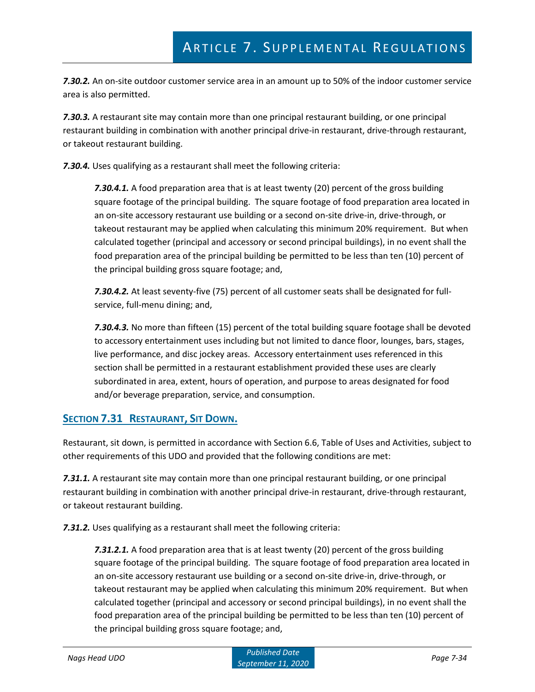*7.30.2.* An on-site outdoor customer service area in an amount up to 50% of the indoor customer service area is also permitted.

*7.30.3.* A restaurant site may contain more than one principal restaurant building, or one principal restaurant building in combination with another principal drive-in restaurant, drive-through restaurant, or takeout restaurant building.

*7.30.4.* Uses qualifying as a restaurant shall meet the following criteria:

*7.30.4.1.* A food preparation area that is at least twenty (20) percent of the gross building square footage of the principal building. The square footage of food preparation area located in an on-site accessory restaurant use building or a second on-site drive-in, drive-through, or takeout restaurant may be applied when calculating this minimum 20% requirement. But when calculated together (principal and accessory or second principal buildings), in no event shall the food preparation area of the principal building be permitted to be less than ten (10) percent of the principal building gross square footage; and,

*7.30.4.2.* At least seventy-five (75) percent of all customer seats shall be designated for fullservice, full-menu dining; and,

*7.30.4.3.* No more than fifteen (15) percent of the total building square footage shall be devoted to accessory entertainment uses including but not limited to dance floor, lounges, bars, stages, live performance, and disc jockey areas. Accessory entertainment uses referenced in this section shall be permitted in a restaurant establishment provided these uses are clearly subordinated in area, extent, hours of operation, and purpose to areas designated for food and/or beverage preparation, service, and consumption.

## **SECTION 7.31 RESTAURANT, SIT DOWN.**

Restaurant, sit down, is permitted in accordance with Section 6.6, Table of Uses and Activities, subject to other requirements of this UDO and provided that the following conditions are met:

*7.31.1.* A restaurant site may contain more than one principal restaurant building, or one principal restaurant building in combination with another principal drive-in restaurant, drive-through restaurant, or takeout restaurant building.

*7.31.2.* Uses qualifying as a restaurant shall meet the following criteria:

*7.31.2.1.* A food preparation area that is at least twenty (20) percent of the gross building square footage of the principal building. The square footage of food preparation area located in an on-site accessory restaurant use building or a second on-site drive-in, drive-through, or takeout restaurant may be applied when calculating this minimum 20% requirement. But when calculated together (principal and accessory or second principal buildings), in no event shall the food preparation area of the principal building be permitted to be less than ten (10) percent of the principal building gross square footage; and,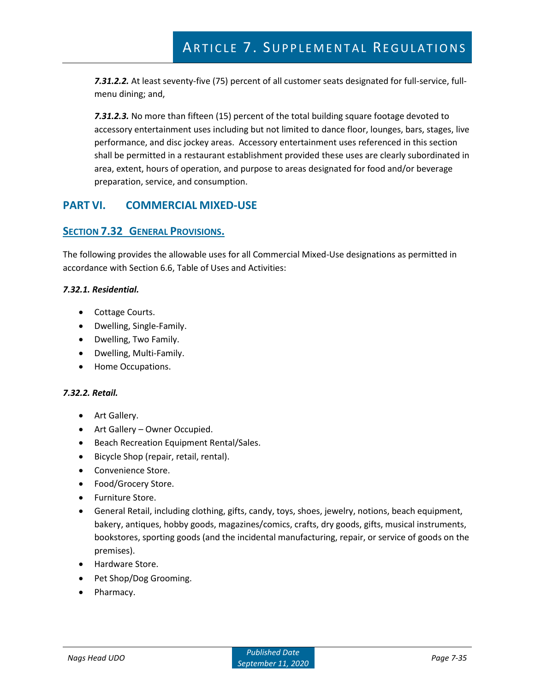*7.31.2.2.* At least seventy-five (75) percent of all customer seats designated for full-service, fullmenu dining; and,

*7.31.2.3.* No more than fifteen (15) percent of the total building square footage devoted to accessory entertainment uses including but not limited to dance floor, lounges, bars, stages, live performance, and disc jockey areas. Accessory entertainment uses referenced in this section shall be permitted in a restaurant establishment provided these uses are clearly subordinated in area, extent, hours of operation, and purpose to areas designated for food and/or beverage preparation, service, and consumption.

## **PART VI. COMMERCIAL MIXED-USE**

## **SECTION 7.32 GENERAL PROVISIONS.**

The following provides the allowable uses for all Commercial Mixed-Use designations as permitted in accordance with Section 6.6, Table of Uses and Activities:

#### *7.32.1. Residential.*

- Cottage Courts.
- Dwelling, Single-Family.
- Dwelling, Two Family.
- Dwelling, Multi-Family.
- Home Occupations.

#### *7.32.2. Retail.*

- Art Gallery.
- Art Gallery Owner Occupied.
- Beach Recreation Equipment Rental/Sales.
- Bicycle Shop (repair, retail, rental).
- Convenience Store.
- Food/Grocery Store.
- Furniture Store.
- General Retail, including clothing, gifts, candy, toys, shoes, jewelry, notions, beach equipment, bakery, antiques, hobby goods, magazines/comics, crafts, dry goods, gifts, musical instruments, bookstores, sporting goods (and the incidental manufacturing, repair, or service of goods on the premises).
- Hardware Store.
- Pet Shop/Dog Grooming.
- Pharmacy.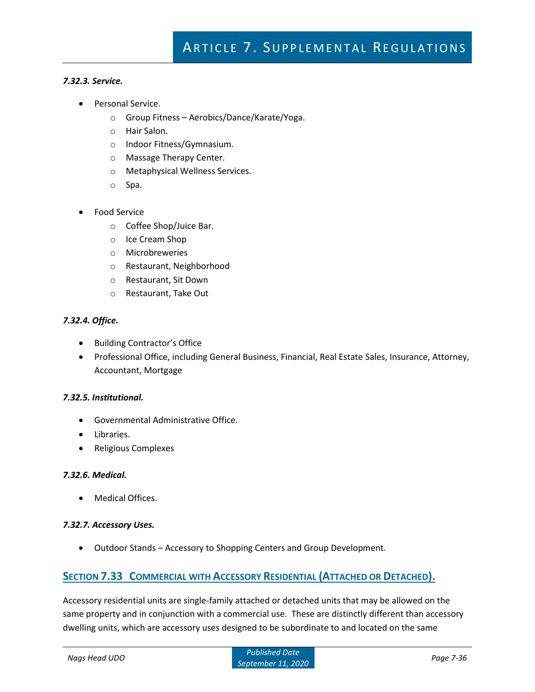#### *7.32.3. Service.*

- Personal Service.
	- o Group Fitness Aerobics/Dance/Karate/Yoga.
	- o Hair Salon.
	- o Indoor Fitness/Gymnasium.
	- o Massage Therapy Center.
	- o Metaphysical Wellness Services.
	- o Spa.
- Food Service
	- o Coffee Shop/Juice Bar.
	- o Ice Cream Shop
	- o Microbreweries
	- o Restaurant, Neighborhood
	- o Restaurant, Sit Down
	- o Restaurant, Take Out

#### *7.32.4. Office.*

- Building Contractor's Office
- Professional Office, including General Business, Financial, Real Estate Sales, Insurance, Attorney, Accountant, Mortgage

#### *7.32.5. Institutional.*

- Governmental Administrative Office.
- Libraries.
- Religious Complexes

#### *7.32.6. Medical.*

• Medical Offices.

#### *7.32.7. Accessory Uses.*

• Outdoor Stands – Accessory to Shopping Centers and Group Development.

### **SECTION 7.33 COMMERCIAL WITH ACCESSORY RESIDENTIAL (ATTACHED OR DETACHED).**

Accessory residential units are single-family attached or detached units that may be allowed on the same property and in conjunction with a commercial use. These are distinctly different than accessory dwelling units, which are accessory uses designed to be subordinate to and located on the same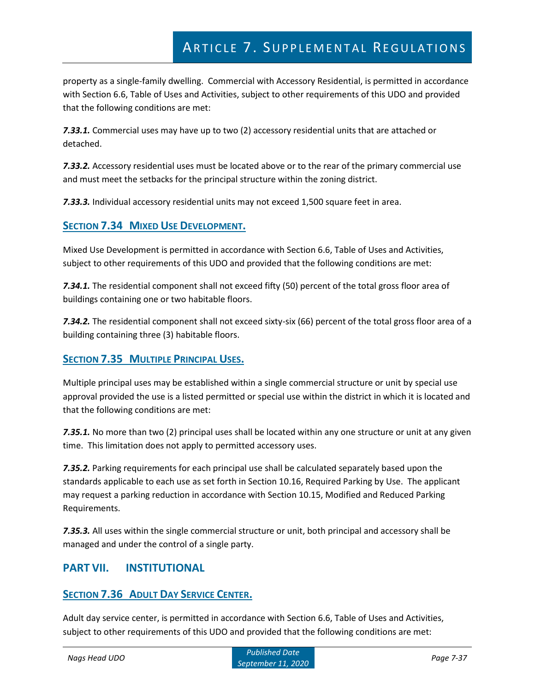property as a single-family dwelling. Commercial with Accessory Residential, is permitted in accordance with Section 6.6, Table of Uses and Activities, subject to other requirements of this UDO and provided that the following conditions are met:

*7.33.1.* Commercial uses may have up to two (2) accessory residential units that are attached or detached.

*7.33.2.* Accessory residential uses must be located above or to the rear of the primary commercial use and must meet the setbacks for the principal structure within the zoning district.

*7.33.3.* Individual accessory residential units may not exceed 1,500 square feet in area.

## **SECTION 7.34 MIXED USE DEVELOPMENT.**

Mixed Use Development is permitted in accordance with Section 6.6, Table of Uses and Activities, subject to other requirements of this UDO and provided that the following conditions are met:

*7.34.1.* The residential component shall not exceed fifty (50) percent of the total gross floor area of buildings containing one or two habitable floors.

*7.34.2.* The residential component shall not exceed sixty-six (66) percent of the total gross floor area of a building containing three (3) habitable floors.

## **SECTION 7.35 MULTIPLE PRINCIPAL USES.**

Multiple principal uses may be established within a single commercial structure or unit by special use approval provided the use is a listed permitted or special use within the district in which it is located and that the following conditions are met:

*7.35.1.* No more than two (2) principal uses shall be located within any one structure or unit at any given time. This limitation does not apply to permitted accessory uses.

*7.35.2.* Parking requirements for each principal use shall be calculated separately based upon the standards applicable to each use as set forth in Section 10.16, Required Parking by Use. The applicant may request a parking reduction in accordance with Section 10.15, Modified and Reduced Parking Requirements.

*7.35.3.* All uses within the single commercial structure or unit, both principal and accessory shall be managed and under the control of a single party.

## **PART VII. INSTITUTIONAL**

## **SECTION 7.36 ADULT DAY SERVICE CENTER.**

Adult day service center, is permitted in accordance with Section 6.6, Table of Uses and Activities, subject to other requirements of this UDO and provided that the following conditions are met: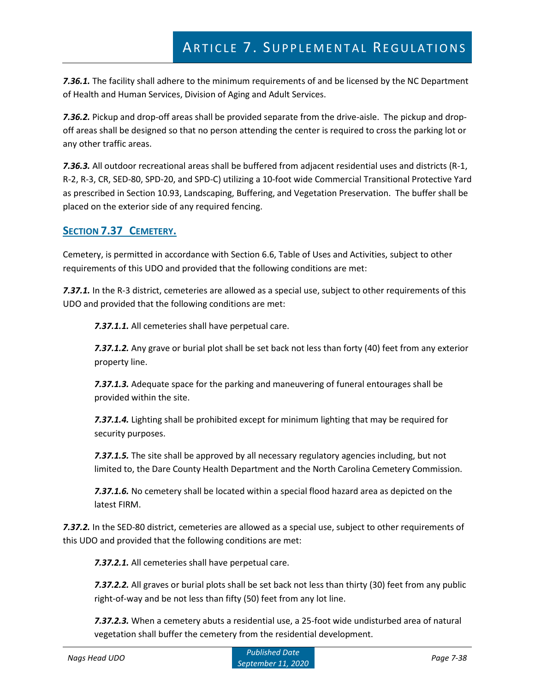*7.36.1.* The facility shall adhere to the minimum requirements of and be licensed by the NC Department of Health and Human Services, Division of Aging and Adult Services.

*7.36.2.* Pickup and drop-off areas shall be provided separate from the drive-aisle. The pickup and dropoff areas shall be designed so that no person attending the center is required to cross the parking lot or any other traffic areas.

*7.36.3.* All outdoor recreational areas shall be buffered from adjacent residential uses and districts (R-1, R-2, R-3, CR, SED-80, SPD-20, and SPD-C) utilizing a 10-foot wide Commercial Transitional Protective Yard as prescribed in Section 10.93, Landscaping, Buffering, and Vegetation Preservation. The buffer shall be placed on the exterior side of any required fencing.

## **SECTION 7.37 CEMETERY.**

Cemetery, is permitted in accordance with Section 6.6, Table of Uses and Activities, subject to other requirements of this UDO and provided that the following conditions are met:

*7.37.1.* In the R-3 district, cemeteries are allowed as a special use, subject to other requirements of this UDO and provided that the following conditions are met:

*7.37.1.1.* All cemeteries shall have perpetual care.

*7.37.1.2.* Any grave or burial plot shall be set back not less than forty (40) feet from any exterior property line.

*7.37.1.3.* Adequate space for the parking and maneuvering of funeral entourages shall be provided within the site.

*7.37.1.4.* Lighting shall be prohibited except for minimum lighting that may be required for security purposes.

*7.37.1.5.* The site shall be approved by all necessary regulatory agencies including, but not limited to, the Dare County Health Department and the North Carolina Cemetery Commission.

*7.37.1.6.* No cemetery shall be located within a special flood hazard area as depicted on the latest FIRM.

*7.37.2.* In the SED-80 district, cemeteries are allowed as a special use, subject to other requirements of this UDO and provided that the following conditions are met:

*7.37.2.1.* All cemeteries shall have perpetual care.

*7.37.2.2.* All graves or burial plots shall be set back not less than thirty (30) feet from any public right-of-way and be not less than fifty (50) feet from any lot line.

*7.37.2.3.* When a cemetery abuts a residential use, a 25-foot wide undisturbed area of natural vegetation shall buffer the cemetery from the residential development.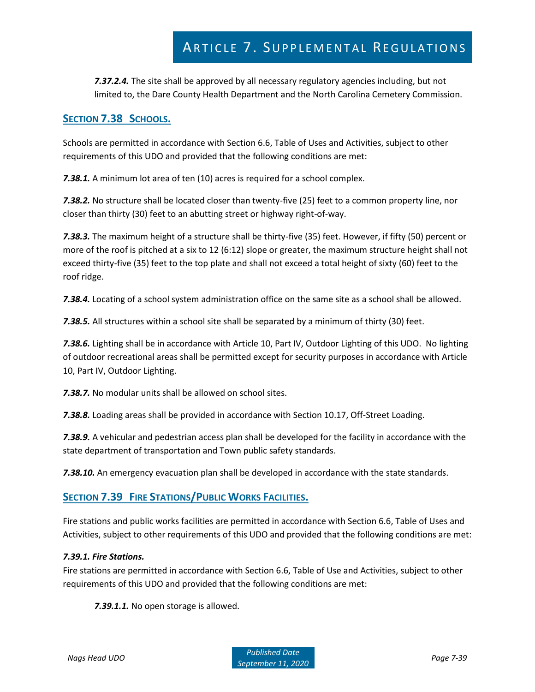*7.37.2.4.* The site shall be approved by all necessary regulatory agencies including, but not limited to, the Dare County Health Department and the North Carolina Cemetery Commission.

## **SECTION 7.38 SCHOOLS.**

Schools are permitted in accordance with Section 6.6, Table of Uses and Activities, subject to other requirements of this UDO and provided that the following conditions are met:

*7.38.1.* A minimum lot area of ten (10) acres is required for a school complex.

*7.38.2.* No structure shall be located closer than twenty-five (25) feet to a common property line, nor closer than thirty (30) feet to an abutting street or highway right-of-way.

*7.38.3.* The maximum height of a structure shall be thirty-five (35) feet. However, if fifty (50) percent or more of the roof is pitched at a six to 12 (6:12) slope or greater, the maximum structure height shall not exceed thirty-five (35) feet to the top plate and shall not exceed a total height of sixty (60) feet to the roof ridge.

*7.38.4.* Locating of a school system administration office on the same site as a school shall be allowed.

*7.38.5.* All structures within a school site shall be separated by a minimum of thirty (30) feet.

*7.38.6.* Lighting shall be in accordance with Article 10, Part IV, Outdoor Lighting of this UDO. No lighting of outdoor recreational areas shall be permitted except for security purposes in accordance with Article 10, Part IV, Outdoor Lighting.

*7.38.7.* No modular units shall be allowed on school sites.

*7.38.8.* Loading areas shall be provided in accordance with Section 10.17, Off-Street Loading.

*7.38.9.* A vehicular and pedestrian access plan shall be developed for the facility in accordance with the state department of transportation and Town public safety standards.

*7.38.10.* An emergency evacuation plan shall be developed in accordance with the state standards.

## **SECTION 7.39 FIRE STATIONS/PUBLIC WORKS FACILITIES.**

Fire stations and public works facilities are permitted in accordance with Section 6.6, Table of Uses and Activities, subject to other requirements of this UDO and provided that the following conditions are met:

### *7.39.1. Fire Stations.*

Fire stations are permitted in accordance with Section 6.6, Table of Use and Activities, subject to other requirements of this UDO and provided that the following conditions are met:

*7.39.1.1.* No open storage is allowed.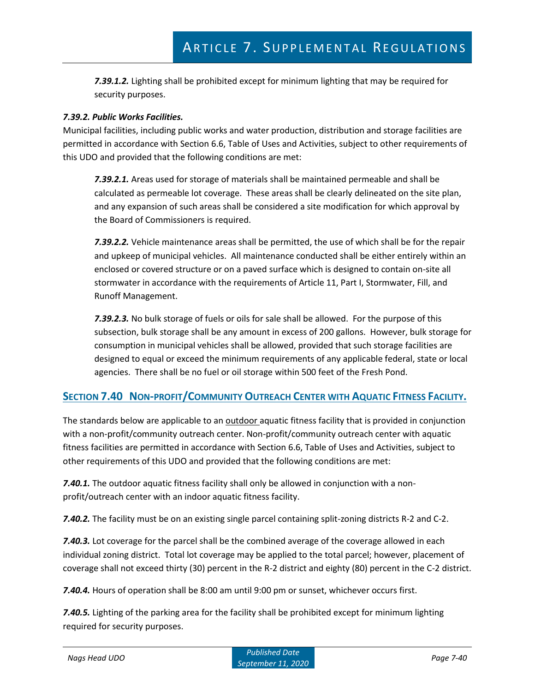*7.39.1.2.* Lighting shall be prohibited except for minimum lighting that may be required for security purposes.

#### *7.39.2. Public Works Facilities.*

Municipal facilities, including public works and water production, distribution and storage facilities are permitted in accordance with Section 6.6, Table of Uses and Activities, subject to other requirements of this UDO and provided that the following conditions are met:

*7.39.2.1.* Areas used for storage of materials shall be maintained permeable and shall be calculated as permeable lot coverage. These areas shall be clearly delineated on the site plan, and any expansion of such areas shall be considered a site modification for which approval by the Board of Commissioners is required.

*7.39.2.2.* Vehicle maintenance areas shall be permitted, the use of which shall be for the repair and upkeep of municipal vehicles. All maintenance conducted shall be either entirely within an enclosed or covered structure or on a paved surface which is designed to contain on-site all stormwater in accordance with the requirements of Article 11, Part I, Stormwater, Fill, and Runoff Management.

*7.39.2.3.* No bulk storage of fuels or oils for sale shall be allowed. For the purpose of this subsection, bulk storage shall be any amount in excess of 200 gallons. However, bulk storage for consumption in municipal vehicles shall be allowed, provided that such storage facilities are designed to equal or exceed the minimum requirements of any applicable federal, state or local agencies. There shall be no fuel or oil storage within 500 feet of the Fresh Pond.

## SECTION 7.40 NON-PROFIT/COMMUNITY OUTREACH CENTER WITH AQUATIC FITNESS FACILITY.

The standards below are applicable to an outdoor aquatic fitness facility that is provided in conjunction with a non-profit/community outreach center. Non-profit/community outreach center with aquatic fitness facilities are permitted in accordance with Section 6.6, Table of Uses and Activities, subject to other requirements of this UDO and provided that the following conditions are met:

*7.40.1.* The outdoor aquatic fitness facility shall only be allowed in conjunction with a nonprofit/outreach center with an indoor aquatic fitness facility.

*7.40.2.* The facility must be on an existing single parcel containing split-zoning districts R-2 and C-2.

*7.40.3.* Lot coverage for the parcel shall be the combined average of the coverage allowed in each individual zoning district. Total lot coverage may be applied to the total parcel; however, placement of coverage shall not exceed thirty (30) percent in the R-2 district and eighty (80) percent in the C-2 district.

*7.40.4.* Hours of operation shall be 8:00 am until 9:00 pm or sunset, whichever occurs first.

*7.40.5.* Lighting of the parking area for the facility shall be prohibited except for minimum lighting required for security purposes.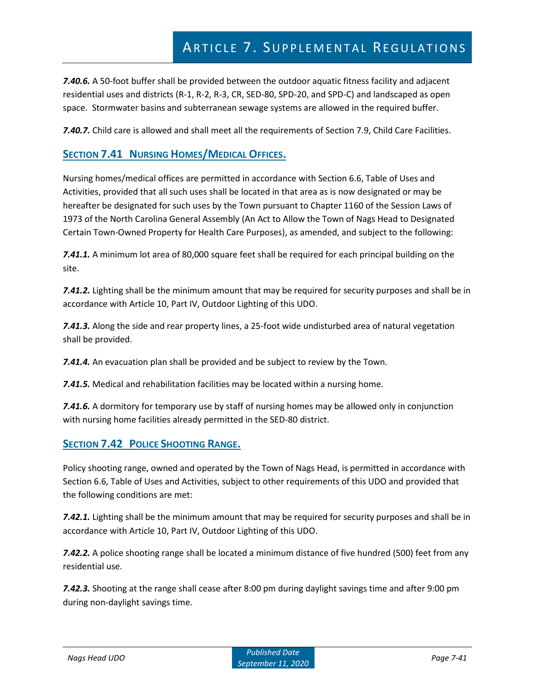*7.40.6.* A 50-foot buffer shall be provided between the outdoor aquatic fitness facility and adjacent residential uses and districts (R-1, R-2, R-3, CR, SED-80, SPD-20, and SPD-C) and landscaped as open space. Stormwater basins and subterranean sewage systems are allowed in the required buffer.

**7.40.7.** Child care is allowed and shall meet all the requirements of Section 7.9, Child Care Facilities.

## **SECTION 7.41 NURSING HOMES/MEDICAL OFFICES.**

Nursing homes/medical offices are permitted in accordance with Section 6.6, Table of Uses and Activities, provided that all such uses shall be located in that area as is now designated or may be hereafter be designated for such uses by the Town pursuant to Chapter 1160 of the Session Laws of 1973 of the North Carolina General Assembly (An Act to Allow the Town of Nags Head to Designated Certain Town-Owned Property for Health Care Purposes), as amended, and subject to the following:

*7.41.1.* A minimum lot area of 80,000 square feet shall be required for each principal building on the site.

*7.41.2.* Lighting shall be the minimum amount that may be required for security purposes and shall be in accordance with Article 10, Part IV, Outdoor Lighting of this UDO.

*7.41.3.* Along the side and rear property lines, a 25-foot wide undisturbed area of natural vegetation shall be provided.

*7.41.4.* An evacuation plan shall be provided and be subject to review by the Town.

*7.41.5.* Medical and rehabilitation facilities may be located within a nursing home.

*7.41.6.* A dormitory for temporary use by staff of nursing homes may be allowed only in conjunction with nursing home facilities already permitted in the SED-80 district.

## **SECTION 7.42 POLICE SHOOTING RANGE.**

Policy shooting range, owned and operated by the Town of Nags Head, is permitted in accordance with Section 6.6, Table of Uses and Activities, subject to other requirements of this UDO and provided that the following conditions are met:

*7.42.1.* Lighting shall be the minimum amount that may be required for security purposes and shall be in accordance with Article 10, Part IV, Outdoor Lighting of this UDO.

*7.42.2.* A police shooting range shall be located a minimum distance of five hundred (500) feet from any residential use.

*7.42.3.* Shooting at the range shall cease after 8:00 pm during daylight savings time and after 9:00 pm during non-daylight savings time.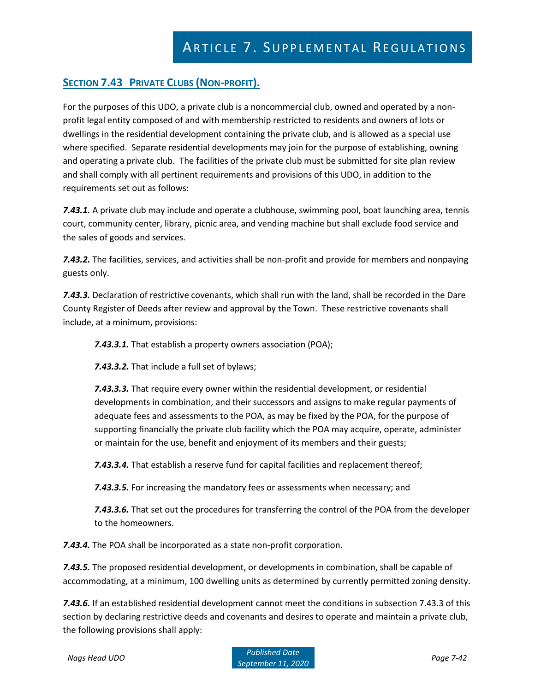# **SECTION 7.43 PRIVATE CLUBS (NON-PROFIT).**

For the purposes of this UDO, a private club is a noncommercial club, owned and operated by a nonprofit legal entity composed of and with membership restricted to residents and owners of lots or dwellings in the residential development containing the private club, and is allowed as a special use where specified. Separate residential developments may join for the purpose of establishing, owning and operating a private club. The facilities of the private club must be submitted for site plan review and shall comply with all pertinent requirements and provisions of this UDO, in addition to the requirements set out as follows:

*7.43.1.* A private club may include and operate a clubhouse, swimming pool, boat launching area, tennis court, community center, library, picnic area, and vending machine but shall exclude food service and the sales of goods and services.

*7.43.2.* The facilities, services, and activities shall be non-profit and provide for members and nonpaying guests only.

*7.43.3.* Declaration of restrictive covenants, which shall run with the land, shall be recorded in the Dare County Register of Deeds after review and approval by the Town. These restrictive covenants shall include, at a minimum, provisions:

*7.43.3.1.* That establish a property owners association (POA);

*7.43.3.2.* That include a full set of bylaws;

*7.43.3.3.* That require every owner within the residential development, or residential developments in combination, and their successors and assigns to make regular payments of adequate fees and assessments to the POA, as may be fixed by the POA, for the purpose of supporting financially the private club facility which the POA may acquire, operate, administer or maintain for the use, benefit and enjoyment of its members and their guests;

*7.43.3.4.* That establish a reserve fund for capital facilities and replacement thereof;

*7.43.3.5.* For increasing the mandatory fees or assessments when necessary; and

*7.43.3.6.* That set out the procedures for transferring the control of the POA from the developer to the homeowners.

*7.43.4.* The POA shall be incorporated as a state non-profit corporation.

*7.43.5.* The proposed residential development, or developments in combination, shall be capable of accommodating, at a minimum, 100 dwelling units as determined by currently permitted zoning density.

*7.43.6.* If an established residential development cannot meet the conditions in subsection 7.43.3 of this section by declaring restrictive deeds and covenants and desires to operate and maintain a private club, the following provisions shall apply: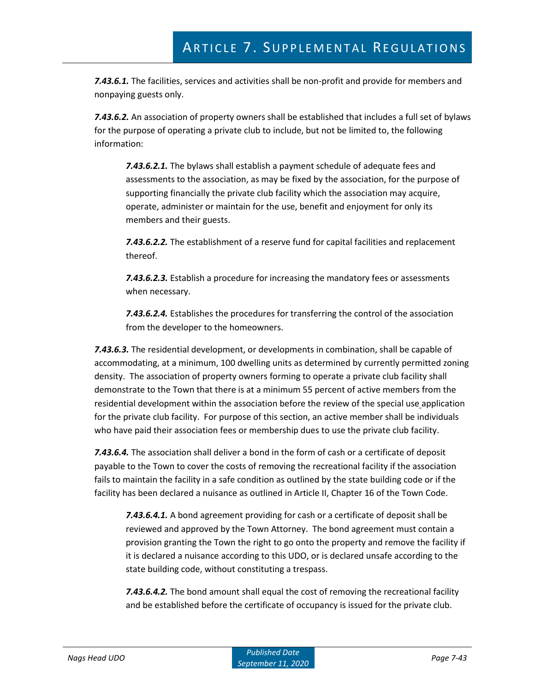*7.43.6.1.* The facilities, services and activities shall be non-profit and provide for members and nonpaying guests only.

*7.43.6.2.* An association of property owners shall be established that includes a full set of bylaws for the purpose of operating a private club to include, but not be limited to, the following information:

*7.43.6.2.1.* The bylaws shall establish a payment schedule of adequate fees and assessments to the association, as may be fixed by the association, for the purpose of supporting financially the private club facility which the association may acquire, operate, administer or maintain for the use, benefit and enjoyment for only its members and their guests.

*7.43.6.2.2.* The establishment of a reserve fund for capital facilities and replacement thereof.

*7.43.6.2.3.* Establish a procedure for increasing the mandatory fees or assessments when necessary.

*7.43.6.2.4.* Establishes the procedures for transferring the control of the association from the developer to the homeowners.

*7.43.6.3.* The residential development, or developments in combination, shall be capable of accommodating, at a minimum, 100 dwelling units as determined by currently permitted zoning density. The association of property owners forming to operate a private club facility shall demonstrate to the Town that there is at a minimum 55 percent of active members from the residential development within the association before the review of the special use application for the private club facility. For purpose of this section, an active member shall be individuals who have paid their association fees or membership dues to use the private club facility.

*7.43.6.4.* The association shall deliver a bond in the form of cash or a certificate of deposit payable to the Town to cover the costs of removing the recreational facility if the association fails to maintain the facility in a safe condition as outlined by the state building code or if the facility has been declared a nuisance as outlined in Article II, Chapter 16 of the Town Code.

*7.43.6.4.1.* A bond agreement providing for cash or a certificate of deposit shall be reviewed and approved by the Town Attorney. The bond agreement must contain a provision granting the Town the right to go onto the property and remove the facility if it is declared a nuisance according to this UDO, or is declared unsafe according to the state building code, without constituting a trespass.

*7.43.6.4.2.* The bond amount shall equal the cost of removing the recreational facility and be established before the certificate of occupancy is issued for the private club.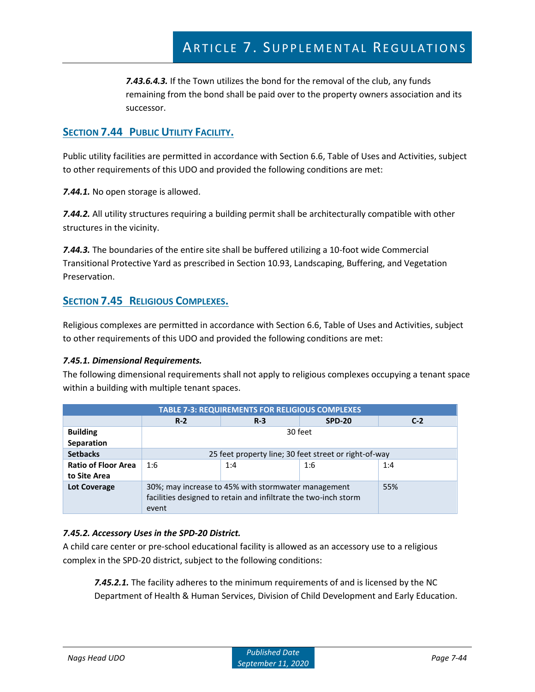*7.43.6.4.3.* If the Town utilizes the bond for the removal of the club, any funds remaining from the bond shall be paid over to the property owners association and its successor.

## **SECTION 7.44 PUBLIC UTILITY FACILITY.**

Public utility facilities are permitted in accordance with Section 6.6, Table of Uses and Activities, subject to other requirements of this UDO and provided the following conditions are met:

*7.44.1.* No open storage is allowed.

*7.44.2.* All utility structures requiring a building permit shall be architecturally compatible with other structures in the vicinity.

*7.44.3.* The boundaries of the entire site shall be buffered utilizing a 10-foot wide Commercial Transitional Protective Yard as prescribed in Section 10.93, Landscaping, Buffering, and Vegetation Preservation.

## **SECTION 7.45 RELIGIOUS COMPLEXES.**

Religious complexes are permitted in accordance with Section 6.6, Table of Uses and Activities, subject to other requirements of this UDO and provided the following conditions are met:

### *7.45.1. Dimensional Requirements.*

The following dimensional requirements shall not apply to religious complexes occupying a tenant space within a building with multiple tenant spaces.

| <b>TABLE 7-3: REQUIREMENTS FOR RELIGIOUS COMPLEXES</b> |                                                                                                                                 |  |  |     |  |  |
|--------------------------------------------------------|---------------------------------------------------------------------------------------------------------------------------------|--|--|-----|--|--|
|                                                        | $R-3$<br><b>SPD-20</b><br>$R-2$<br>$C-2$                                                                                        |  |  |     |  |  |
| <b>Building</b><br>Separation                          | 30 feet                                                                                                                         |  |  |     |  |  |
| <b>Setbacks</b>                                        | 25 feet property line; 30 feet street or right-of-way                                                                           |  |  |     |  |  |
| <b>Ratio of Floor Area</b><br>to Site Area             | 1:6<br>1:4<br>1:6<br>1:4                                                                                                        |  |  |     |  |  |
| <b>Lot Coverage</b>                                    | 30%; may increase to 45% with stormwater management<br>facilities designed to retain and infiltrate the two-inch storm<br>event |  |  | 55% |  |  |

### *7.45.2. Accessory Uses in the SPD-20 District.*

A child care center or pre-school educational facility is allowed as an accessory use to a religious complex in the SPD-20 district, subject to the following conditions:

*7.45.2.1.* The facility adheres to the minimum requirements of and is licensed by the NC Department of Health & Human Services, Division of Child Development and Early Education.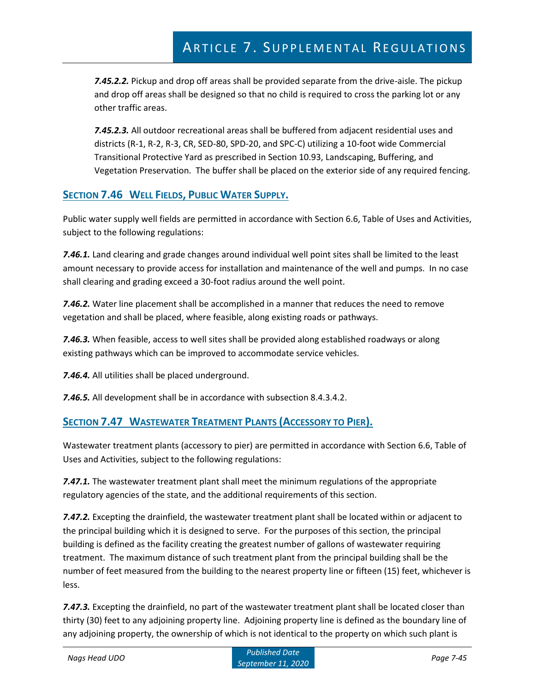*7.45.2.2.* Pickup and drop off areas shall be provided separate from the drive-aisle. The pickup and drop off areas shall be designed so that no child is required to cross the parking lot or any other traffic areas.

*7.45.2.3.* All outdoor recreational areas shall be buffered from adjacent residential uses and districts (R-1, R-2, R-3, CR, SED-80, SPD-20, and SPC-C) utilizing a 10-foot wide Commercial Transitional Protective Yard as prescribed in Section 10.93, Landscaping, Buffering, and Vegetation Preservation. The buffer shall be placed on the exterior side of any required fencing.

## **SECTION 7.46 WELL FIELDS, PUBLIC WATER SUPPLY.**

Public water supply well fields are permitted in accordance with Section 6.6, Table of Uses and Activities, subject to the following regulations:

*7.46.1.* Land clearing and grade changes around individual well point sites shall be limited to the least amount necessary to provide access for installation and maintenance of the well and pumps. In no case shall clearing and grading exceed a 30-foot radius around the well point.

*7.46.2.* Water line placement shall be accomplished in a manner that reduces the need to remove vegetation and shall be placed, where feasible, along existing roads or pathways.

*7.46.3.* When feasible, access to well sites shall be provided along established roadways or along existing pathways which can be improved to accommodate service vehicles.

*7.46.4.* All utilities shall be placed underground.

*7.46.5.* All development shall be in accordance with subsection 8.4.3.4.2.

## **SECTION 7.47 WASTEWATER TREATMENT PLANTS (ACCESSORY TO PIER).**

Wastewater treatment plants (accessory to pier) are permitted in accordance with Section 6.6, Table of Uses and Activities, subject to the following regulations:

*7.47.1.* The wastewater treatment plant shall meet the minimum regulations of the appropriate regulatory agencies of the state, and the additional requirements of this section.

*7.47.2.* Excepting the drainfield, the wastewater treatment plant shall be located within or adjacent to the principal building which it is designed to serve. For the purposes of this section, the principal building is defined as the facility creating the greatest number of gallons of wastewater requiring treatment. The maximum distance of such treatment plant from the principal building shall be the number of feet measured from the building to the nearest property line or fifteen (15) feet, whichever is less.

*7.47.3.* Excepting the drainfield, no part of the wastewater treatment plant shall be located closer than thirty (30) feet to any adjoining property line. Adjoining property line is defined as the boundary line of any adjoining property, the ownership of which is not identical to the property on which such plant is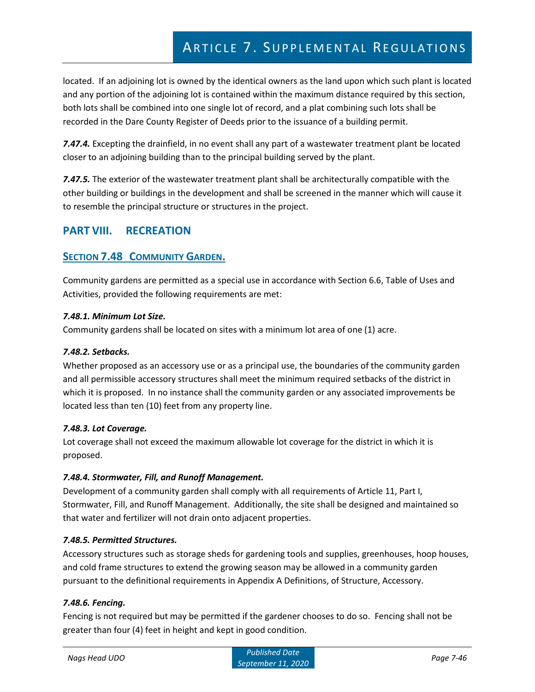located. If an adjoining lot is owned by the identical owners as the land upon which such plant is located and any portion of the adjoining lot is contained within the maximum distance required by this section, both lots shall be combined into one single lot of record, and a plat combining such lots shall be recorded in the Dare County Register of Deeds prior to the issuance of a building permit.

*7.47.4.* Excepting the drainfield, in no event shall any part of a wastewater treatment plant be located closer to an adjoining building than to the principal building served by the plant.

*7.47.5.* The exterior of the wastewater treatment plant shall be architecturally compatible with the other building or buildings in the development and shall be screened in the manner which will cause it to resemble the principal structure or structures in the project.

# **PART VIII. RECREATION**

## **SECTION 7.48 COMMUNITY GARDEN.**

Community gardens are permitted as a special use in accordance with Section 6.6, Table of Uses and Activities, provided the following requirements are met:

#### *7.48.1. Minimum Lot Size.*

Community gardens shall be located on sites with a minimum lot area of one (1) acre.

#### *7.48.2. Setbacks.*

Whether proposed as an accessory use or as a principal use, the boundaries of the community garden and all permissible accessory structures shall meet the minimum required setbacks of the district in which it is proposed. In no instance shall the community garden or any associated improvements be located less than ten (10) feet from any property line.

#### *7.48.3. Lot Coverage.*

Lot coverage shall not exceed the maximum allowable lot coverage for the district in which it is proposed.

#### *7.48.4. Stormwater, Fill, and Runoff Management.*

Development of a community garden shall comply with all requirements of Article 11, Part I, Stormwater, Fill, and Runoff Management. Additionally, the site shall be designed and maintained so that water and fertilizer will not drain onto adjacent properties.

### *7.48.5. Permitted Structures.*

Accessory structures such as storage sheds for gardening tools and supplies, greenhouses, hoop houses, and cold frame structures to extend the growing season may be allowed in a community garden pursuant to the definitional requirements in Appendix A Definitions, of Structure, Accessory.

### *7.48.6. Fencing.*

Fencing is not required but may be permitted if the gardener chooses to do so. Fencing shall not be greater than four (4) feet in height and kept in good condition.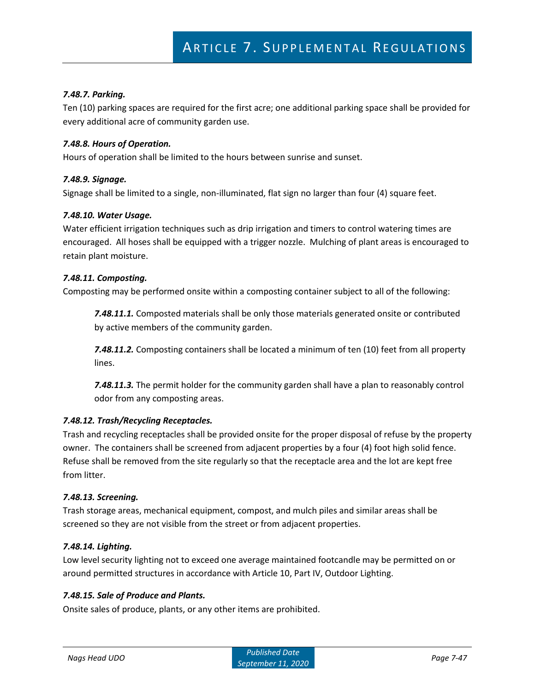#### *7.48.7. Parking.*

Ten (10) parking spaces are required for the first acre; one additional parking space shall be provided for every additional acre of community garden use.

#### *7.48.8. Hours of Operation.*

Hours of operation shall be limited to the hours between sunrise and sunset.

#### *7.48.9. Signage.*

Signage shall be limited to a single, non-illuminated, flat sign no larger than four (4) square feet.

#### *7.48.10. Water Usage.*

Water efficient irrigation techniques such as drip irrigation and timers to control watering times are encouraged. All hoses shall be equipped with a trigger nozzle. Mulching of plant areas is encouraged to retain plant moisture.

#### *7.48.11. Composting.*

Composting may be performed onsite within a composting container subject to all of the following:

*7.48.11.1.* Composted materials shall be only those materials generated onsite or contributed by active members of the community garden.

*7.48.11.2.* Composting containers shall be located a minimum of ten (10) feet from all property lines.

*7.48.11.3.* The permit holder for the community garden shall have a plan to reasonably control odor from any composting areas.

#### *7.48.12. Trash/Recycling Receptacles.*

Trash and recycling receptacles shall be provided onsite for the proper disposal of refuse by the property owner. The containers shall be screened from adjacent properties by a four (4) foot high solid fence. Refuse shall be removed from the site regularly so that the receptacle area and the lot are kept free from litter.

#### *7.48.13. Screening.*

Trash storage areas, mechanical equipment, compost, and mulch piles and similar areas shall be screened so they are not visible from the street or from adjacent properties.

#### *7.48.14. Lighting.*

Low level security lighting not to exceed one average maintained footcandle may be permitted on or around permitted structures in accordance with Article 10, Part IV, Outdoor Lighting.

#### *7.48.15. Sale of Produce and Plants.*

Onsite sales of produce, plants, or any other items are prohibited.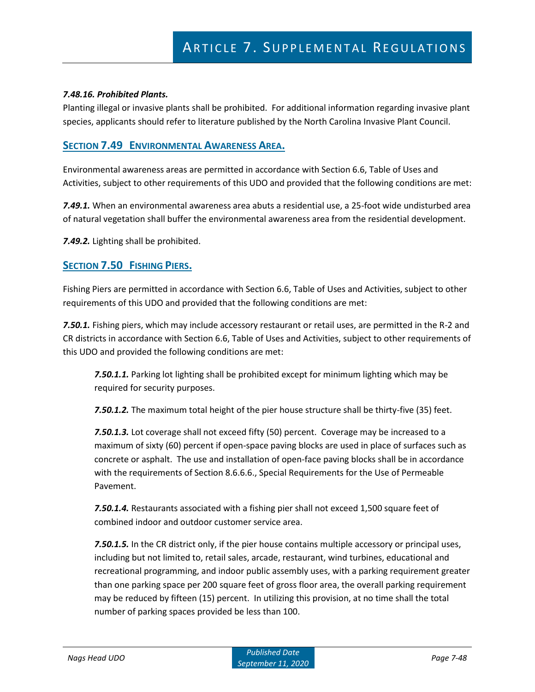#### *7.48.16. Prohibited Plants.*

Planting illegal or invasive plants shall be prohibited. For additional information regarding invasive plant species, applicants should refer to literature published by the North Carolina Invasive Plant Council.

### **SECTION 7.49 ENVIRONMENTAL AWARENESS AREA.**

Environmental awareness areas are permitted in accordance with Section 6.6, Table of Uses and Activities, subject to other requirements of this UDO and provided that the following conditions are met:

*7.49.1.* When an environmental awareness area abuts a residential use, a 25-foot wide undisturbed area of natural vegetation shall buffer the environmental awareness area from the residential development.

*7.49.2.* Lighting shall be prohibited.

### **SECTION 7.50 FISHING PIERS.**

Fishing Piers are permitted in accordance with Section 6.6, Table of Uses and Activities, subject to other requirements of this UDO and provided that the following conditions are met:

*7.50.1.* Fishing piers, which may include accessory restaurant or retail uses, are permitted in the R-2 and CR districts in accordance with Section 6.6, Table of Uses and Activities, subject to other requirements of this UDO and provided the following conditions are met:

*7.50.1.1.* Parking lot lighting shall be prohibited except for minimum lighting which may be required for security purposes.

*7.50.1.2.* The maximum total height of the pier house structure shall be thirty-five (35) feet.

*7.50.1.3.* Lot coverage shall not exceed fifty (50) percent. Coverage may be increased to a maximum of sixty (60) percent if open-space paving blocks are used in place of surfaces such as concrete or asphalt. The use and installation of open-face paving blocks shall be in accordance with the requirements of Section 8.6.6.6., Special Requirements for the Use of Permeable Pavement.

*7.50.1.4.* Restaurants associated with a fishing pier shall not exceed 1,500 square feet of combined indoor and outdoor customer service area.

*7.50.1.5.* In the CR district only, if the pier house contains multiple accessory or principal uses, including but not limited to, retail sales, arcade, restaurant, wind turbines, educational and recreational programming, and indoor public assembly uses, with a parking requirement greater than one parking space per 200 square feet of gross floor area, the overall parking requirement may be reduced by fifteen (15) percent. In utilizing this provision, at no time shall the total number of parking spaces provided be less than 100.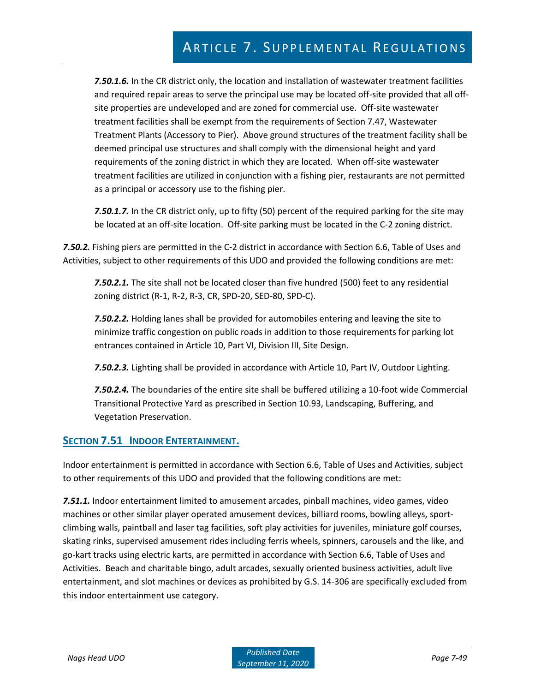*7.50.1.6.* In the CR district only, the location and installation of wastewater treatment facilities and required repair areas to serve the principal use may be located off-site provided that all offsite properties are undeveloped and are zoned for commercial use. Off-site wastewater treatment facilities shall be exempt from the requirements of Section 7.47, Wastewater Treatment Plants (Accessory to Pier). Above ground structures of the treatment facility shall be deemed principal use structures and shall comply with the dimensional height and yard requirements of the zoning district in which they are located. When off-site wastewater treatment facilities are utilized in conjunction with a fishing pier, restaurants are not permitted as a principal or accessory use to the fishing pier.

*7.50.1.7.* In the CR district only, up to fifty (50) percent of the required parking for the site may be located at an off-site location. Off-site parking must be located in the C-2 zoning district.

*7.50.2.* Fishing piers are permitted in the C-2 district in accordance with Section 6.6, Table of Uses and Activities, subject to other requirements of this UDO and provided the following conditions are met:

*7.50.2.1.* The site shall not be located closer than five hundred (500) feet to any residential zoning district (R-1, R-2, R-3, CR, SPD-20, SED-80, SPD-C).

*7.50.2.2.* Holding lanes shall be provided for automobiles entering and leaving the site to minimize traffic congestion on public roads in addition to those requirements for parking lot entrances contained in Article 10, Part VI, Division III, Site Design.

*7.50.2.3.* Lighting shall be provided in accordance with Article 10, Part IV, Outdoor Lighting.

*7.50.2.4.* The boundaries of the entire site shall be buffered utilizing a 10-foot wide Commercial Transitional Protective Yard as prescribed in Section 10.93, Landscaping, Buffering, and Vegetation Preservation.

## **SECTION 7.51 INDOOR ENTERTAINMENT.**

Indoor entertainment is permitted in accordance with Section 6.6, Table of Uses and Activities, subject to other requirements of this UDO and provided that the following conditions are met:

*7.51.1.* Indoor entertainment limited to amusement arcades, pinball machines, video games, video machines or other similar player operated amusement devices, billiard rooms, bowling alleys, sportclimbing walls, paintball and laser tag facilities, soft play activities for juveniles, miniature golf courses, skating rinks, supervised amusement rides including ferris wheels, spinners, carousels and the like, and go-kart tracks using electric karts, are permitted in accordance with Section 6.6, Table of Uses and Activities. Beach and charitable bingo, adult arcades, sexually oriented business activities, adult live entertainment, and slot machines or devices as prohibited by G.S. 14-306 are specifically excluded from this indoor entertainment use category.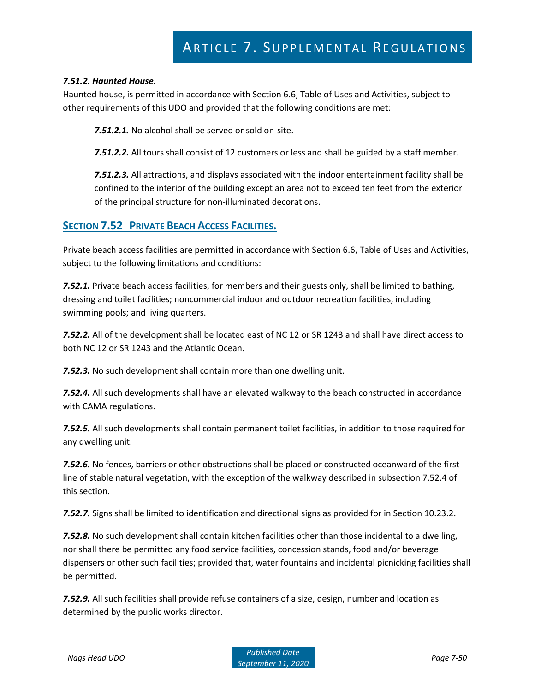#### *7.51.2. Haunted House.*

Haunted house, is permitted in accordance with Section 6.6, Table of Uses and Activities, subject to other requirements of this UDO and provided that the following conditions are met:

*7.51.2.1.* No alcohol shall be served or sold on-site.

*7.51.2.2.* All tours shall consist of 12 customers or less and shall be guided by a staff member.

*7.51.2.3.* All attractions, and displays associated with the indoor entertainment facility shall be confined to the interior of the building except an area not to exceed ten feet from the exterior of the principal structure for non-illuminated decorations.

## **SECTION 7.52 PRIVATE BEACH ACCESS FACILITIES.**

Private beach access facilities are permitted in accordance with Section 6.6, Table of Uses and Activities, subject to the following limitations and conditions:

*7.52.1.* Private beach access facilities, for members and their guests only, shall be limited to bathing, dressing and toilet facilities; noncommercial indoor and outdoor recreation facilities, including swimming pools; and living quarters.

*7.52.2.* All of the development shall be located east of NC 12 or SR 1243 and shall have direct access to both NC 12 or SR 1243 and the Atlantic Ocean.

*7.52.3.* No such development shall contain more than one dwelling unit.

*7.52.4.* All such developments shall have an elevated walkway to the beach constructed in accordance with CAMA regulations.

*7.52.5.* All such developments shall contain permanent toilet facilities, in addition to those required for any dwelling unit.

*7.52.6.* No fences, barriers or other obstructions shall be placed or constructed oceanward of the first line of stable natural vegetation, with the exception of the walkway described in subsection 7.52.4 of this section.

*7.52.7.* Signs shall be limited to identification and directional signs as provided for in Section 10.23.2.

*7.52.8.* No such development shall contain kitchen facilities other than those incidental to a dwelling, nor shall there be permitted any food service facilities, concession stands, food and/or beverage dispensers or other such facilities; provided that, water fountains and incidental picnicking facilities shall be permitted.

*7.52.9.* All such facilities shall provide refuse containers of a size, design, number and location as determined by the public works director.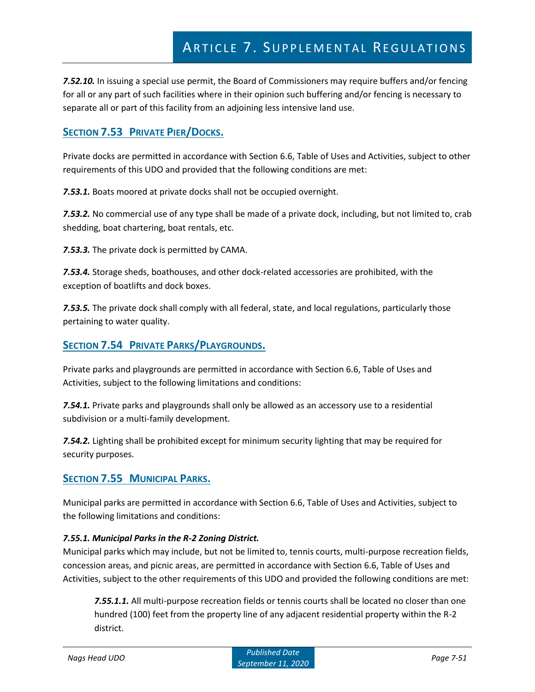*7.52.10.* In issuing a special use permit, the Board of Commissioners may require buffers and/or fencing for all or any part of such facilities where in their opinion such buffering and/or fencing is necessary to separate all or part of this facility from an adjoining less intensive land use.

## **SECTION 7.53 PRIVATE PIER/DOCKS.**

Private docks are permitted in accordance with Section 6.6, Table of Uses and Activities, subject to other requirements of this UDO and provided that the following conditions are met:

*7.53.1.* Boats moored at private docks shall not be occupied overnight.

*7.53.2.* No commercial use of any type shall be made of a private dock, including, but not limited to, crab shedding, boat chartering, boat rentals, etc.

*7.53.3.* The private dock is permitted by CAMA.

*7.53.4.* Storage sheds, boathouses, and other dock-related accessories are prohibited, with the exception of boatlifts and dock boxes.

*7.53.5.* The private dock shall comply with all federal, state, and local regulations, particularly those pertaining to water quality.

### **SECTION 7.54 PRIVATE PARKS/PLAYGROUNDS.**

Private parks and playgrounds are permitted in accordance with Section 6.6, Table of Uses and Activities, subject to the following limitations and conditions:

*7.54.1.* Private parks and playgrounds shall only be allowed as an accessory use to a residential subdivision or a multi-family development.

*7.54.2.* Lighting shall be prohibited except for minimum security lighting that may be required for security purposes.

## **SECTION 7.55 MUNICIPAL PARKS.**

Municipal parks are permitted in accordance with Section 6.6, Table of Uses and Activities, subject to the following limitations and conditions:

#### *7.55.1. Municipal Parks in the R-2 Zoning District.*

Municipal parks which may include, but not be limited to, tennis courts, multi-purpose recreation fields, concession areas, and picnic areas, are permitted in accordance with Section 6.6, Table of Uses and Activities, subject to the other requirements of this UDO and provided the following conditions are met:

*7.55.1.1.* All multi-purpose recreation fields or tennis courts shall be located no closer than one hundred (100) feet from the property line of any adjacent residential property within the R-2 district.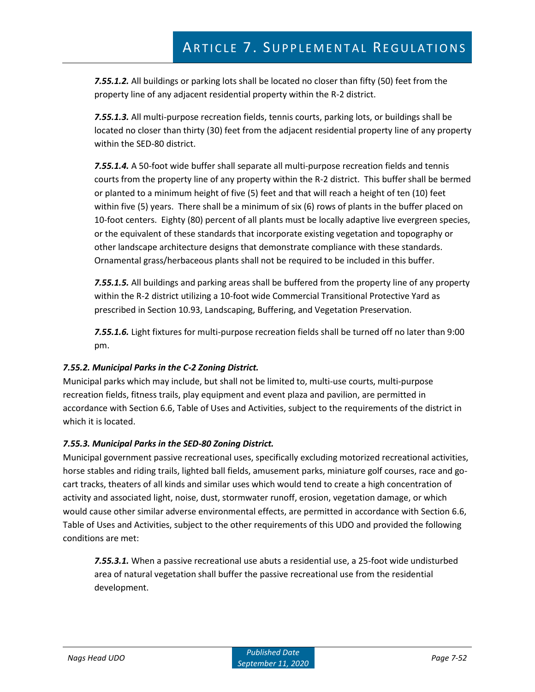*7.55.1.2.* All buildings or parking lots shall be located no closer than fifty (50) feet from the property line of any adjacent residential property within the R-2 district.

*7.55.1.3.* All multi-purpose recreation fields, tennis courts, parking lots, or buildings shall be located no closer than thirty (30) feet from the adjacent residential property line of any property within the SED-80 district.

*7.55.1.4.* A 50-foot wide buffer shall separate all multi-purpose recreation fields and tennis courts from the property line of any property within the R-2 district. This buffer shall be bermed or planted to a minimum height of five (5) feet and that will reach a height of ten (10) feet within five (5) years. There shall be a minimum of six (6) rows of plants in the buffer placed on 10-foot centers. Eighty (80) percent of all plants must be locally adaptive live evergreen species, or the equivalent of these standards that incorporate existing vegetation and topography or other landscape architecture designs that demonstrate compliance with these standards. Ornamental grass/herbaceous plants shall not be required to be included in this buffer.

*7.55.1.5.* All buildings and parking areas shall be buffered from the property line of any property within the R-2 district utilizing a 10-foot wide Commercial Transitional Protective Yard as prescribed in Section 10.93, Landscaping, Buffering, and Vegetation Preservation.

*7.55.1.6.* Light fixtures for multi-purpose recreation fields shall be turned off no later than 9:00 pm.

### *7.55.2. Municipal Parks in the C-2 Zoning District.*

Municipal parks which may include, but shall not be limited to, multi-use courts, multi-purpose recreation fields, fitness trails, play equipment and event plaza and pavilion, are permitted in accordance with Section 6.6, Table of Uses and Activities, subject to the requirements of the district in which it is located.

#### *7.55.3. Municipal Parks in the SED-80 Zoning District.*

Municipal government passive recreational uses, specifically excluding motorized recreational activities, horse stables and riding trails, lighted ball fields, amusement parks, miniature golf courses, race and gocart tracks, theaters of all kinds and similar uses which would tend to create a high concentration of activity and associated light, noise, dust, stormwater runoff, erosion, vegetation damage, or which would cause other similar adverse environmental effects, are permitted in accordance with Section 6.6, Table of Uses and Activities, subject to the other requirements of this UDO and provided the following conditions are met:

*7.55.3.1.* When a passive recreational use abuts a residential use, a 25-foot wide undisturbed area of natural vegetation shall buffer the passive recreational use from the residential development.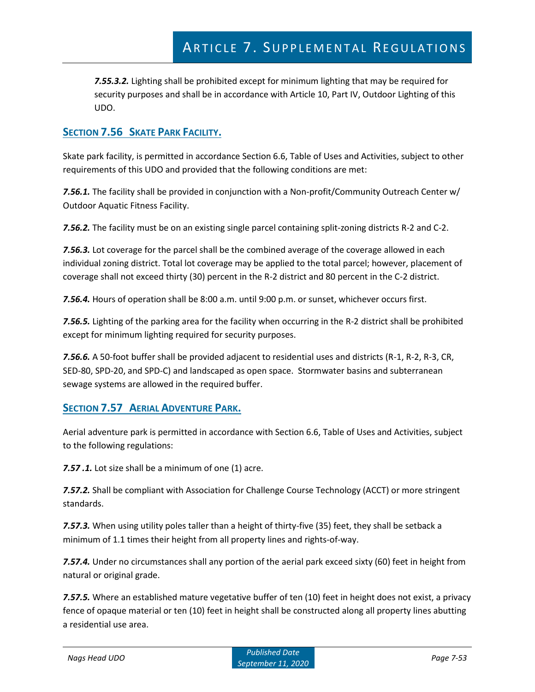*7.55.3.2.* Lighting shall be prohibited except for minimum lighting that may be required for security purposes and shall be in accordance with Article 10, Part IV, Outdoor Lighting of this UDO.

## **SECTION 7.56 SKATE PARK FACILITY.**

Skate park facility, is permitted in accordance Section 6.6, Table of Uses and Activities, subject to other requirements of this UDO and provided that the following conditions are met:

*7.56.1.* The facility shall be provided in conjunction with a Non-profit/Community Outreach Center w/ Outdoor Aquatic Fitness Facility.

*7.56.2.* The facility must be on an existing single parcel containing split-zoning districts R-2 and C-2.

*7.56.3.* Lot coverage for the parcel shall be the combined average of the coverage allowed in each individual zoning district. Total lot coverage may be applied to the total parcel; however, placement of coverage shall not exceed thirty (30) percent in the R-2 district and 80 percent in the C-2 district.

*7.56.4.* Hours of operation shall be 8:00 a.m. until 9:00 p.m. or sunset, whichever occurs first.

*7.56.5.* Lighting of the parking area for the facility when occurring in the R-2 district shall be prohibited except for minimum lighting required for security purposes.

*7.56.6.* A 50-foot buffer shall be provided adjacent to residential uses and districts (R-1, R-2, R-3, CR, SED-80, SPD-20, and SPD-C) and landscaped as open space. Stormwater basins and subterranean sewage systems are allowed in the required buffer.

## **SECTION 7.57 AERIAL ADVENTURE PARK.**

Aerial adventure park is permitted in accordance with Section 6.6, Table of Uses and Activities, subject to the following regulations:

*7.57 .1.* Lot size shall be a minimum of one (1) acre.

*7.57.2.* Shall be compliant with Association for Challenge Course Technology (ACCT) or more stringent standards.

*7.57.3.* When using utility poles taller than a height of thirty-five (35) feet, they shall be setback a minimum of 1.1 times their height from all property lines and rights-of-way.

*7.57.4.* Under no circumstances shall any portion of the aerial park exceed sixty (60) feet in height from natural or original grade.

*7.57.5.* Where an established mature vegetative buffer of ten (10) feet in height does not exist, a privacy fence of opaque material or ten (10) feet in height shall be constructed along all property lines abutting a residential use area.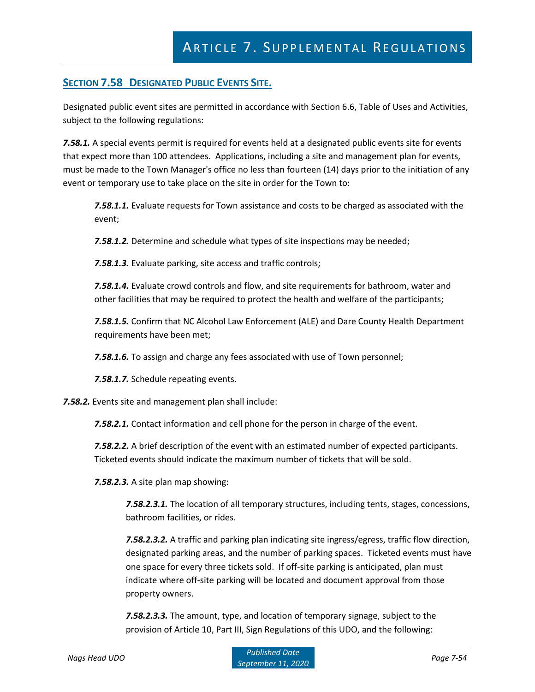## **SECTION 7.58 DESIGNATED PUBLIC EVENTS SITE.**

Designated public event sites are permitted in accordance with Section 6.6, Table of Uses and Activities, subject to the following regulations:

*7.58.1.* A special events permit is required for events held at a designated public events site for events that expect more than 100 attendees. Applications, including a site and management plan for events, must be made to the Town Manager's office no less than fourteen (14) days prior to the initiation of any event or temporary use to take place on the site in order for the Town to:

*7.58.1.1.* Evaluate requests for Town assistance and costs to be charged as associated with the event;

*7.58.1.2.* Determine and schedule what types of site inspections may be needed;

*7.58.1.3.* Evaluate parking, site access and traffic controls;

*7.58.1.4.* Evaluate crowd controls and flow, and site requirements for bathroom, water and other facilities that may be required to protect the health and welfare of the participants;

*7.58.1.5.* Confirm that NC Alcohol Law Enforcement (ALE) and Dare County Health Department requirements have been met;

*7.58.1.6.* To assign and charge any fees associated with use of Town personnel;

*7.58.1.7.* Schedule repeating events.

*7.58.2.* Events site and management plan shall include:

*7.58.2.1.* Contact information and cell phone for the person in charge of the event.

*7.58.2.2.* A brief description of the event with an estimated number of expected participants. Ticketed events should indicate the maximum number of tickets that will be sold.

*7.58.2.3.* A site plan map showing:

*7.58.2.3.1.* The location of all temporary structures, including tents, stages, concessions, bathroom facilities, or rides.

*7.58.2.3.2.* A traffic and parking plan indicating site ingress/egress, traffic flow direction, designated parking areas, and the number of parking spaces. Ticketed events must have one space for every three tickets sold. If off-site parking is anticipated, plan must indicate where off-site parking will be located and document approval from those property owners.

*7.58.2.3.3.* The amount, type, and location of temporary signage, subject to the provision of Article 10, Part III, Sign Regulations of this UDO, and the following: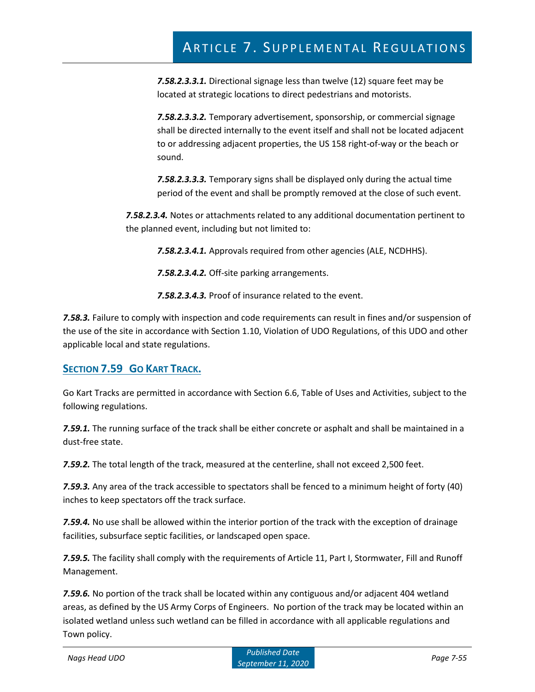*7.58.2.3.3.1.* Directional signage less than twelve (12) square feet may be located at strategic locations to direct pedestrians and motorists.

*7.58.2.3.3.2.* Temporary advertisement, sponsorship, or commercial signage shall be directed internally to the event itself and shall not be located adjacent to or addressing adjacent properties, the US 158 right-of-way or the beach or sound.

*7.58.2.3.3.3.* Temporary signs shall be displayed only during the actual time period of the event and shall be promptly removed at the close of such event.

*7.58.2.3.4.* Notes or attachments related to any additional documentation pertinent to the planned event, including but not limited to:

*7.58.2.3.4.1.* Approvals required from other agencies (ALE, NCDHHS).

*7.58.2.3.4.2.* Off-site parking arrangements.

*7.58.2.3.4.3.* Proof of insurance related to the event.

*7.58.3.* Failure to comply with inspection and code requirements can result in fines and/or suspension of the use of the site in accordance with Section 1.10, Violation of UDO Regulations, of this UDO and other applicable local and state regulations.

## **SECTION 7.59 GO KART TRACK.**

Go Kart Tracks are permitted in accordance with Section 6.6, Table of Uses and Activities, subject to the following regulations.

*7.59.1.* The running surface of the track shall be either concrete or asphalt and shall be maintained in a dust-free state.

*7.59.2.* The total length of the track, measured at the centerline, shall not exceed 2,500 feet.

*7.59.3.* Any area of the track accessible to spectators shall be fenced to a minimum height of forty (40) inches to keep spectators off the track surface.

*7.59.4.* No use shall be allowed within the interior portion of the track with the exception of drainage facilities, subsurface septic facilities, or landscaped open space.

*7.59.5.* The facility shall comply with the requirements of Article 11, Part I, Stormwater, Fill and Runoff Management.

*7.59.6.* No portion of the track shall be located within any contiguous and/or adjacent 404 wetland areas, as defined by the US Army Corps of Engineers. No portion of the track may be located within an isolated wetland unless such wetland can be filled in accordance with all applicable regulations and Town policy.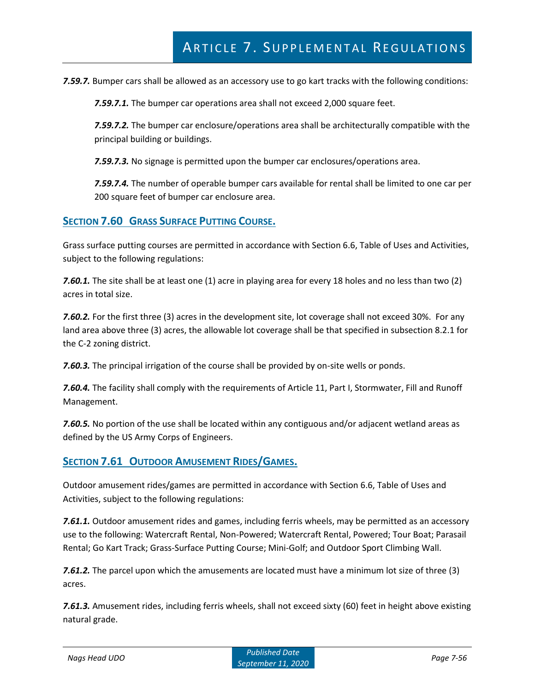*7.59.7.* Bumper cars shall be allowed as an accessory use to go kart tracks with the following conditions:

*7.59.7.1.* The bumper car operations area shall not exceed 2,000 square feet.

*7.59.7.2.* The bumper car enclosure/operations area shall be architecturally compatible with the principal building or buildings.

*7.59.7.3.* No signage is permitted upon the bumper car enclosures/operations area.

*7.59.7.4.* The number of operable bumper cars available for rental shall be limited to one car per 200 square feet of bumper car enclosure area.

### **SECTION 7.60 GRASS SURFACE PUTTING COURSE.**

Grass surface putting courses are permitted in accordance with Section 6.6, Table of Uses and Activities, subject to the following regulations:

**7.60.1.** The site shall be at least one (1) acre in playing area for every 18 holes and no less than two (2) acres in total size.

*7.60.2.* For the first three (3) acres in the development site, lot coverage shall not exceed 30%. For any land area above three (3) acres, the allowable lot coverage shall be that specified in subsection 8.2.1 for the C-2 zoning district.

*7.60.3.* The principal irrigation of the course shall be provided by on-site wells or ponds.

*7.60.4.* The facility shall comply with the requirements of Article 11, Part I, Stormwater, Fill and Runoff Management.

*7.60.5.* No portion of the use shall be located within any contiguous and/or adjacent wetland areas as defined by the US Army Corps of Engineers.

## **SECTION 7.61 OUTDOOR AMUSEMENT RIDES/GAMES.**

Outdoor amusement rides/games are permitted in accordance with Section 6.6, Table of Uses and Activities, subject to the following regulations:

*7.61.1.* Outdoor amusement rides and games, including ferris wheels, may be permitted as an accessory use to the following: Watercraft Rental, Non-Powered; Watercraft Rental, Powered; Tour Boat; Parasail Rental; Go Kart Track; Grass-Surface Putting Course; Mini-Golf; and Outdoor Sport Climbing Wall.

*7.61.2.* The parcel upon which the amusements are located must have a minimum lot size of three (3) acres.

*7.61.3.* Amusement rides, including ferris wheels, shall not exceed sixty (60) feet in height above existing natural grade.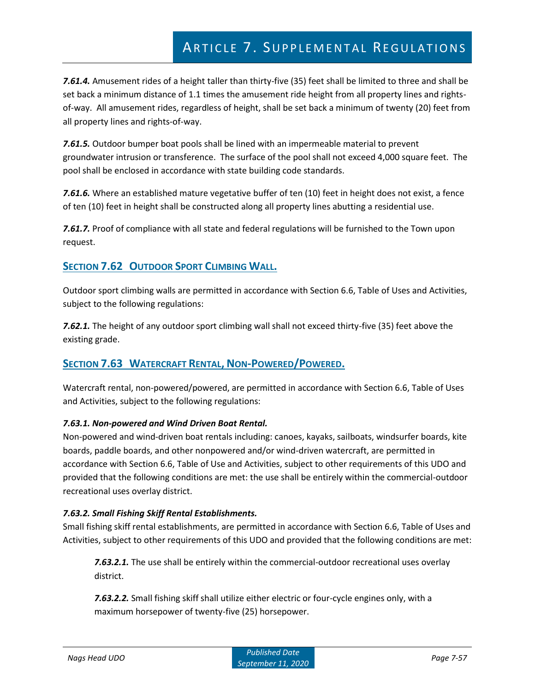*7.61.4.* Amusement rides of a height taller than thirty-five (35) feet shall be limited to three and shall be set back a minimum distance of 1.1 times the amusement ride height from all property lines and rightsof-way. All amusement rides, regardless of height, shall be set back a minimum of twenty (20) feet from all property lines and rights-of-way.

*7.61.5.* Outdoor bumper boat pools shall be lined with an impermeable material to prevent groundwater intrusion or transference. The surface of the pool shall not exceed 4,000 square feet. The pool shall be enclosed in accordance with state building code standards.

*7.61.6.* Where an established mature vegetative buffer of ten (10) feet in height does not exist, a fence of ten (10) feet in height shall be constructed along all property lines abutting a residential use.

*7.61.7.* Proof of compliance with all state and federal regulations will be furnished to the Town upon request.

## **SECTION 7.62 OUTDOOR SPORT CLIMBING WALL.**

Outdoor sport climbing walls are permitted in accordance with Section 6.6, Table of Uses and Activities, subject to the following regulations:

*7.62.1.* The height of any outdoor sport climbing wall shall not exceed thirty-five (35) feet above the existing grade.

## **SECTION 7.63 WATERCRAFT RENTAL, NON-POWERED/POWERED.**

Watercraft rental, non-powered/powered, are permitted in accordance with Section 6.6, Table of Uses and Activities, subject to the following regulations:

### *7.63.1. Non-powered and Wind Driven Boat Rental.*

Non-powered and wind-driven boat rentals including: canoes, kayaks, sailboats, windsurfer boards, kite boards, paddle boards, and other nonpowered and/or wind-driven watercraft, are permitted in accordance with Section 6.6, Table of Use and Activities, subject to other requirements of this UDO and provided that the following conditions are met: the use shall be entirely within the commercial-outdoor recreational uses overlay district.

### *7.63.2. Small Fishing Skiff Rental Establishments.*

Small fishing skiff rental establishments, are permitted in accordance with Section 6.6, Table of Uses and Activities, subject to other requirements of this UDO and provided that the following conditions are met:

*7.63.2.1.* The use shall be entirely within the commercial-outdoor recreational uses overlay district.

*7.63.2.2.* Small fishing skiff shall utilize either electric or four-cycle engines only, with a maximum horsepower of twenty-five (25) horsepower.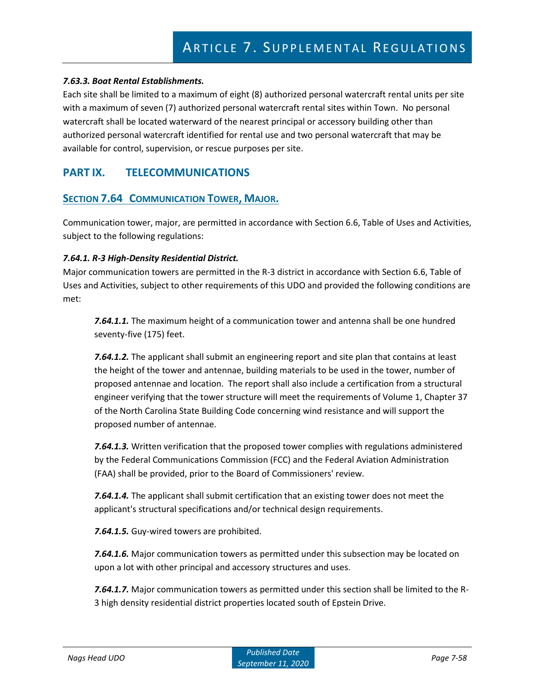#### *7.63.3. Boat Rental Establishments.*

Each site shall be limited to a maximum of eight (8) authorized personal watercraft rental units per site with a maximum of seven (7) authorized personal watercraft rental sites within Town. No personal watercraft shall be located waterward of the nearest principal or accessory building other than authorized personal watercraft identified for rental use and two personal watercraft that may be available for control, supervision, or rescue purposes per site.

## **PART IX. TELECOMMUNICATIONS**

### **SECTION 7.64 COMMUNICATION TOWER, MAJOR.**

Communication tower, major, are permitted in accordance with Section 6.6, Table of Uses and Activities, subject to the following regulations:

#### *7.64.1. R-3 High-Density Residential District.*

Major communication towers are permitted in the R-3 district in accordance with Section 6.6, Table of Uses and Activities, subject to other requirements of this UDO and provided the following conditions are met:

*7.64.1.1.* The maximum height of a communication tower and antenna shall be one hundred seventy-five (175) feet.

*7.64.1.2.* The applicant shall submit an engineering report and site plan that contains at least the height of the tower and antennae, building materials to be used in the tower, number of proposed antennae and location. The report shall also include a certification from a structural engineer verifying that the tower structure will meet the requirements of Volume 1, Chapter 37 of the North Carolina State Building Code concerning wind resistance and will support the proposed number of antennae.

*7.64.1.3.* Written verification that the proposed tower complies with regulations administered by the Federal Communications Commission (FCC) and the Federal Aviation Administration (FAA) shall be provided, prior to the Board of Commissioners' review.

*7.64.1.4.* The applicant shall submit certification that an existing tower does not meet the applicant's structural specifications and/or technical design requirements.

*7.64.1.5.* Guy-wired towers are prohibited.

*7.64.1.6.* Major communication towers as permitted under this subsection may be located on upon a lot with other principal and accessory structures and uses.

*7.64.1.7.* Major communication towers as permitted under this section shall be limited to the R-3 high density residential district properties located south of Epstein Drive.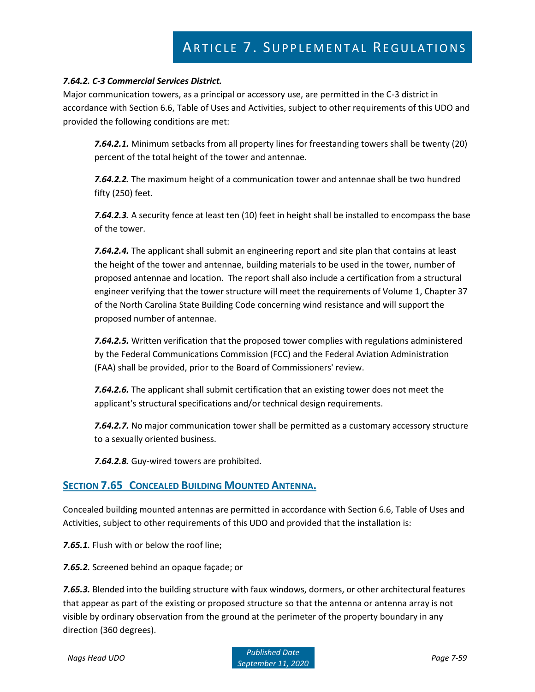#### *7.64.2. C-3 Commercial Services District.*

Major communication towers, as a principal or accessory use, are permitted in the C-3 district in accordance with Section 6.6, Table of Uses and Activities, subject to other requirements of this UDO and provided the following conditions are met:

*7.64.2.1.* Minimum setbacks from all property lines for freestanding towers shall be twenty (20) percent of the total height of the tower and antennae.

*7.64.2.2.* The maximum height of a communication tower and antennae shall be two hundred fifty (250) feet.

*7.64.2.3.* A security fence at least ten (10) feet in height shall be installed to encompass the base of the tower.

*7.64.2.4.* The applicant shall submit an engineering report and site plan that contains at least the height of the tower and antennae, building materials to be used in the tower, number of proposed antennae and location. The report shall also include a certification from a structural engineer verifying that the tower structure will meet the requirements of Volume 1, Chapter 37 of the North Carolina State Building Code concerning wind resistance and will support the proposed number of antennae.

*7.64.2.5.* Written verification that the proposed tower complies with regulations administered by the Federal Communications Commission (FCC) and the Federal Aviation Administration (FAA) shall be provided, prior to the Board of Commissioners' review.

*7.64.2.6.* The applicant shall submit certification that an existing tower does not meet the applicant's structural specifications and/or technical design requirements.

*7.64.2.7.* No major communication tower shall be permitted as a customary accessory structure to a sexually oriented business.

*7.64.2.8.* Guy-wired towers are prohibited.

### **SECTION 7.65 CONCEALED BUILDING MOUNTED ANTENNA.**

Concealed building mounted antennas are permitted in accordance with Section 6.6, Table of Uses and Activities, subject to other requirements of this UDO and provided that the installation is:

*7.65.1.* Flush with or below the roof line;

*7.65.2.* Screened behind an opaque façade; or

*7.65.3.* Blended into the building structure with faux windows, dormers, or other architectural features that appear as part of the existing or proposed structure so that the antenna or antenna array is not visible by ordinary observation from the ground at the perimeter of the property boundary in any direction (360 degrees).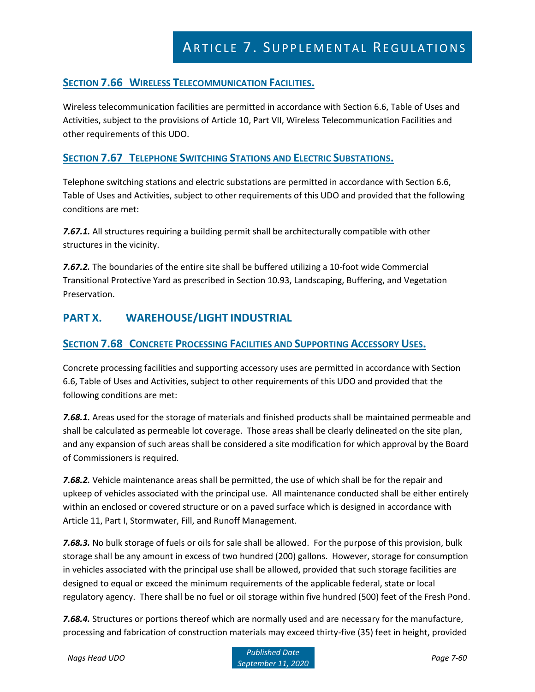## **SECTION 7.66 WIRELESS TELECOMMUNICATION FACILITIES.**

Wireless telecommunication facilities are permitted in accordance with Section 6.6, Table of Uses and Activities, subject to the provisions of Article 10, Part VII, Wireless Telecommunication Facilities and other requirements of this UDO.

## **SECTION 7.67 TELEPHONE SWITCHING STATIONS AND ELECTRIC SUBSTATIONS.**

Telephone switching stations and electric substations are permitted in accordance with Section 6.6, Table of Uses and Activities, subject to other requirements of this UDO and provided that the following conditions are met:

*7.67.1.* All structures requiring a building permit shall be architecturally compatible with other structures in the vicinity.

*7.67.2.* The boundaries of the entire site shall be buffered utilizing a 10-foot wide Commercial Transitional Protective Yard as prescribed in Section 10.93, Landscaping, Buffering, and Vegetation Preservation.

## **PART X. WAREHOUSE/LIGHT INDUSTRIAL**

## **SECTION 7.68 CONCRETE PROCESSING FACILITIES AND SUPPORTING ACCESSORY USES.**

Concrete processing facilities and supporting accessory uses are permitted in accordance with Section 6.6, Table of Uses and Activities, subject to other requirements of this UDO and provided that the following conditions are met:

*7.68.1.* Areas used for the storage of materials and finished products shall be maintained permeable and shall be calculated as permeable lot coverage. Those areas shall be clearly delineated on the site plan, and any expansion of such areas shall be considered a site modification for which approval by the Board of Commissioners is required.

*7.68.2.* Vehicle maintenance areas shall be permitted, the use of which shall be for the repair and upkeep of vehicles associated with the principal use. All maintenance conducted shall be either entirely within an enclosed or covered structure or on a paved surface which is designed in accordance with Article 11, Part I, Stormwater, Fill, and Runoff Management.

*7.68.3.* No bulk storage of fuels or oils for sale shall be allowed. For the purpose of this provision, bulk storage shall be any amount in excess of two hundred (200) gallons. However, storage for consumption in vehicles associated with the principal use shall be allowed, provided that such storage facilities are designed to equal or exceed the minimum requirements of the applicable federal, state or local regulatory agency. There shall be no fuel or oil storage within five hundred (500) feet of the Fresh Pond.

*7.68.4.* Structures or portions thereof which are normally used and are necessary for the manufacture, processing and fabrication of construction materials may exceed thirty-five (35) feet in height, provided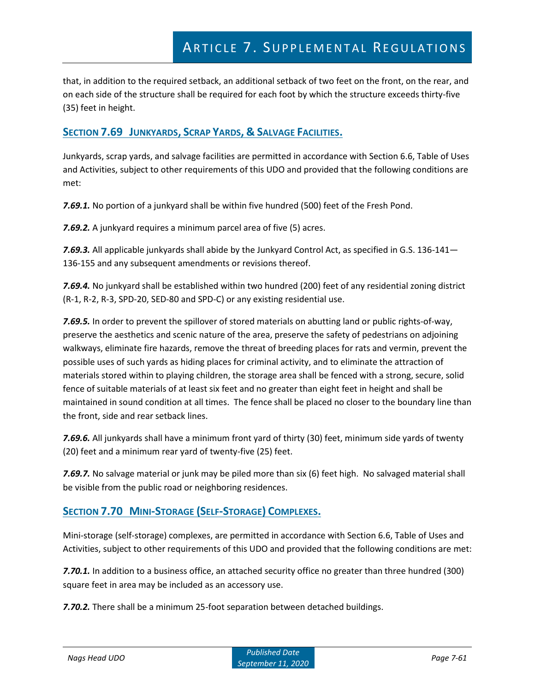that, in addition to the required setback, an additional setback of two feet on the front, on the rear, and on each side of the structure shall be required for each foot by which the structure exceeds thirty-five (35) feet in height.

## **SECTION 7.69 JUNKYARDS, SCRAP YARDS, & SALVAGE FACILITIES.**

Junkyards, scrap yards, and salvage facilities are permitted in accordance with Section 6.6, Table of Uses and Activities, subject to other requirements of this UDO and provided that the following conditions are met:

*7.69.1.* No portion of a junkyard shall be within five hundred (500) feet of the Fresh Pond.

*7.69.2.* A junkyard requires a minimum parcel area of five (5) acres.

*7.69.3.* All applicable junkyards shall abide by the Junkyard Control Act, as specified in G.S. 136-141— 136-155 and any subsequent amendments or revisions thereof.

*7.69.4.* No junkyard shall be established within two hundred (200) feet of any residential zoning district (R-1, R-2, R-3, SPD-20, SED-80 and SPD-C) or any existing residential use.

*7.69.5.* In order to prevent the spillover of stored materials on abutting land or public rights-of-way, preserve the aesthetics and scenic nature of the area, preserve the safety of pedestrians on adjoining walkways, eliminate fire hazards, remove the threat of breeding places for rats and vermin, prevent the possible uses of such yards as hiding places for criminal activity, and to eliminate the attraction of materials stored within to playing children, the storage area shall be fenced with a strong, secure, solid fence of suitable materials of at least six feet and no greater than eight feet in height and shall be maintained in sound condition at all times. The fence shall be placed no closer to the boundary line than the front, side and rear setback lines.

*7.69.6.* All junkyards shall have a minimum front yard of thirty (30) feet, minimum side yards of twenty (20) feet and a minimum rear yard of twenty-five (25) feet.

*7.69.7.* No salvage material or junk may be piled more than six (6) feet high. No salvaged material shall be visible from the public road or neighboring residences.

## **SECTION 7.70 MINI-STORAGE (SELF-STORAGE) COMPLEXES.**

Mini-storage (self-storage) complexes, are permitted in accordance with Section 6.6, Table of Uses and Activities, subject to other requirements of this UDO and provided that the following conditions are met:

*7.70.1.* In addition to a business office, an attached security office no greater than three hundred (300) square feet in area may be included as an accessory use.

*7.70.2.* There shall be a minimum 25-foot separation between detached buildings.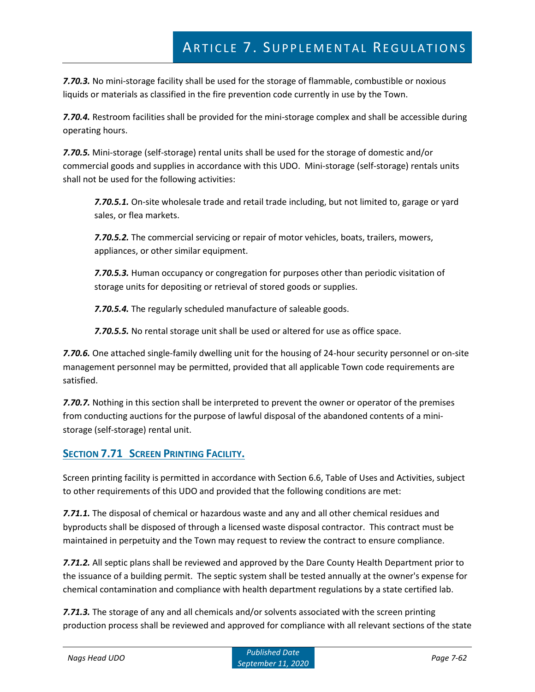*7.70.3.* No mini-storage facility shall be used for the storage of flammable, combustible or noxious liquids or materials as classified in the fire prevention code currently in use by the Town.

*7.70.4.* Restroom facilities shall be provided for the mini-storage complex and shall be accessible during operating hours.

*7.70.5.* Mini-storage (self-storage) rental units shall be used for the storage of domestic and/or commercial goods and supplies in accordance with this UDO. Mini-storage (self-storage) rentals units shall not be used for the following activities:

*7.70.5.1.* On-site wholesale trade and retail trade including, but not limited to, garage or yard sales, or flea markets.

*7.70.5.2.* The commercial servicing or repair of motor vehicles, boats, trailers, mowers, appliances, or other similar equipment.

*7.70.5.3.* Human occupancy or congregation for purposes other than periodic visitation of storage units for depositing or retrieval of stored goods or supplies.

*7.70.5.4.* The regularly scheduled manufacture of saleable goods.

*7.70.5.5.* No rental storage unit shall be used or altered for use as office space.

*7.70.6.* One attached single-family dwelling unit for the housing of 24-hour security personnel or on-site management personnel may be permitted, provided that all applicable Town code requirements are satisfied.

*7.70.7.* Nothing in this section shall be interpreted to prevent the owner or operator of the premises from conducting auctions for the purpose of lawful disposal of the abandoned contents of a ministorage (self-storage) rental unit.

## **SECTION 7.71 SCREEN PRINTING FACILITY.**

Screen printing facility is permitted in accordance with Section 6.6, Table of Uses and Activities, subject to other requirements of this UDO and provided that the following conditions are met:

*7.71.1.* The disposal of chemical or hazardous waste and any and all other chemical residues and byproducts shall be disposed of through a licensed waste disposal contractor. This contract must be maintained in perpetuity and the Town may request to review the contract to ensure compliance.

*7.71.2.* All septic plans shall be reviewed and approved by the Dare County Health Department prior to the issuance of a building permit. The septic system shall be tested annually at the owner's expense for chemical contamination and compliance with health department regulations by a state certified lab.

*7.71.3.* The storage of any and all chemicals and/or solvents associated with the screen printing production process shall be reviewed and approved for compliance with all relevant sections of the state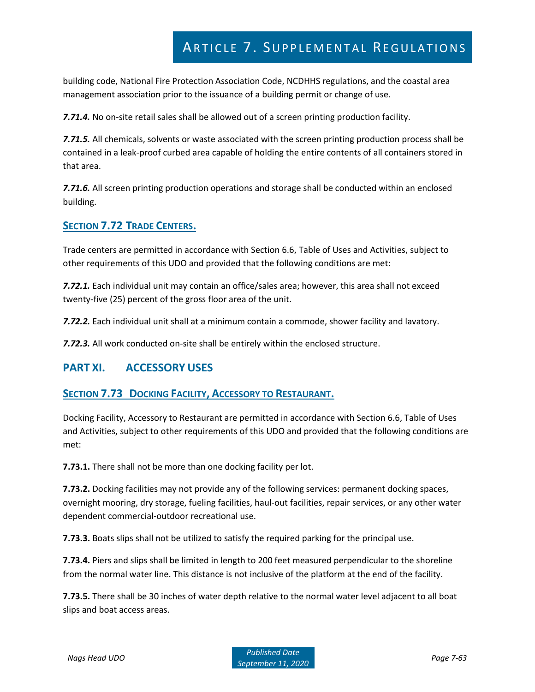building code, National Fire Protection Association Code, NCDHHS regulations, and the coastal area management association prior to the issuance of a building permit or change of use.

*7.71.4.* No on-site retail sales shall be allowed out of a screen printing production facility.

*7.71.5.* All chemicals, solvents or waste associated with the screen printing production process shall be contained in a leak-proof curbed area capable of holding the entire contents of all containers stored in that area.

*7.71.6.* All screen printing production operations and storage shall be conducted within an enclosed building.

## **SECTION 7.72 TRADE CENTERS.**

Trade centers are permitted in accordance with Section 6.6, Table of Uses and Activities, subject to other requirements of this UDO and provided that the following conditions are met:

*7.72.1.* Each individual unit may contain an office/sales area; however, this area shall not exceed twenty-five (25) percent of the gross floor area of the unit.

*7.72.2.* Each individual unit shall at a minimum contain a commode, shower facility and lavatory.

*7.72.3.* All work conducted on-site shall be entirely within the enclosed structure.

## **PART XI. ACCESSORY USES**

### **SECTION 7.73 DOCKING FACILITY, ACCESSORY TO RESTAURANT.**

Docking Facility, Accessory to Restaurant are permitted in accordance with Section 6.6, Table of Uses and Activities, subject to other requirements of this UDO and provided that the following conditions are met:

**7.73.1.** There shall not be more than one docking facility per lot.

**7.73.2.** Docking facilities may not provide any of the following services: permanent docking spaces, overnight mooring, dry storage, fueling facilities, haul-out facilities, repair services, or any other water dependent commercial-outdoor recreational use.

**7.73.3.** Boats slips shall not be utilized to satisfy the required parking for the principal use.

**7.73.4.** Piers and slips shall be limited in length to 200 feet measured perpendicular to the shoreline from the normal water line. This distance is not inclusive of the platform at the end of the facility.

**7.73.5.** There shall be 30 inches of water depth relative to the normal water level adjacent to all boat slips and boat access areas.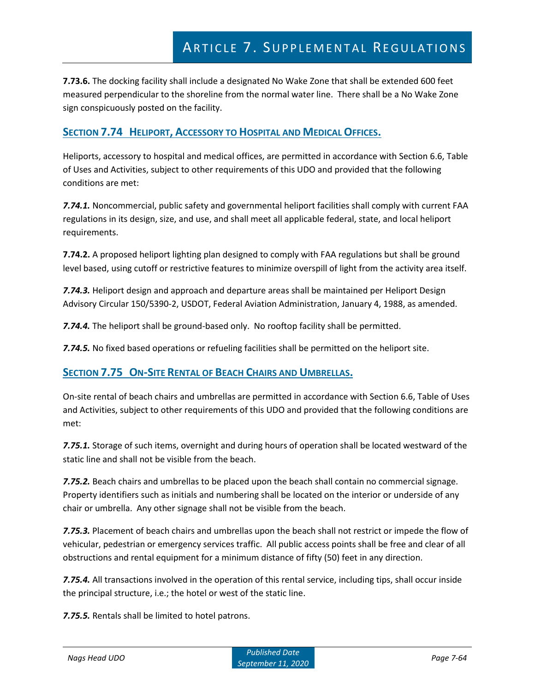**7.73.6.** The docking facility shall include a designated No Wake Zone that shall be extended 600 feet measured perpendicular to the shoreline from the normal water line. There shall be a No Wake Zone sign conspicuously posted on the facility.

## **SECTION 7.74 HELIPORT, ACCESSORY TO HOSPITAL AND MEDICAL OFFICES.**

Heliports, accessory to hospital and medical offices, are permitted in accordance with Section 6.6, Table of Uses and Activities, subject to other requirements of this UDO and provided that the following conditions are met:

*7.74.1.* Noncommercial, public safety and governmental heliport facilities shall comply with current FAA regulations in its design, size, and use, and shall meet all applicable federal, state, and local heliport requirements.

**7.74.2.** A proposed heliport lighting plan designed to comply with FAA regulations but shall be ground level based, using cutoff or restrictive features to minimize overspill of light from the activity area itself.

*7.74.3.* Heliport design and approach and departure areas shall be maintained per Heliport Design Advisory Circular 150/5390-2, USDOT, Federal Aviation Administration, January 4, 1988, as amended.

*7.74.4.* The heliport shall be ground-based only. No rooftop facility shall be permitted.

*7.74.5.* No fixed based operations or refueling facilities shall be permitted on the heliport site.

## **SECTION 7.75 ON-SITE RENTAL OF BEACH CHAIRS AND UMBRELLAS.**

On-site rental of beach chairs and umbrellas are permitted in accordance with Section 6.6, Table of Uses and Activities, subject to other requirements of this UDO and provided that the following conditions are met:

*7.75.1.* Storage of such items, overnight and during hours of operation shall be located westward of the static line and shall not be visible from the beach.

*7.75.2.* Beach chairs and umbrellas to be placed upon the beach shall contain no commercial signage. Property identifiers such as initials and numbering shall be located on the interior or underside of any chair or umbrella. Any other signage shall not be visible from the beach.

*7.75.3.* Placement of beach chairs and umbrellas upon the beach shall not restrict or impede the flow of vehicular, pedestrian or emergency services traffic. All public access points shall be free and clear of all obstructions and rental equipment for a minimum distance of fifty (50) feet in any direction.

*7.75.4.* All transactions involved in the operation of this rental service, including tips, shall occur inside the principal structure, i.e.; the hotel or west of the static line.

*7.75.5.* Rentals shall be limited to hotel patrons.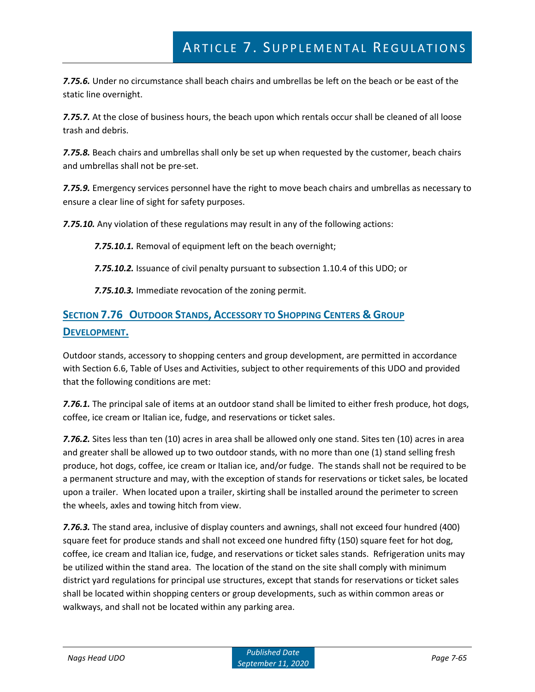*7.75.6.* Under no circumstance shall beach chairs and umbrellas be left on the beach or be east of the static line overnight.

*7.75.7.* At the close of business hours, the beach upon which rentals occur shall be cleaned of all loose trash and debris.

*7.75.8.* Beach chairs and umbrellas shall only be set up when requested by the customer, beach chairs and umbrellas shall not be pre-set.

*7.75.9.* Emergency services personnel have the right to move beach chairs and umbrellas as necessary to ensure a clear line of sight for safety purposes.

*7.75.10.* Any violation of these regulations may result in any of the following actions:

*7.75.10.1.* Removal of equipment left on the beach overnight;

*7.75.10.2.* Issuance of civil penalty pursuant to subsection 1.10.4 of this UDO; or

*7.75.10.3.* Immediate revocation of the zoning permit.

# **SECTION 7.76 OUTDOOR STANDS, ACCESSORY TO SHOPPING CENTERS & GROUP DEVELOPMENT.**

Outdoor stands, accessory to shopping centers and group development, are permitted in accordance with Section 6.6, Table of Uses and Activities, subject to other requirements of this UDO and provided that the following conditions are met:

*7.76.1.* The principal sale of items at an outdoor stand shall be limited to either fresh produce, hot dogs, coffee, ice cream or Italian ice, fudge, and reservations or ticket sales.

*7.76.2.* Sites less than ten (10) acres in area shall be allowed only one stand. Sites ten (10) acres in area and greater shall be allowed up to two outdoor stands, with no more than one (1) stand selling fresh produce, hot dogs, coffee, ice cream or Italian ice, and/or fudge. The stands shall not be required to be a permanent structure and may, with the exception of stands for reservations or ticket sales, be located upon a trailer. When located upon a trailer, skirting shall be installed around the perimeter to screen the wheels, axles and towing hitch from view.

*7.76.3.* The stand area, inclusive of display counters and awnings, shall not exceed four hundred (400) square feet for produce stands and shall not exceed one hundred fifty (150) square feet for hot dog, coffee, ice cream and Italian ice, fudge, and reservations or ticket sales stands. Refrigeration units may be utilized within the stand area. The location of the stand on the site shall comply with minimum district yard regulations for principal use structures, except that stands for reservations or ticket sales shall be located within shopping centers or group developments, such as within common areas or walkways, and shall not be located within any parking area.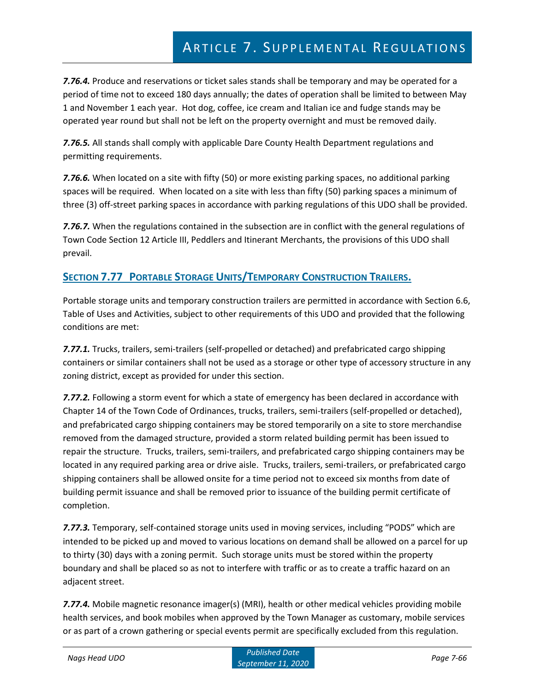*7.76.4.* Produce and reservations or ticket sales stands shall be temporary and may be operated for a period of time not to exceed 180 days annually; the dates of operation shall be limited to between May 1 and November 1 each year. Hot dog, coffee, ice cream and Italian ice and fudge stands may be operated year round but shall not be left on the property overnight and must be removed daily.

*7.76.5.* All stands shall comply with applicable Dare County Health Department regulations and permitting requirements.

*7.76.6.* When located on a site with fifty (50) or more existing parking spaces, no additional parking spaces will be required. When located on a site with less than fifty (50) parking spaces a minimum of three (3) off-street parking spaces in accordance with parking regulations of this UDO shall be provided.

*7.76.7.* When the regulations contained in the subsection are in conflict with the general regulations of Town Code Section 12 Article III, Peddlers and Itinerant Merchants, the provisions of this UDO shall prevail.

# **SECTION 7.77 PORTABLE STORAGE UNITS/TEMPORARY CONSTRUCTION TRAILERS.**

Portable storage units and temporary construction trailers are permitted in accordance with Section 6.6, Table of Uses and Activities, subject to other requirements of this UDO and provided that the following conditions are met:

*7.77.1.* Trucks, trailers, semi-trailers (self-propelled or detached) and prefabricated cargo shipping containers or similar containers shall not be used as a storage or other type of accessory structure in any zoning district, except as provided for under this section.

*7.77.2.* Following a storm event for which a state of emergency has been declared in accordance with Chapter 14 of the Town Code of Ordinances, trucks, trailers, semi-trailers (self-propelled or detached), and prefabricated cargo shipping containers may be stored temporarily on a site to store merchandise removed from the damaged structure, provided a storm related building permit has been issued to repair the structure. Trucks, trailers, semi-trailers, and prefabricated cargo shipping containers may be located in any required parking area or drive aisle. Trucks, trailers, semi-trailers, or prefabricated cargo shipping containers shall be allowed onsite for a time period not to exceed six months from date of building permit issuance and shall be removed prior to issuance of the building permit certificate of completion.

*7.77.3.* Temporary, self-contained storage units used in moving services, including "PODS" which are intended to be picked up and moved to various locations on demand shall be allowed on a parcel for up to thirty (30) days with a zoning permit. Such storage units must be stored within the property boundary and shall be placed so as not to interfere with traffic or as to create a traffic hazard on an adjacent street.

*7.77.4.* Mobile magnetic resonance imager(s) (MRI), health or other medical vehicles providing mobile health services, and book mobiles when approved by the Town Manager as customary, mobile services or as part of a crown gathering or special events permit are specifically excluded from this regulation.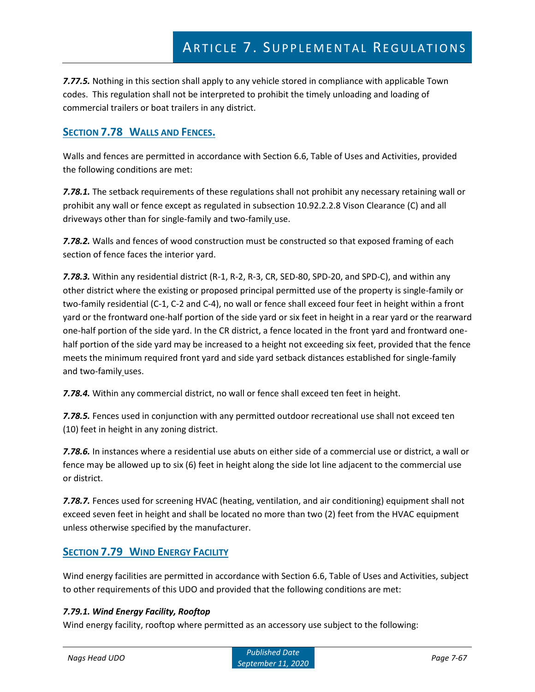*7.77.5.* Nothing in this section shall apply to any vehicle stored in compliance with applicable Town codes. This regulation shall not be interpreted to prohibit the timely unloading and loading of commercial trailers or boat trailers in any district.

## **SECTION 7.78 WALLS AND FENCES.**

Walls and fences are permitted in accordance with Section 6.6, Table of Uses and Activities, provided the following conditions are met:

*7.78.1.* The setback requirements of these regulations shall not prohibit any necessary retaining wall or prohibit any wall or fence except as regulated in subsection 10.92.2.2.8 Vison Clearance (C) and all driveways other than for single-family and two-family use.

*7.78.2.* Walls and fences of wood construction must be constructed so that exposed framing of each section of fence faces the interior yard.

7.78.3. Within any residential district (R-1, R-2, R-3, CR, SED-80, SPD-20, and SPD-C), and within any other district where the existing or proposed principal permitted use of the property is single-family or two-family residential (C-1, C-2 and C-4), no wall or fence shall exceed four feet in height within a front yard or the frontward one-half portion of the side yard or six feet in height in a rear yard or the rearward one-half portion of the side yard. In the CR district, a fence located in the front yard and frontward onehalf portion of the side yard may be increased to a height not exceeding six feet, provided that the fence meets the minimum required front yard and side yard setback distances established for single-family and two-family uses.

*7.78.4.* Within any commercial district, no wall or fence shall exceed ten feet in height.

*7.78.5.* Fences used in conjunction with any permitted outdoor recreational use shall not exceed ten (10) feet in height in any zoning district.

*7.78.6.* In instances where a residential use abuts on either side of a commercial use or district, a wall or fence may be allowed up to six (6) feet in height along the side lot line adjacent to the commercial use or district.

*7.78.7.* Fences used for screening HVAC (heating, ventilation, and air conditioning) equipment shall not exceed seven feet in height and shall be located no more than two (2) feet from the HVAC equipment unless otherwise specified by the manufacturer.

## **SECTION 7.79 WIND ENERGY FACILITY**

Wind energy facilities are permitted in accordance with Section 6.6, Table of Uses and Activities, subject to other requirements of this UDO and provided that the following conditions are met:

### *7.79.1. Wind Energy Facility, Rooftop*

Wind energy facility, rooftop where permitted as an accessory use subject to the following: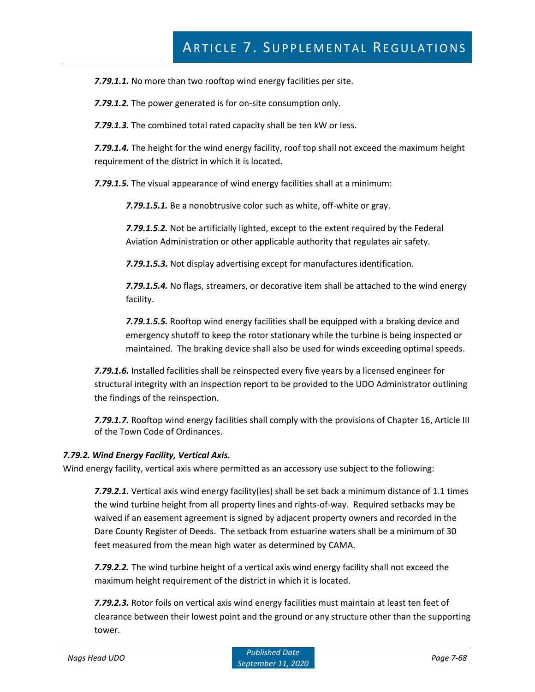*7.79.1.1.* No more than two rooftop wind energy facilities per site.

*7.79.1.2.* The power generated is for on-site consumption only.

*7.79.1.3.* The combined total rated capacity shall be ten kW or less.

*7.79.1.4.* The height for the wind energy facility, roof top shall not exceed the maximum height requirement of the district in which it is located.

*7.79.1.5.* The visual appearance of wind energy facilities shall at a minimum:

*7.79.1.5.1.* Be a nonobtrusive color such as white, off-white or gray.

*7.79.1.5.2.* Not be artificially lighted, except to the extent required by the Federal Aviation Administration or other applicable authority that regulates air safety.

*7.79.1.5.3.* Not display advertising except for manufactures identification.

*7.79.1.5.4.* No flags, streamers, or decorative item shall be attached to the wind energy facility.

*7.79.1.5.5.* Rooftop wind energy facilities shall be equipped with a braking device and emergency shutoff to keep the rotor stationary while the turbine is being inspected or maintained. The braking device shall also be used for winds exceeding optimal speeds.

*7.79.1.6.* Installed facilities shall be reinspected every five years by a licensed engineer for structural integrity with an inspection report to be provided to the UDO Administrator outlining the findings of the reinspection.

*7.79.1.7.* Rooftop wind energy facilities shall comply with the provisions of Chapter 16, Article III of the Town Code of Ordinances.

#### *7.79.2. Wind Energy Facility, Vertical Axis.*

Wind energy facility, vertical axis where permitted as an accessory use subject to the following:

*7.79.2.1.* Vertical axis wind energy facility(ies) shall be set back a minimum distance of 1.1 times the wind turbine height from all property lines and rights-of-way. Required setbacks may be waived if an easement agreement is signed by adjacent property owners and recorded in the Dare County Register of Deeds. The setback from estuarine waters shall be a minimum of 30 feet measured from the mean high water as determined by CAMA.

*7.79.2.2.* The wind turbine height of a vertical axis wind energy facility shall not exceed the maximum height requirement of the district in which it is located.

*7.79.2.3.* Rotor foils on vertical axis wind energy facilities must maintain at least ten feet of clearance between their lowest point and the ground or any structure other than the supporting tower.